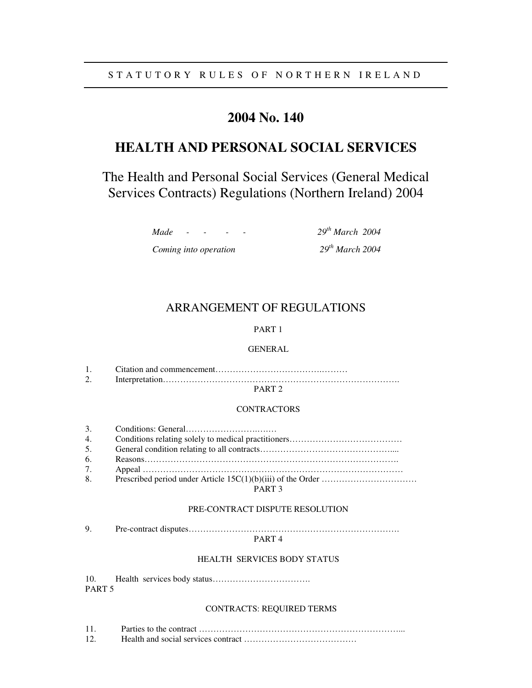# **2004 No. 140**

# **HEALTH AND PERSONAL SOCIAL SERVICES**

The Health and Personal Social Services (General Medical Services Contracts) Regulations (Northern Ireland) 2004

> *Made - - - - 29th March 2004 Coming into operation*

*th March 2004*

# ARRANGEMENT OF REGULATIONS

# PART 1

## GENERAL

## PART 2

#### CONTRACTORS

| 3. |             |
|----|-------------|
| 4. |             |
| 5. |             |
| 6. |             |
| 7. |             |
| 8. |             |
|    | <b>PIPE</b> |

PART 3

## PRE-CONTRACT DISPUTE RESOLUTION

9. Pre-contract disputes……………………………………………………………….

## PART 4

## HEALTH SERVICES BODY STATUS

10. Health services body status……………………………. PART 5

### CONTRACTS: REQUIRED TERMS

11. Parties to the contract ……………………………………………………………... 12. Health and social services contract …………………………………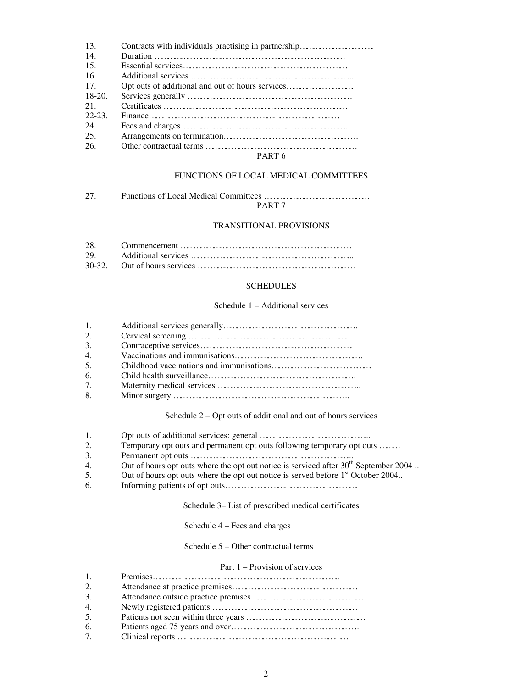| 13.       | Contracts with individuals practising in partnership |
|-----------|------------------------------------------------------|
| 14.       |                                                      |
| 15.       |                                                      |
| 16.       |                                                      |
| 17.       |                                                      |
| $18-20.$  |                                                      |
| 21        |                                                      |
| $22 - 23$ |                                                      |
| 24.       |                                                      |
| 25.       |                                                      |
| 26.       |                                                      |
|           | $\mathbf{D} \cdot \mathbf{D} \mathbf{E}$             |

#### PART 6

#### FUNCTIONS OF LOCAL MEDICAL COMMITTEES

27. Functions of Local Medical Committees ………………………………………… PART 7

# TRANSITIONAL PROVISIONS

#### SCHEDULES

## Schedule 1 – Additional services

| $\mathbf{1}$ . |  |
|----------------|--|
| 2.             |  |
| 3.             |  |
| $\mathbf{4}$ . |  |
| 5.             |  |
| 6.             |  |
| 7 <sub>1</sub> |  |
| 8.             |  |

Schedule 2 – Opt outs of additional and out of hours services

- 1. Opt outs of additional services: general …………………………………………...
- 2. Temporary opt outs and permanent opt outs following temporary opt outs ………
- 3. Permanent opt outs ………………………………………………………………...
- 4. Out of hours opt outs where the opt out notice is serviced after  $30<sup>th</sup>$  September 2004.
- 5. Out of hours opt outs where the opt out notice is served before 1<sup>st</sup> October 2004..
- 6. Informing patients of opt outs…………………………………………………….

#### Schedule 3– List of prescribed medical certificates

#### Schedule 4 – Fees and charges

Schedule 5 – Other contractual terms

#### Part 1 – Provision of services

| $\overline{1}$ . |  |
|------------------|--|
| 2.               |  |
| 3.               |  |
| -4.              |  |
| .5.              |  |
| -6.              |  |
| 7.               |  |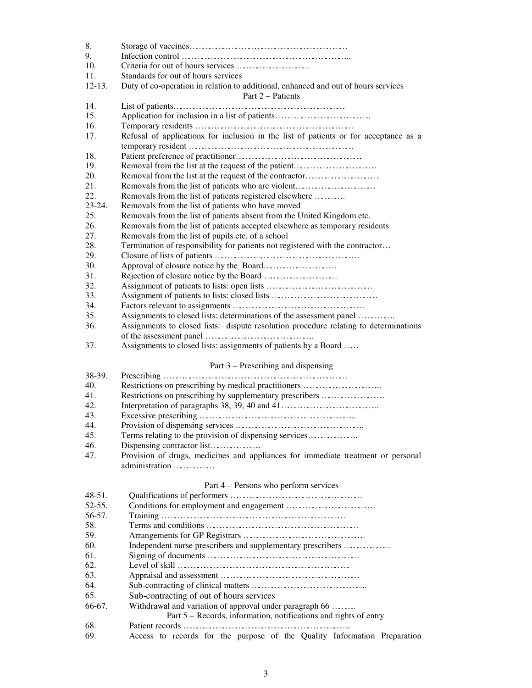| 8.         |                                                                                      |
|------------|--------------------------------------------------------------------------------------|
| 9.         |                                                                                      |
| 10.        | Criteria for out of hours services                                                   |
| 11.        | Standards for out of hours services                                                  |
| $12 - 13.$ | Duty of co-operation in relation to additional, enhanced and out of hours services   |
|            | Part 2 – Patients                                                                    |
| 14.        |                                                                                      |
| 15.        | Application for inclusion in a list of patients                                      |
| 16.        |                                                                                      |
|            |                                                                                      |
| 17.        | Refusal of applications for inclusion in the list of patients or for acceptance as a |
|            |                                                                                      |
| 18.        |                                                                                      |
| 19.        | Removal from the list at the request of the patient                                  |
| 20.        | Removal from the list at the request of the contractor                               |
| 21.        | Removals from the list of patients who are violent                                   |
| 22.        | Removals from the list of patients registered elsewhere                              |
| 23-24.     | Removals from the list of patients who have moved                                    |
| 25.        | Removals from the list of patients absent from the United Kingdom etc.               |
| 26.        | Removals from the list of patients accepted elsewhere as temporary residents         |
| 27.        | Removals from the list of pupils etc. of a school                                    |
| 28.        | Termination of responsibility for patients not registered with the contractor        |
| 29.        |                                                                                      |
| 30.        |                                                                                      |
| 31.        |                                                                                      |
| 32.        |                                                                                      |
| 33.        |                                                                                      |
| 34.        |                                                                                      |
| 35.        | Assignments to closed lists: determinations of the assessment panel                  |
| 36.        | Assignments to closed lists: dispute resolution procedure relating to determinations |
|            |                                                                                      |
| 37.        | Assignments to closed lists: assignments of patients by a Board                      |
|            |                                                                                      |
|            | Part 3 – Prescribing and dispensing                                                  |
| 38-39.     |                                                                                      |
| 40.        | Restrictions on prescribing by medical practitioners                                 |
| 41.        |                                                                                      |
|            | Restrictions on prescribing by supplementary prescribers                             |
| 42.        |                                                                                      |
| 43.        |                                                                                      |
| 44.        |                                                                                      |
| 45.        | Terms relating to the provision of dispensing services                               |
| 46.        | Dispensing contractor list                                                           |
| 47.        | Provision of drugs, medicines and appliances for immediate treatment or personal     |
|            | administration                                                                       |
|            |                                                                                      |
|            | Part 4 – Persons who perform services                                                |
| $48-51.$   |                                                                                      |
| 52-55.     |                                                                                      |
| 56-57.     |                                                                                      |
| 58.        |                                                                                      |
| 59.        |                                                                                      |
| 60.        | Independent nurse prescribers and supplementary prescribers                          |
| 61.        |                                                                                      |
| 62.        |                                                                                      |
| 63.        |                                                                                      |
| 64.        |                                                                                      |
| 65.        | Sub-contracting of out of hours services                                             |
| 66-67.     | Withdrawal and variation of approval under paragraph 66                              |
|            | Part 5 – Records, information, notifications and rights of entry                     |
| 68.        |                                                                                      |
|            |                                                                                      |

69. Access to records for the purpose of the Quality Information Preparation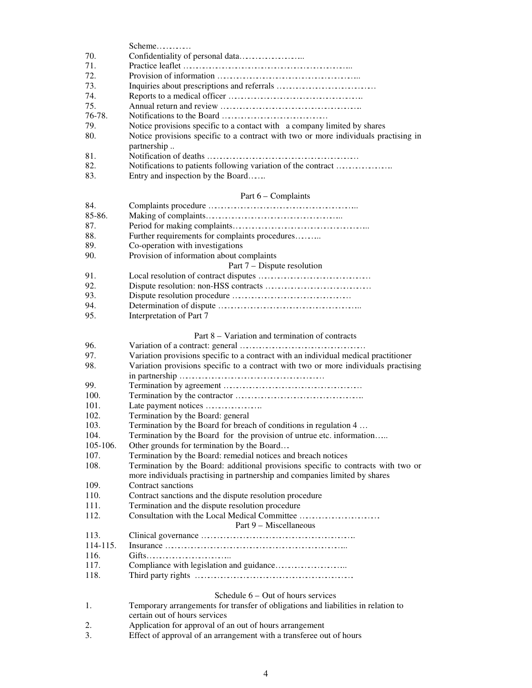|          | Scheme                                                                              |  |
|----------|-------------------------------------------------------------------------------------|--|
| 70.      |                                                                                     |  |
| 71.      |                                                                                     |  |
| 72.      |                                                                                     |  |
| 73.      |                                                                                     |  |
| 74.      |                                                                                     |  |
| 75.      |                                                                                     |  |
| 76-78.   |                                                                                     |  |
| 79.      | Notice provisions specific to a contact with a company limited by shares            |  |
| 80.      | Notice provisions specific to a contract with two or more individuals practising in |  |
|          | partnership                                                                         |  |
| 81.      |                                                                                     |  |
|          |                                                                                     |  |
| 82.      | Notifications to patients following variation of the contract                       |  |
| 83.      | Entry and inspection by the Board                                                   |  |
|          | Part 6 - Complaints                                                                 |  |
| 84.      |                                                                                     |  |
| 85-86.   |                                                                                     |  |
| 87.      |                                                                                     |  |
| 88.      | Further requirements for complaints procedures                                      |  |
| 89.      |                                                                                     |  |
|          | Co-operation with investigations                                                    |  |
| 90.      | Provision of information about complaints                                           |  |
|          | Part 7 – Dispute resolution                                                         |  |
| 91.      |                                                                                     |  |
| 92.      |                                                                                     |  |
| 93.      |                                                                                     |  |
| 94.      |                                                                                     |  |
| 95.      | Interpretation of Part 7                                                            |  |
|          | Part 8 – Variation and termination of contracts                                     |  |
| 96.      |                                                                                     |  |
| 97.      |                                                                                     |  |
|          | Variation provisions specific to a contract with an individual medical practitioner |  |
| 98.      | Variation provisions specific to a contract with two or more individuals practising |  |
|          |                                                                                     |  |
| 99.      |                                                                                     |  |
| 100.     |                                                                                     |  |
| 101.     | Late payment notices                                                                |  |
| 102.     | Termination by the Board: general                                                   |  |
| 103.     | Termination by the Board for breach of conditions in regulation 4                   |  |
| 104.     | Termination by the Board for the provision of untrue etc. information               |  |
| 105-106. | Other grounds for termination by the Board                                          |  |
| 107.     | Termination by the Board: remedial notices and breach notices                       |  |
| 108.     | Termination by the Board: additional provisions specific to contracts with two or   |  |
|          | more individuals practising in partnership and companies limited by shares          |  |
| 109.     | Contract sanctions                                                                  |  |
| 110.     | Contract sanctions and the dispute resolution procedure                             |  |
| 111.     | Termination and the dispute resolution procedure                                    |  |
| 112.     | Consultation with the Local Medical Committee                                       |  |
|          | Part 9 – Miscellaneous                                                              |  |
| 113.     |                                                                                     |  |
| 114-115. |                                                                                     |  |
| 116.     | Gifts                                                                               |  |
| 117.     |                                                                                     |  |
| 118.     |                                                                                     |  |
|          |                                                                                     |  |
|          | Schedule $6 - Out$ of hours services                                                |  |
| 1.       | Temporary arrangements for transfer of obligations and liabilities in relation to   |  |
|          | certain out of hours services                                                       |  |
| $\sim$   | dication for conveyed of an out of hours ago                                        |  |

2. Application for approval of an out of hours arrangement<br>3. Effect of approval of an arrangement with a transferee of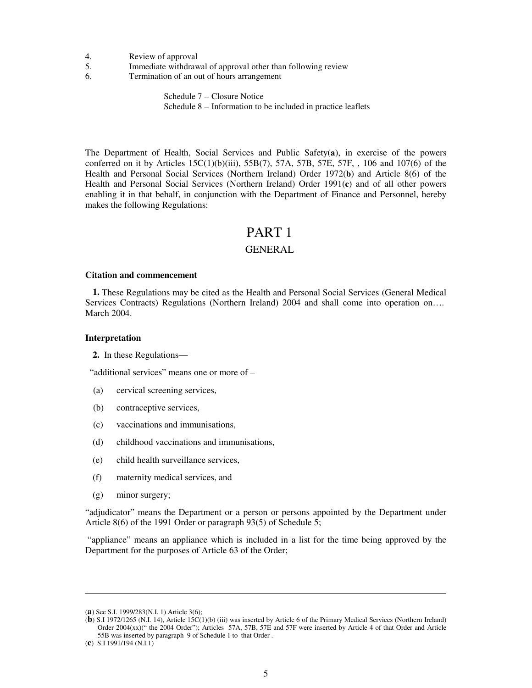- 4. Review of approval
- 5. Immediate withdrawal of approval other than following review
- 6. Termination of an out of hours arrangement

 Schedule 7 – Closure Notice Schedule 8 – Information to be included in practice leaflets

The Department of Health, Social Services and Public Safety(**a**), in exercise of the powers conferred on it by Articles  $15C(1)(b)(iii)$ ,  $55B(7)$ ,  $57A$ ,  $57B$ ,  $57E$ ,  $57F$ ,  $106$  and  $107(6)$  of the Health and Personal Social Services (Northern Ireland) Order 1972(**b**) and Article 8(6) of the Health and Personal Social Services (Northern Ireland) Order 1991(**c**) and of all other powers enabling it in that behalf, in conjunction with the Department of Finance and Personnel, hereby makes the following Regulations:

# PART 1

## GENERAL

#### **Citation and commencement**

**1.** These Regulations may be cited as the Health and Personal Social Services (General Medical Services Contracts) Regulations (Northern Ireland) 2004 and shall come into operation on….. March 2004.

#### **Interpretation**

**2.** In these Regulations—

"additional services" means one or more of –

- (a) cervical screening services,
- (b) contraceptive services,
- (c) vaccinations and immunisations,
- (d) childhood vaccinations and immunisations,
- (e) child health surveillance services,
- (f) maternity medical services, and
- (g) minor surgery;

"adjudicator" means the Department or a person or persons appointed by the Department under Article 8(6) of the 1991 Order or paragraph 93(5) of Schedule 5;

"appliance" means an appliance which is included in a list for the time being approved by the Department for the purposes of Article 63 of the Order;

<sup>(</sup>**a**) See S.I. 1999/283(N.I. 1) Article 3(6);

<sup>(</sup>**b**) S.I 1972/1265 (N.I. 14), Article 15C(1)(b) (iii) was inserted by Article 6 of the Primary Medical Services (Northern Ireland) Order 2004(xx)(" the 2004 Order"); Articles 57A, 57B, 57E and 57F were inserted by Article 4 of that Order and Article 55B was inserted by paragraph 9 of Schedule 1 to that Order .

<sup>(</sup>**c**) S.I 1991/194 (N.I.1)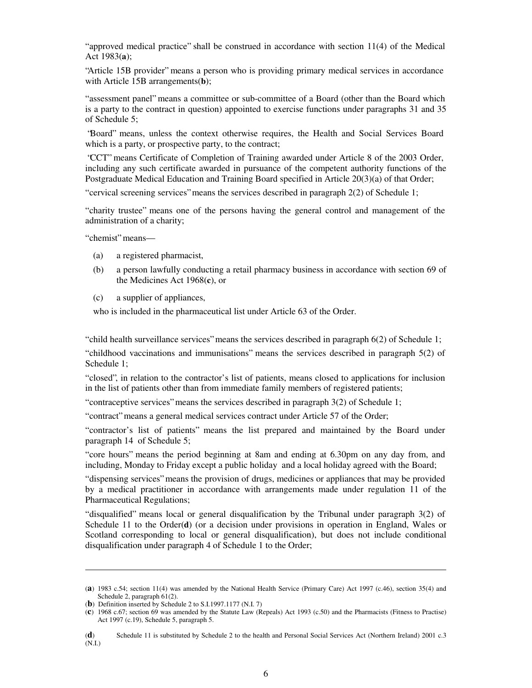" approved medical practice" shall be construed in accordance with section 11(4) of the Medical Act 1983(**a**);

"Article 15B provider" means a person who is providing primary medical services in accordance with Article 15B arrangements(**b**);

" assessment panel" means a committee or sub-committee of a Board (other than the Board which is a party to the contract in question) appointed to exercise functions under paragraphs 31 and 35 of Schedule 5;

"Board" means, unless the context otherwise requires, the Health and Social Services Board which is a party, or prospective party, to the contract;

"CCT" means Certificate of Completion of Training awarded under Article 8 of the 2003 Order, including any such certificate awarded in pursuance of the competent authority functions of the Postgraduate Medical Education and Training Board specified in Article 20(3)(a) of that Order;

" cervical screening services" means the services described in paragraph 2(2) of Schedule 1;

" charity trustee" means one of the persons having the general control and management of the administration of a charity;

" chemist" means—

- (a) a registered pharmacist,
- (b) a person lawfully conducting a retail pharmacy business in accordance with section 69 of the Medicines Act 1968(**c**), or
- (c) a supplier of appliances,

who is included in the pharmaceutical list under Article 63 of the Order.

" child health surveillance services" means the services described in paragraph 6(2) of Schedule 1;

" childhood vaccinations and immunisations" means the services described in paragraph 5(2) of Schedule 1;

" closed", in relation to the contractor's list of patients, means closed to applications for inclusion in the list of patients other than from immediate family members of registered patients;

" contraceptive services" means the services described in paragraph  $3(2)$  of Schedule 1;

" contract" means a general medical services contract under Article 57 of the Order;

" contractor's list of patients" means the list prepared and maintained by the Board under paragraph 14 of Schedule 5;

" core hours" means the period beginning at 8am and ending at 6.30pm on any day from, and including, Monday to Friday except a public holiday and a local holiday agreed with the Board;

" dispensing services" means the provision of drugs, medicines or appliances that may be provided by a medical practitioner in accordance with arrangements made under regulation 11 of the Pharmaceutical Regulations;

"disqualified" means local or general disqualification by the Tribunal under paragraph  $3(2)$  of Schedule 11 to the Order(**d**) (or a decision under provisions in operation in England, Wales or Scotland corresponding to local or general disqualification), but does not include conditional disqualification under paragraph 4 of Schedule 1 to the Order;

<sup>(</sup>**a**) 1983 c.54; section 11(4) was amended by the National Health Service (Primary Care) Act 1997 (c.46), section 35(4) and Schedule 2, paragraph 61(2).

<sup>(</sup>**b**) Definition inserted by Schedule 2 to S.I.1997.1177 (N.I. 7)

<sup>(</sup>**c**) 1968 c.67; section 69 was amended by the Statute Law (Repeals) Act 1993 (c.50) and the Pharmacists (Fitness to Practise) Act 1997 (c.19), Schedule 5, paragraph 5.

<sup>(</sup>**d**) Schedule 11 is substituted by Schedule 2 to the health and Personal Social Services Act (Northern Ireland) 2001 c.3 (N.I.)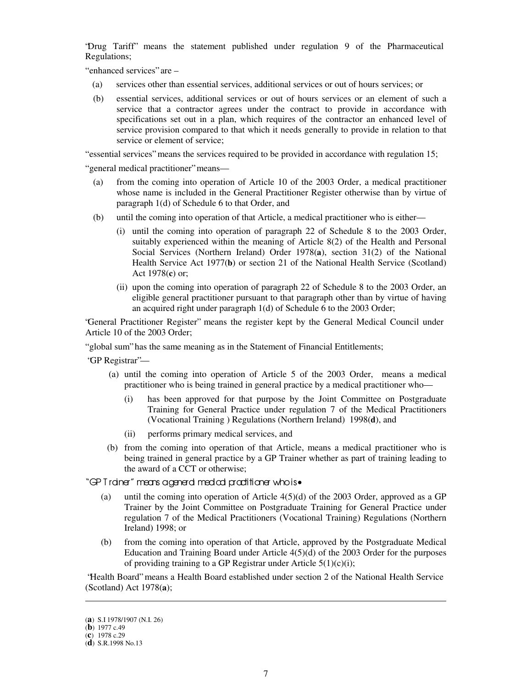"Drug Tariff" means the statement published under regulation 9 of the Pharmaceutical Regulations;

" enhanced services" are -

- (a) services other than essential services, additional services or out of hours services; or
- (b) essential services, additional services or out of hours services or an element of such a service that a contractor agrees under the contract to provide in accordance with specifications set out in a plan, which requires of the contractor an enhanced level of service provision compared to that which it needs generally to provide in relation to that service or element of service;

" essential services" means the services required to be provided in accordance with regulation 15;

" general medical practitioner" means—

- (a) from the coming into operation of Article 10 of the 2003 Order, a medical practitioner whose name is included in the General Practitioner Register otherwise than by virtue of paragraph 1(d) of Schedule 6 to that Order, and
- (b) until the coming into operation of that Article, a medical practitioner who is either—
	- (i) until the coming into operation of paragraph 22 of Schedule 8 to the 2003 Order, suitably experienced within the meaning of Article 8(2) of the Health and Personal Social Services (Northern Ireland) Order 1978(**a**), section 31(2) of the National Health Service Act 1977(**b**) or section 21 of the National Health Service (Scotland) Act 1978(**c**) or;
	- (ii) upon the coming into operation of paragraph 22 of Schedule 8 to the 2003 Order, an eligible general practitioner pursuant to that paragraph other than by virtue of having an acquired right under paragraph 1(d) of Schedule 6 to the 2003 Order;

"General Practitioner Register" means the register kept by the General Medical Council under Article 10 of the 2003 Order;

" global sum" has the same meaning as in the Statement of Financial Entitlements;

- "GP Registrar"—
	- (a) until the coming into operation of Article 5 of the 2003 Order, means a medical practitioner who is being trained in general practice by a medical practitioner who—
		- (i) has been approved for that purpose by the Joint Committee on Postgraduate Training for General Practice under regulation 7 of the Medical Practitioners (Vocational Training ) Regulations (Northern Ireland) 1998(**d**), and
		- (ii) performs primary medical services, and
	- (b) from the coming into operation of that Article, means a medical practitioner who is being trained in general practice by a GP Trainer whether as part of training leading to the award of a CCT or otherwise;

"GP T rainer" means ageneral medical practitioner who is•

- (a) until the coming into operation of Article 4(5)(d) of the 2003 Order, approved as a GP Trainer by the Joint Committee on Postgraduate Training for General Practice under regulation 7 of the Medical Practitioners (Vocational Training) Regulations (Northern Ireland) 1998; or
- (b) from the coming into operation of that Article, approved by the Postgraduate Medical Education and Training Board under Article 4(5)(d) of the 2003 Order for the purposes of providing training to a GP Registrar under Article  $5(1)(c)(i)$ ;

"Health Board" means a Health Board established under section 2 of the National Health Service (Scotland) Act 1978(**a**);

<sup>(</sup>**a**) S.I 1978/1907 (N.I. 26)

<sup>(</sup>**b**) 1977 c.49

<sup>(</sup>**c**) 1978 c.29

<sup>(</sup>**d**) S.R.1998 No.13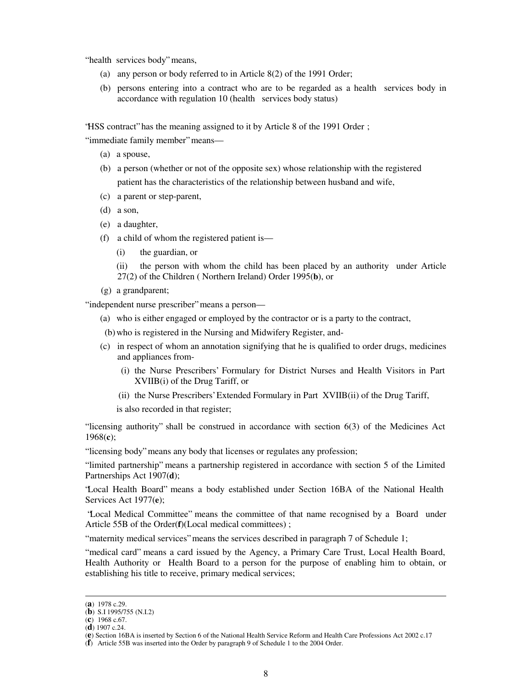" health services body" means,

- (a) any person or body referred to in Article 8(2) of the 1991 Order;
- (b) persons entering into a contract who are to be regarded as a health services body in accordance with regulation 10 (health services body status)

"HSS contract" has the meaning assigned to it by Article 8 of the 1991 Order ;

" immediate family member" means—

- (a) a spouse,
- (b) a person (whether or not of the opposite sex) whose relationship with the registered patient has the characteristics of the relationship between husband and wife,
- (c) a parent or step-parent,
- (d) a son,
- (e) a daughter,
- (f) a child of whom the registered patient is—
	- (i) the guardian, or
	- (ii) the person with whom the child has been placed by an authority under Article 27(2) of the Children ( Northern Ireland) Order 1995(**b**), or
- (g) a grandparent;

" independent nurse prescriber" means a person—

(a) who is either engaged or employed by the contractor or is a party to the contract,

(b)who is registered in the Nursing and Midwifery Register, and-

- (c) in respect of whom an annotation signifying that he is qualified to order drugs, medicines and appliances from-
	- (i) the Nurse Prescribers' Formulary for District Nurses and Health Visitors in Part XVIIB(i) of the Drug Tariff, or
	- (ii) the Nurse Prescribers' Extended Formulary in Part XVIIB(ii) of the Drug Tariff,

is also recorded in that register;

"licensing authority" shall be construed in accordance with section  $6(3)$  of the Medicines Act 1968(**c**);

" licensing body" means any body that licenses or regulates any profession;

" limited partnership" means a partnership registered in accordance with section 5 of the Limited Partnerships Act 1907(**d**);

"Local Health Board" means a body established under Section 16BA of the National Health Services Act 1977(**e**);

"Local Medical Committee" means the committee of that name recognised by a Board under Article 55B of the Order(**f**)(Local medical committees) ;

" maternity medical services" means the services described in paragraph 7 of Schedule 1;

" medical card" means a card issued by the Agency, a Primary Care Trust, Local Health Board, Health Authority or Health Board to a person for the purpose of enabling him to obtain, or establishing his title to receive, primary medical services;

-

(**f**) Article 55B was inserted into the Order by paragraph 9 of Schedule 1 to the 2004 Order.

<sup>(</sup>**a**) 1978 c.29.

<sup>(</sup>**b**) S.I 1995/755 (N.I.2)

<sup>(</sup>**c**) 1968 c.67.

<sup>(</sup>**d**) 1907 c.24.

<sup>(</sup>**e**) Section 16BA is inserted by Section 6 of the National Health Service Reform and Health Care Professions Act 2002 c.17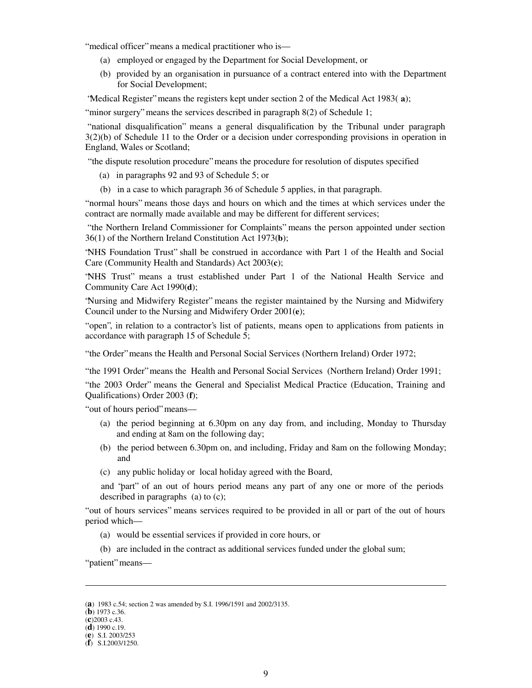" medical officer" means a medical practitioner who is—

- (a) employed or engaged by the Department for Social Development, or
- (b) provided by an organisation in pursuance of a contract entered into with the Department for Social Development;

"Medical Register" means the registers kept under section 2 of the Medical Act 1983( **a**);

" minor surgery" means the services described in paragraph  $8(2)$  of Schedule 1;

" national disqualification" means a general disqualification by the Tribunal under paragraph 3(2)(b) of Schedule 11 to the Order or a decision under corresponding provisions in operation in England, Wales or Scotland;

" the dispute resolution procedure" means the procedure for resolution of disputes specified

- (a) in paragraphs 92 and 93 of Schedule 5; or
- (b) in a case to which paragraph 36 of Schedule 5 applies, in that paragraph.

" normal hours" means those days and hours on which and the times at which services under the contract are normally made available and may be different for different services;

" the Northern Ireland Commissioner for Complaints" means the person appointed under section 36(1) of the Northern Ireland Constitution Act 1973(**b**);

"NHS Foundation Trust" shall be construed in accordance with Part 1 of the Health and Social Care (Community Health and Standards) Act 2003(**c**);

"NHS Trust" means a trust established under Part 1 of the National Health Service and Community Care Act 1990(**d**);

"Nursing and Midwifery Register" means the register maintained by the Nursing and Midwifery Council under to the Nursing and Midwifery Order 2001(**e**);

" open", in relation to a contractor's list of patients, means open to applications from patients in accordance with paragraph 15 of Schedule 5;

" the Order" means the Health and Personal Social Services (Northern Ireland) Order 1972;

" the 1991 Order" means the Health and Personal Social Services (Northern Ireland) Order 1991;

" the 2003 Order" means the General and Specialist Medical Practice (Education, Training and Qualifications) Order 2003 (**f**);

" out of hours period" means—

- (a) the period beginning at 6.30pm on any day from, and including, Monday to Thursday and ending at 8am on the following day;
- (b) the period between 6.30pm on, and including, Friday and 8am on the following Monday; and
- (c) any public holiday or local holiday agreed with the Board,

and "part" of an out of hours period means any part of any one or more of the periods described in paragraphs (a) to (c);

" out of hours services" means services required to be provided in all or part of the out of hours period which—

- (a) would be essential services if provided in core hours, or
- (b) are included in the contract as additional services funded under the global sum;

" patient" means

- (**b**) 1973 c.36.
- (**c**)2003 c.43.

<sup>(</sup>**a**) 1983 c.54; section 2 was amended by S.I. 1996/1591 and 2002/3135.

<sup>(</sup>**d**) 1990 c.19.

<sup>(</sup>**e**) S.I. 2003/253

<sup>(</sup>**f**) S.I.2003/1250.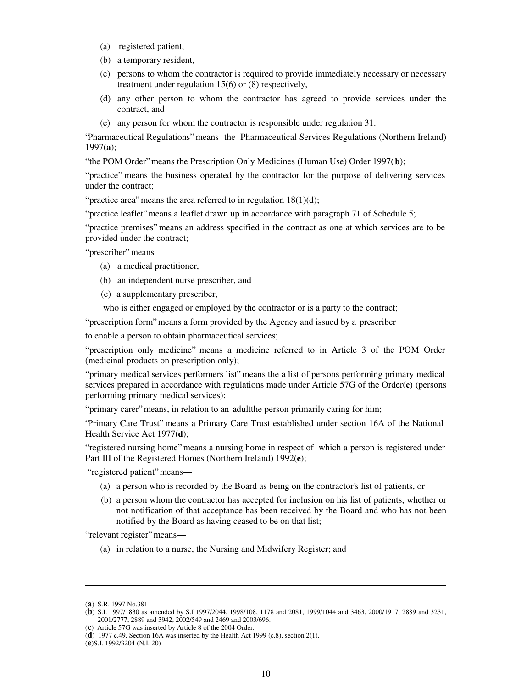- (a) registered patient,
- (b) a temporary resident,
- (c) persons to whom the contractor is required to provide immediately necessary or necessary treatment under regulation 15(6) or (8) respectively,
- (d) any other person to whom the contractor has agreed to provide services under the contract, and
- (e) any person for whom the contractor is responsible under regulation 31.

"Pharmaceutical Regulations" means the Pharmaceutical Services Regulations (Northern Ireland) 1997(**a**);

" the POM Order" means the Prescription Only Medicines (Human Use) Order 1997(**b**);

" practice" means the business operated by the contractor for the purpose of delivering services under the contract;

" practice area" means the area referred to in regulation  $18(1)(d)$ ;

" practice leaflet" means a leaflet drawn up in accordance with paragraph 71 of Schedule 5;

" practice premises" means an address specified in the contract as one at which services are to be provided under the contract;

" prescriber" means—

- (a) a medical practitioner,
- (b) an independent nurse prescriber, and
- (c) a supplementary prescriber,

who is either engaged or employed by the contractor or is a party to the contract;

" prescription form" means a form provided by the Agency and issued by a prescriber

to enable a person to obtain pharmaceutical services;

" prescription only medicine" means a medicine referred to in Article 3 of the POM Order (medicinal products on prescription only);

" primary medical services performers list" means the a list of persons performing primary medical services prepared in accordance with regulations made under Article 57G of the Order(**c**) (persons performing primary medical services);

" primary carer" means, in relation to an adult the person primarily caring for him;

"Primary Care Trust" means a Primary Care Trust established under section 16A of the National Health Service Act 1977(**d**);

" registered nursing home" means a nursing home in respect of which a person is registered under Part III of the Registered Homes (Northern Ireland) 1992(**e**);

" registered patient" means—

- (a) a person who is recorded by the Board as being on the contractor's list of patients, or
- (b) a person whom the contractor has accepted for inclusion on his list of patients, whether or not notification of that acceptance has been received by the Board and who has not been notified by the Board as having ceased to be on that list;

" relevant register" means-

(a) in relation to a nurse, the Nursing and Midwifery Register; and

<sup>(</sup>**a**) S.R. 1997 No.381

<sup>(</sup>**b**) S.I. 1997/1830 as amended by S.I 1997/2044, 1998/108, 1178 and 2081, 1999/1044 and 3463, 2000/1917, 2889 and 3231, 2001/2777, 2889 and 3942, 2002/549 and 2469 and 2003/696.

<sup>(</sup>**c**) Article 57G was inserted by Article 8 of the 2004 Order.

<sup>(</sup>**d**) 1977 c.49. Section 16A was inserted by the Health Act 1999 (c.8), section 2(1).

<sup>(</sup>**e**)S.I. 1992/3204 (N.I. 20)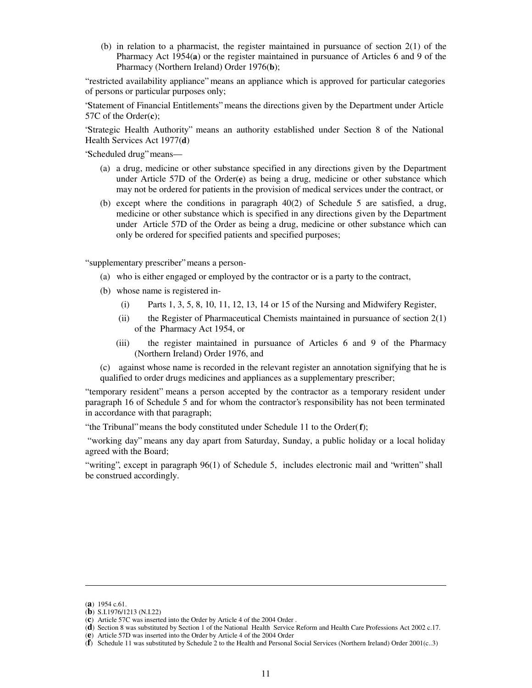(b) in relation to a pharmacist, the register maintained in pursuance of section 2(1) of the Pharmacy Act 1954(**a**) or the register maintained in pursuance of Articles 6 and 9 of the Pharmacy (Northern Ireland) Order 1976(**b**);

" restricted availability appliance" means an appliance which is approved for particular categories of persons or particular purposes only;

"Statement of Financial Entitlements" means the directions given by the Department under Article 57C of the Order(**c**);

"Strategic Health Authority" means an authority established under Section 8 of the National Health Services Act 1977(**d**)

"Scheduled drug" means—

- (a) a drug, medicine or other substance specified in any directions given by the Department under Article 57D of the Order(**e**) as being a drug, medicine or other substance which may not be ordered for patients in the provision of medical services under the contract, or
- (b) except where the conditions in paragraph 40(2) of Schedule 5 are satisfied, a drug, medicine or other substance which is specified in any directions given by the Department under Article 57D of the Order as being a drug, medicine or other substance which can only be ordered for specified patients and specified purposes;

"supplementary prescriber" means a person-

- (a) who is either engaged or employed by the contractor or is a party to the contract,
- (b) whose name is registered in-
	- (i) Parts 1, 3, 5, 8, 10, 11, 12, 13, 14 or 15 of the Nursing and Midwifery Register,
	- (ii) the Register of Pharmaceutical Chemists maintained in pursuance of section  $2(1)$ of the Pharmacy Act 1954, or
	- (iii) the register maintained in pursuance of Articles 6 and 9 of the Pharmacy (Northern Ireland) Order 1976, and

(c) against whose name is recorded in the relevant register an annotation signifying that he is qualified to order drugs medicines and appliances as a supplementary prescriber;

" temporary resident" means a person accepted by the contractor as a temporary resident under paragraph 16 of Schedule 5 and for whom the contractor's responsibility has not been terminated in accordance with that paragraph;

" the Tribunal" means the body constituted under Schedule 11 to the Order(**f**);

" working day" means any day apart from Saturday, Sunday, a public holiday or a local holiday agreed with the Board;

" writing", except in paragraph 96(1) of Schedule 5, includes electronic mail and "written" shall be construed accordingly.

<sup>(</sup>**a**) 1954 c.61.

<sup>(</sup>**b**) S.I.1976/1213 (N.I.22)

<sup>(</sup>**c**) Article 57C was inserted into the Order by Article 4 of the 2004 Order .

<sup>(</sup>**d**) Section 8 was substituted by Section 1 of the National Health Service Reform and Health Care Professions Act 2002 c.17.

<sup>(</sup>**e**) Article 57D was inserted into the Order by Article 4 of the 2004 Order

<sup>(</sup>**f**) Schedule 11 was substituted by Schedule 2 to the Health and Personal Social Services (Northern Ireland) Order 2001(c..3)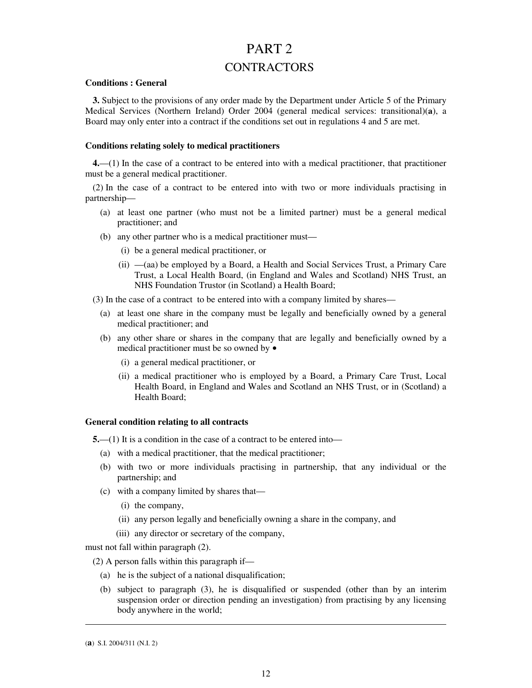# PART<sub>2</sub>

# **CONTRACTORS**

### **Conditions : General**

**3.** Subject to the provisions of any order made by the Department under Article 5 of the Primary Medical Services (Northern Ireland) Order 2004 (general medical services: transitional)(**a**), a Board may only enter into a contract if the conditions set out in regulations 4 and 5 are met.

### **Conditions relating solely to medical practitioners**

**4.**— (1) In the case of a contract to be entered into with a medical practitioner, that practitioner must be a general medical practitioner.

(2) In the case of a contract to be entered into with two or more individuals practising in partnership—

- (a) at least one partner (who must not be a limited partner) must be a general medical practitioner; and
- (b) any other partner who is a medical practitioner must—
	- (i) be a general medical practitioner, or
	- (ii) (aa) be employed by a Board, a Health and Social Services Trust, a Primary Care Trust, a Local Health Board, (in England and Wales and Scotland) NHS Trust, an NHS Foundation Trustor (in Scotland) a Health Board;
- (3) In the case of a contract to be entered into with a company limited by shares—
	- (a) at least one share in the company must be legally and beneficially owned by a general medical practitioner; and
	- (b) any other share or shares in the company that are legally and beneficially owned by a medical practitioner must be so owned by •
		- (i) a general medical practitioner, or
		- (ii) a medical practitioner who is employed by a Board, a Primary Care Trust, Local Health Board, in England and Wales and Scotland an NHS Trust, or in (Scotland) a Health Board;

### **General condition relating to all contracts**

**5.**—(1) It is a condition in the case of a contract to be entered into—

- (a) with a medical practitioner, that the medical practitioner;
- (b) with two or more individuals practising in partnership, that any individual or the partnership; and
- (c) with a company limited by shares that—
	- (i) the company,
	- (ii) any person legally and beneficially owning a share in the company, and
	- (iii) any director or secretary of the company,

must not fall within paragraph (2).

(2) A person falls within this paragraph if—

- (a) he is the subject of a national disqualification;
- (b) subject to paragraph (3), he is disqualified or suspended (other than by an interim suspension order or direction pending an investigation) from practising by any licensing body anywhere in the world;

<sup>(</sup>**a**) S.I. 2004/311 (N.I. 2)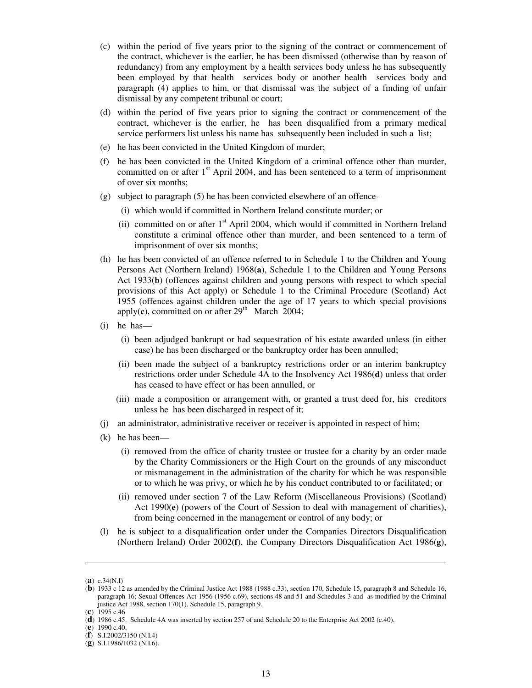- (c) within the period of five years prior to the signing of the contract or commencement of the contract, whichever is the earlier, he has been dismissed (otherwise than by reason of redundancy) from any employment by a health services body unless he has subsequently been employed by that health services body or another health services body and paragraph (4) applies to him, or that dismissal was the subject of a finding of unfair dismissal by any competent tribunal or court;
- (d) within the period of five years prior to signing the contract or commencement of the contract, whichever is the earlier, he has been disqualified from a primary medical service performers list unless his name has subsequently been included in such a list;
- (e) he has been convicted in the United Kingdom of murder;
- (f) he has been convicted in the United Kingdom of a criminal offence other than murder, committed on or after  $1<sup>st</sup>$  April 2004, and has been sentenced to a term of imprisonment of over six months;
- (g) subject to paragraph (5) he has been convicted elsewhere of an offence-
	- (i) which would if committed in Northern Ireland constitute murder; or
	- (ii) committed on or after 1<sup>st</sup> April 2004, which would if committed in Northern Ireland constitute a criminal offence other than murder, and been sentenced to a term of imprisonment of over six months;
- (h) he has been convicted of an offence referred to in Schedule 1 to the Children and Young Persons Act (Northern Ireland) 1968(**a**), Schedule 1 to the Children and Young Persons Act 1933(**b**) (offences against children and young persons with respect to which special provisions of this Act apply) or Schedule 1 to the Criminal Procedure (Scotland) Act 1955 (offences against children under the age of 17 years to which special provisions apply $(c)$ , committed on or after  $29<sup>th</sup>$  March 2004;
- (i) he has—
	- (i) been adjudged bankrupt or had sequestration of his estate awarded unless (in either case) he has been discharged or the bankruptcy order has been annulled;
	- (ii) been made the subject of a bankruptcy restrictions order or an interim bankruptcy restrictions order under Schedule 4A to the Insolvency Act 1986(**d**) unless that order has ceased to have effect or has been annulled, or
	- (iii) made a composition or arrangement with, or granted a trust deed for, his creditors unless he has been discharged in respect of it;
- (j) an administrator, administrative receiver or receiver is appointed in respect of him;
- (k) he has been—
	- (i) removed from the office of charity trustee or trustee for a charity by an order made by the Charity Commissioners or the High Court on the grounds of any misconduct or mismanagement in the administration of the charity for which he was responsible or to which he was privy, or which he by his conduct contributed to or facilitated; or
	- (ii) removed under section 7 of the Law Reform (Miscellaneous Provisions) (Scotland) Act 1990(**e**) (powers of the Court of Session to deal with management of charities), from being concerned in the management or control of any body; or
- (l) he is subject to a disqualification order under the Companies Directors Disqualification (Northern Ireland) Order 2002(**f**), the Company Directors Disqualification Act 1986(**g**),

<sup>(</sup>**a**) c.34(N.I)

<sup>(</sup>**b**) 1933 c 12 as amended by the Criminal Justice Act 1988 (1988 c.33), section 170, Schedule 15, paragraph 8 and Schedule 16, paragraph 16; Sexual Offences Act 1956 (1956 c.69), sections 48 and 51 and Schedules 3 and as modified by the Criminal justice Act 1988, section 170(1), Schedule 15, paragraph 9.

<sup>(</sup>**c**) 1995 c.46

<sup>(</sup>**d**) 1986 c.45. Schedule 4A was inserted by section 257 of and Schedule 20 to the Enterprise Act 2002 (c.40).

<sup>(</sup>**e**) 1990 c.40.

<sup>(</sup>**f**) S.I.2002/3150 (N.I.4)

<sup>(</sup>**g**) S.I.1986/1032 (N.I.6).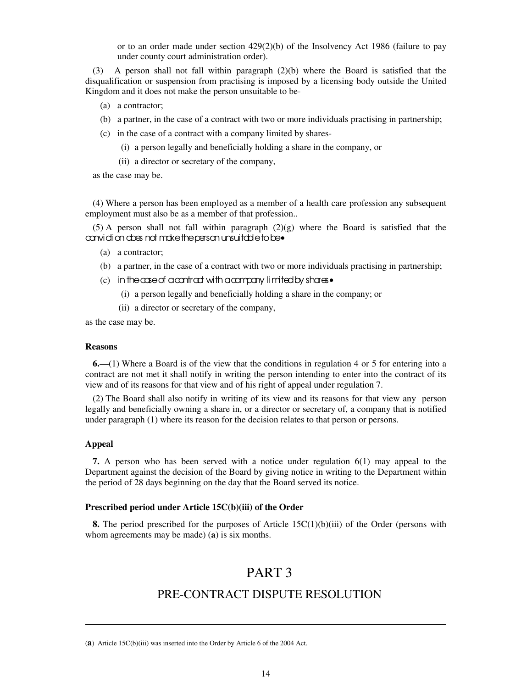or to an order made under section  $429(2)(b)$  of the Insolvency Act 1986 (failure to pay under county court administration order).

A person shall not fall within paragraph  $(2)(b)$  where the Board is satisfied that the disqualification or suspension from practising is imposed by a licensing body outside the United Kingdom and it does not make the person unsuitable to be-

- (a) a contractor;
- (b) a partner, in the case of a contract with two or more individuals practising in partnership;
- (c) in the case of a contract with a company limited by shares-
	- (i) a person legally and beneficially holding a share in the company, or
	- (ii) a director or secretary of the company,

as the case may be.

(4) Where a person has been employed as a member of a health care profession any subsequent employment must also be as a member of that profession..

 $(5)$  A person shall not fall within paragraph  $(2)(g)$  where the Board is satisfied that the conviction does not make the person unsuitable to be•

- (a) a contractor;
- (b) a partner, in the case of a contract with two or more individuals practising in partnership;
- (c) in the case of a contract with a company limited by shares•
	- (i) a person legally and beneficially holding a share in the company; or
	- (ii) a director or secretary of the company,

as the case may be.

#### **Reasons**

**6.**— (1) Where a Board is of the view that the conditions in regulation 4 or 5 for entering into a contract are not met it shall notify in writing the person intending to enter into the contract of its view and of its reasons for that view and of his right of appeal under regulation 7.

(2) The Board shall also notify in writing of its view and its reasons for that view any person legally and beneficially owning a share in, or a director or secretary of, a company that is notified under paragraph (1) where its reason for the decision relates to that person or persons.

#### **Appeal**

**.** 

**7.** A person who has been served with a notice under regulation 6(1) may appeal to the Department against the decision of the Board by giving notice in writing to the Department within the period of 28 days beginning on the day that the Board served its notice.

### **Prescribed period under Article 15C(b)(iii) of the Order**

**8.** The period prescribed for the purposes of Article 15C(1)(b)(iii) of the Order (persons with whom agreements may be made) (**a**) is six months.

# PART 3

# PRE-CONTRACT DISPUTE RESOLUTION

<sup>(</sup>**a**) Article 15C(b)(iii) was inserted into the Order by Article 6 of the 2004 Act.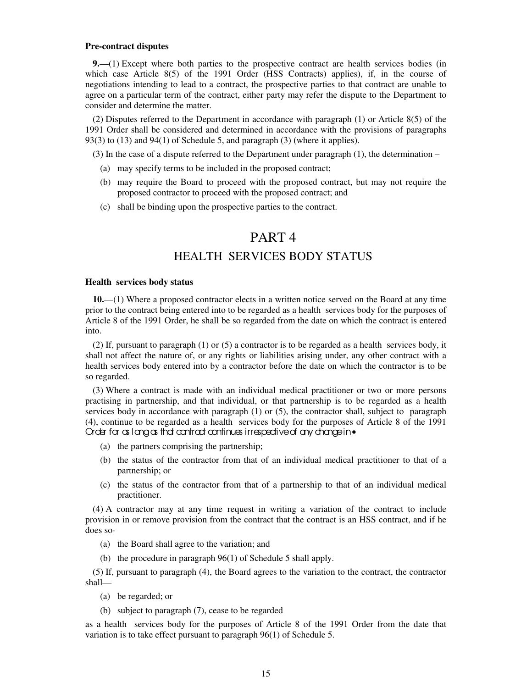#### **Pre-contract disputes**

**9.**—(1) Except where both parties to the prospective contract are health services bodies (in which case Article 8(5) of the 1991 Order (HSS Contracts) applies), if, in the course of negotiations intending to lead to a contract, the prospective parties to that contract are unable to agree on a particular term of the contract, either party may refer the dispute to the Department to consider and determine the matter.

(2) Disputes referred to the Department in accordance with paragraph (1) or Article 8(5) of the 1991 Order shall be considered and determined in accordance with the provisions of paragraphs 93(3) to (13) and 94(1) of Schedule 5, and paragraph (3) (where it applies).

(3) In the case of a dispute referred to the Department under paragraph  $(1)$ , the determination –

- (a) may specify terms to be included in the proposed contract;
- (b) may require the Board to proceed with the proposed contract, but may not require the proposed contractor to proceed with the proposed contract; and
- (c) shall be binding upon the prospective parties to the contract.

# PART 4 HEALTH SERVICES BODY STATUS

#### **Health services body status**

**10.**— (1) Where a proposed contractor elects in a written notice served on the Board at any time prior to the contract being entered into to be regarded as a health services body for the purposes of Article 8 of the 1991 Order, he shall be so regarded from the date on which the contract is entered into.

(2) If, pursuant to paragraph (1) or (5) a contractor is to be regarded as a health services body, it shall not affect the nature of, or any rights or liabilities arising under, any other contract with a health services body entered into by a contractor before the date on which the contractor is to be so regarded.

(3) Where a contract is made with an individual medical practitioner or two or more persons practising in partnership, and that individual, or that partnership is to be regarded as a health services body in accordance with paragraph (1) or (5), the contractor shall, subject to paragraph (4), continue to be regarded as a health services body for the purposes of Article 8 of the 1991 Order for as long as that contract continues irrespective of any change in•

- (a) the partners comprising the partnership;
- (b) the status of the contractor from that of an individual medical practitioner to that of a partnership; or
- (c) the status of the contractor from that of a partnership to that of an individual medical practitioner.

(4) A contractor may at any time request in writing a variation of the contract to include provision in or remove provision from the contract that the contract is an HSS contract, and if he does so-

- (a) the Board shall agree to the variation; and
- (b) the procedure in paragraph 96(1) of Schedule 5 shall apply.

(5) If, pursuant to paragraph (4), the Board agrees to the variation to the contract, the contractor shall—

- (a) be regarded; or
- (b) subject to paragraph (7), cease to be regarded

as a health services body for the purposes of Article 8 of the 1991 Order from the date that variation is to take effect pursuant to paragraph 96(1) of Schedule 5.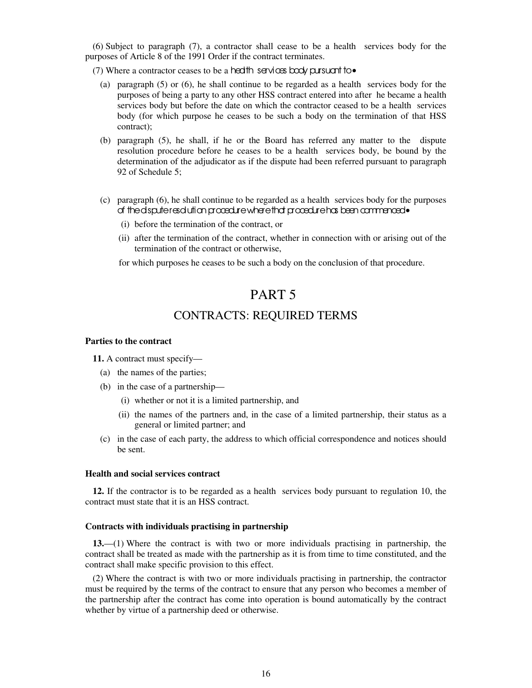(6) Subject to paragraph (7), a contractor shall cease to be a health services body for the purposes of Article 8 of the 1991 Order if the contract terminates.

(7) Where a contractor ceases to be a health services body pursuant to $\bullet$ 

- (a) paragraph (5) or (6), he shall continue to be regarded as a health services body for the purposes of being a party to any other HSS contract entered into after he became a health services body but before the date on which the contractor ceased to be a health services body (for which purpose he ceases to be such a body on the termination of that HSS contract);
- (b) paragraph (5), he shall, if he or the Board has referred any matter to the dispute resolution procedure before he ceases to be a health services body, be bound by the determination of the adjudicator as if the dispute had been referred pursuant to paragraph 92 of Schedule 5;
- (c) paragraph (6), he shall continue to be regarded as a health services body for the purposes of the dispute resolution procedure where that procedure has been commenced•
	- (i) before the termination of the contract, or
	- (ii) after the termination of the contract, whether in connection with or arising out of the termination of the contract or otherwise,

for which purposes he ceases to be such a body on the conclusion of that procedure.

# PART 5

# CONTRACTS: REQUIRED TERMS

#### **Parties to the contract**

**11.** A contract must specify—

- (a) the names of the parties;
- (b) in the case of a partnership—
	- (i) whether or not it is a limited partnership, and
	- (ii) the names of the partners and, in the case of a limited partnership, their status as a general or limited partner; and
- (c) in the case of each party, the address to which official correspondence and notices should be sent.

#### **Health and social services contract**

**12.** If the contractor is to be regarded as a health services body pursuant to regulation 10, the contract must state that it is an HSS contract.

#### **Contracts with individuals practising in partnership**

**13.**— (1) Where the contract is with two or more individuals practising in partnership, the contract shall be treated as made with the partnership as it is from time to time constituted, and the contract shall make specific provision to this effect.

(2) Where the contract is with two or more individuals practising in partnership, the contractor must be required by the terms of the contract to ensure that any person who becomes a member of the partnership after the contract has come into operation is bound automatically by the contract whether by virtue of a partnership deed or otherwise.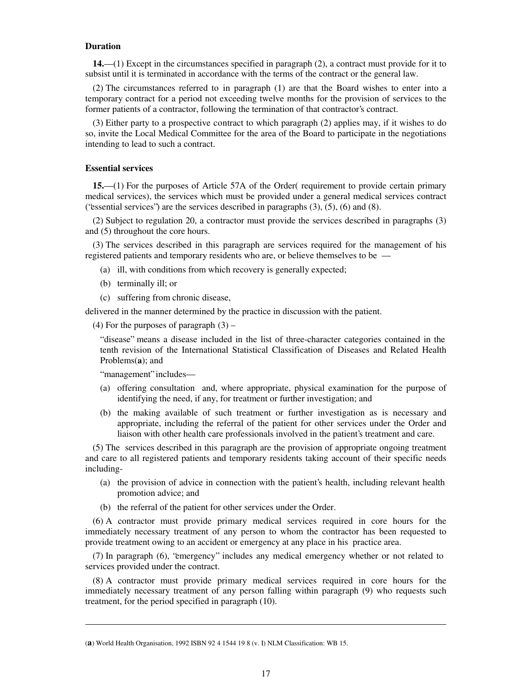#### **Duration**

**14.**—(1) Except in the circumstances specified in paragraph (2), a contract must provide for it to subsist until it is terminated in accordance with the terms of the contract or the general law.

(2) The circumstances referred to in paragraph (1) are that the Board wishes to enter into a temporary contract for a period not exceeding twelve months for the provision of services to the former patients of a contractor, following the termination of that contractor's contract.

(3) Either party to a prospective contract to which paragraph (2) applies may, if it wishes to do so, invite the Local Medical Committee for the area of the Board to participate in the negotiations intending to lead to such a contract.

#### **Essential services**

**15.**—(1) For the purposes of Article 57A of the Order( requirement to provide certain primary medical services), the services which must be provided under a general medical services contract ("essential services") are the services described in paragraphs (3), (5), (6) and (8).

(2) Subject to regulation 20, a contractor must provide the services described in paragraphs (3) and (5) throughout the core hours.

(3) The services described in this paragraph are services required for the management of his registered patients and temporary residents who are, or believe themselves to be —

- (a) ill, with conditions from which recovery is generally expected;
- (b) terminally ill; or
- (c) suffering from chronic disease,

delivered in the manner determined by the practice in discussion with the patient.

(4) For the purposes of paragraph  $(3)$  –

" disease" means a disease included in the list of three-character categories contained in the tenth revision of the International Statistical Classification of Diseases and Related Health Problems(**a**); and

" management" includes—

**.** 

- (a) offering consultation and, where appropriate, physical examination for the purpose of identifying the need, if any, for treatment or further investigation; and
- (b) the making available of such treatment or further investigation as is necessary and appropriate, including the referral of the patient for other services under the Order and liaison with other health care professionals involved in the patient's treatment and care.

(5) The services described in this paragraph are the provision of appropriate ongoing treatment and care to all registered patients and temporary residents taking account of their specific needs including-

- (a) the provision of advice in connection with the patient's health, including relevant health promotion advice; and
- (b) the referral of the patient for other services under the Order.

(6) A contractor must provide primary medical services required in core hours for the immediately necessary treatment of any person to whom the contractor has been requested to provide treatment owing to an accident or emergency at any place in his practice area.

(7) In paragraph (6), "emergency" includes any medical emergency whether or not related to services provided under the contract.

(8) A contractor must provide primary medical services required in core hours for the immediately necessary treatment of any person falling within paragraph (9) who requests such treatment, for the period specified in paragraph (10).

<sup>(</sup>**a**) World Health Organisation, 1992 ISBN 92 4 1544 19 8 (v. I) NLM Classification: WB 15.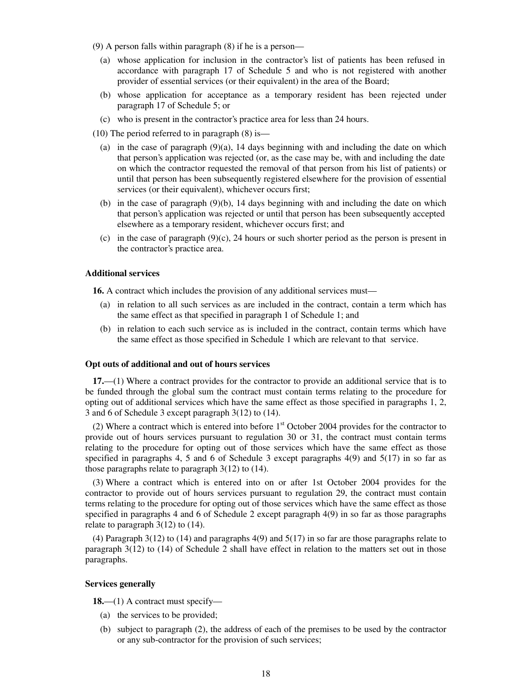- (9) A person falls within paragraph (8) if he is a person—
	- (a) whose application for inclusion in the contractor's list of patients has been refused in accordance with paragraph 17 of Schedule 5 and who is not registered with another provider of essential services (or their equivalent) in the area of the Board;
	- (b) whose application for acceptance as a temporary resident has been rejected under paragraph 17 of Schedule 5; or
	- (c) who is present in the contractor's practice area for less than 24 hours.
- (10) The period referred to in paragraph (8) is—
	- (a) in the case of paragraph  $(9)(a)$ , 14 days beginning with and including the date on which that person's application was rejected (or, as the case may be, with and including the date on which the contractor requested the removal of that person from his list of patients) or until that person has been subsequently registered elsewhere for the provision of essential services (or their equivalent), whichever occurs first;
	- (b) in the case of paragraph (9)(b), 14 days beginning with and including the date on which that person's application was rejected or until that person has been subsequently accepted elsewhere as a temporary resident, whichever occurs first; and
	- (c) in the case of paragraph (9)(c), 24 hours or such shorter period as the person is present in the contractor's practice area.

### **Additional services**

**16.** A contract which includes the provision of any additional services must—

- (a) in relation to all such services as are included in the contract, contain a term which has the same effect as that specified in paragraph 1 of Schedule 1; and
- (b) in relation to each such service as is included in the contract, contain terms which have the same effect as those specified in Schedule 1 which are relevant to that service.

#### **Opt outs of additional and out of hours services**

**17.**—(1) Where a contract provides for the contractor to provide an additional service that is to be funded through the global sum the contract must contain terms relating to the procedure for opting out of additional services which have the same effect as those specified in paragraphs 1, 2, 3 and 6 of Schedule 3 except paragraph 3(12) to (14).

(2) Where a contract which is entered into before  $1<sup>st</sup>$  October 2004 provides for the contractor to provide out of hours services pursuant to regulation 30 or 31, the contract must contain terms relating to the procedure for opting out of those services which have the same effect as those specified in paragraphs 4, 5 and 6 of Schedule 3 except paragraphs  $4(9)$  and  $5(17)$  in so far as those paragraphs relate to paragraph  $3(12)$  to  $(14)$ .

(3) Where a contract which is entered into on or after 1st October 2004 provides for the contractor to provide out of hours services pursuant to regulation 29, the contract must contain terms relating to the procedure for opting out of those services which have the same effect as those specified in paragraphs 4 and 6 of Schedule 2 except paragraph 4(9) in so far as those paragraphs relate to paragraph 3(12) to (14).

(4) Paragraph 3(12) to (14) and paragraphs 4(9) and 5(17) in so far are those paragraphs relate to paragraph 3(12) to (14) of Schedule 2 shall have effect in relation to the matters set out in those paragraphs.

#### **Services generally**

18.—(1) A contract must specify—

- (a) the services to be provided;
- (b) subject to paragraph (2), the address of each of the premises to be used by the contractor or any sub-contractor for the provision of such services;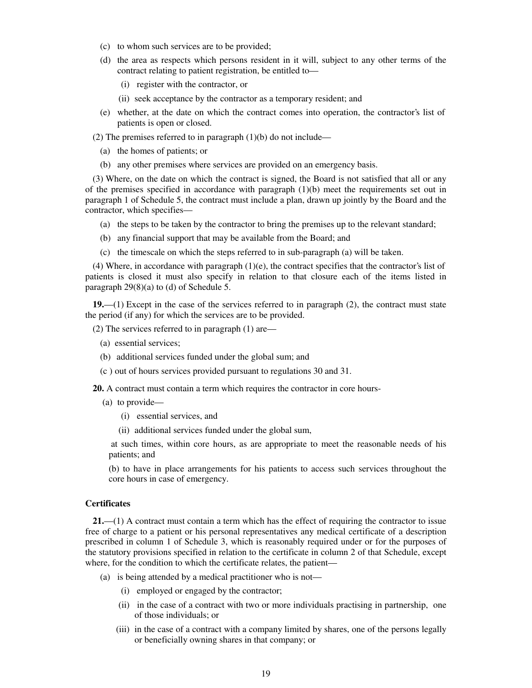- (c) to whom such services are to be provided;
- (d) the area as respects which persons resident in it will, subject to any other terms of the contract relating to patient registration, be entitled to—
	- (i) register with the contractor, or
	- (ii) seek acceptance by the contractor as a temporary resident; and
- (e) whether, at the date on which the contract comes into operation, the contractor's list of patients is open or closed.

(2) The premises referred to in paragraph  $(1)(b)$  do not include—

- (a) the homes of patients; or
- (b) any other premises where services are provided on an emergency basis.

(3) Where, on the date on which the contract is signed, the Board is not satisfied that all or any of the premises specified in accordance with paragraph  $(1)(b)$  meet the requirements set out in paragraph 1 of Schedule 5, the contract must include a plan, drawn up jointly by the Board and the contractor, which specifies—

- (a) the steps to be taken by the contractor to bring the premises up to the relevant standard;
- (b) any financial support that may be available from the Board; and
- (c) the timescale on which the steps referred to in sub-paragraph (a) will be taken.

(4) Where, in accordance with paragraph  $(1)(e)$ , the contract specifies that the contractor's list of patients is closed it must also specify in relation to that closure each of the items listed in paragraph 29(8)(a) to (d) of Schedule 5.

**19.**— (1) Except in the case of the services referred to in paragraph (2), the contract must state the period (if any) for which the services are to be provided.

(2) The services referred to in paragraph (1) are—

- (a) essential services;
- (b) additional services funded under the global sum; and
- (c ) out of hours services provided pursuant to regulations 30 and 31.

**20.** A contract must contain a term which requires the contractor in core hours-

- (a) to provide—
	- (i) essential services, and
	- (ii) additional services funded under the global sum,

at such times, within core hours, as are appropriate to meet the reasonable needs of his patients; and

(b) to have in place arrangements for his patients to access such services throughout the core hours in case of emergency.

### **Certificates**

**21.**—(1) A contract must contain a term which has the effect of requiring the contractor to issue free of charge to a patient or his personal representatives any medical certificate of a description prescribed in column 1 of Schedule 3, which is reasonably required under or for the purposes of the statutory provisions specified in relation to the certificate in column 2 of that Schedule, except where, for the condition to which the certificate relates, the patient—

- (a) is being attended by a medical practitioner who is not—
	- (i) employed or engaged by the contractor;
	- (ii) in the case of a contract with two or more individuals practising in partnership, one of those individuals; or
	- (iii) in the case of a contract with a company limited by shares, one of the persons legally or beneficially owning shares in that company; or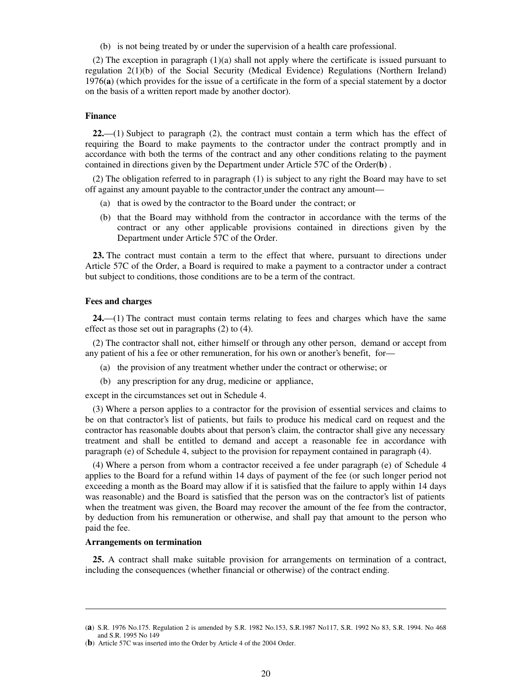(b) is not being treated by or under the supervision of a health care professional.

(2) The exception in paragraph (1)(a) shall not apply where the certificate is issued pursuant to regulation 2(1)(b) of the Social Security (Medical Evidence) Regulations (Northern Ireland) 1976(**a**) (which provides for the issue of a certificate in the form of a special statement by a doctor on the basis of a written report made by another doctor).

#### **Finance**

**22.**— (1) Subject to paragraph (2), the contract must contain a term which has the effect of requiring the Board to make payments to the contractor under the contract promptly and in accordance with both the terms of the contract and any other conditions relating to the payment contained in directions given by the Department under Article 57C of the Order(**b**) .

(2) The obligation referred to in paragraph (1) is subject to any right the Board may have to set off against any amount payable to the contractor under the contract any amount—

- (a) that is owed by the contractor to the Board under the contract; or
- (b) that the Board may withhold from the contractor in accordance with the terms of the contract or any other applicable provisions contained in directions given by the Department under Article 57C of the Order.

**23.** The contract must contain a term to the effect that where, pursuant to directions under Article 57C of the Order, a Board is required to make a payment to a contractor under a contract but subject to conditions, those conditions are to be a term of the contract.

#### **Fees and charges**

**24.**—(1) The contract must contain terms relating to fees and charges which have the same effect as those set out in paragraphs (2) to (4).

(2) The contractor shall not, either himself or through any other person, demand or accept from any patient of his a fee or other remuneration, for his own or another's benefit, for—

- (a) the provision of any treatment whether under the contract or otherwise; or
- (b) any prescription for any drug, medicine or appliance,

except in the circumstances set out in Schedule 4.

(3) Where a person applies to a contractor for the provision of essential services and claims to be on that contractor's list of patients, but fails to produce his medical card on request and the contractor has reasonable doubts about that person's claim, the contractor shall give any necessary treatment and shall be entitled to demand and accept a reasonable fee in accordance with paragraph (e) of Schedule 4, subject to the provision for repayment contained in paragraph (4).

(4) Where a person from whom a contractor received a fee under paragraph (e) of Schedule 4 applies to the Board for a refund within 14 days of payment of the fee (or such longer period not exceeding a month as the Board may allow if it is satisfied that the failure to apply within 14 days was reasonable) and the Board is satisfied that the person was on the contractor's list of patients when the treatment was given, the Board may recover the amount of the fee from the contractor, by deduction from his remuneration or otherwise, and shall pay that amount to the person who paid the fee.

#### **Arrangements on termination**

**.** 

**25.** A contract shall make suitable provision for arrangements on termination of a contract, including the consequences (whether financial or otherwise) of the contract ending.

<sup>(</sup>**a**) S.R. 1976 No.175. Regulation 2 is amended by S.R. 1982 No.153, S.R.1987 No117, S.R. 1992 No 83, S.R. 1994. No 468 and S.R. 1995 No 149

<sup>(</sup>**b**) Article 57C was inserted into the Order by Article 4 of the 2004 Order.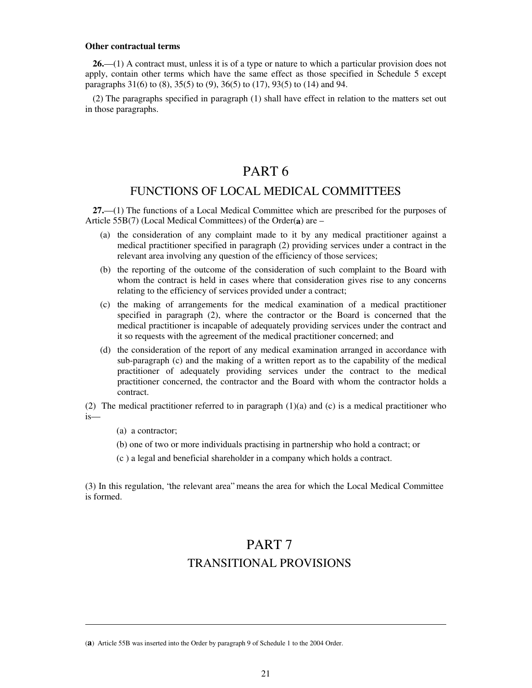#### **Other contractual terms**

**26.**—(1) A contract must, unless it is of a type or nature to which a particular provision does not apply, contain other terms which have the same effect as those specified in Schedule 5 except paragraphs 31(6) to (8), 35(5) to (9), 36(5) to (17), 93(5) to (14) and 94.

(2) The paragraphs specified in paragraph (1) shall have effect in relation to the matters set out in those paragraphs.

# PART 6

# FUNCTIONS OF LOCAL MEDICAL COMMITTEES

**27.**— (1) The functions of a Local Medical Committee which are prescribed for the purposes of Article 55B(7) (Local Medical Committees) of the Order(**a**) are –

- (a) the consideration of any complaint made to it by any medical practitioner against a medical practitioner specified in paragraph (2) providing services under a contract in the relevant area involving any question of the efficiency of those services;
- (b) the reporting of the outcome of the consideration of such complaint to the Board with whom the contract is held in cases where that consideration gives rise to any concerns relating to the efficiency of services provided under a contract;
- (c) the making of arrangements for the medical examination of a medical practitioner specified in paragraph (2), where the contractor or the Board is concerned that the medical practitioner is incapable of adequately providing services under the contract and it so requests with the agreement of the medical practitioner concerned; and
- (d) the consideration of the report of any medical examination arranged in accordance with sub-paragraph (c) and the making of a written report as to the capability of the medical practitioner of adequately providing services under the contract to the medical practitioner concerned, the contractor and the Board with whom the contractor holds a contract.

(2) The medical practitioner referred to in paragraph (1)(a) and (c) is a medical practitioner who is—

(a) a contractor;

**.** 

- (b) one of two or more individuals practising in partnership who hold a contract; or
- (c ) a legal and beneficial shareholder in a company which holds a contract.

(3) In this regulation, "the relevant area" means the area for which the Local Medical Committee is formed.

# PART 7 TRANSITIONAL PROVISIONS

(**a**) Article 55B was inserted into the Order by paragraph 9 of Schedule 1 to the 2004 Order.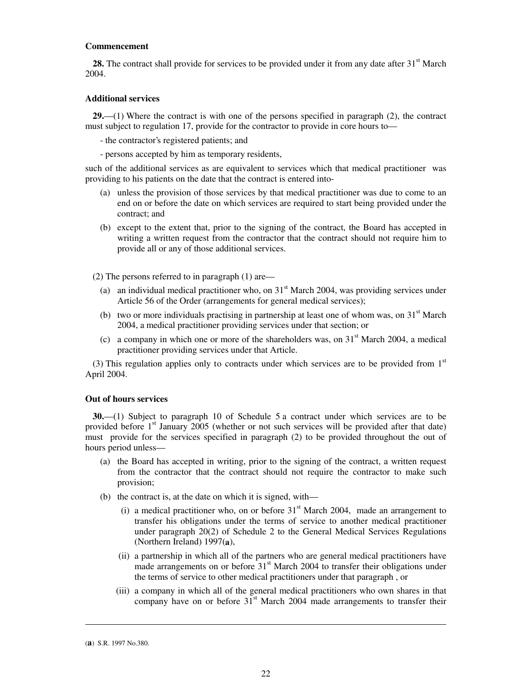#### **Commencement**

**28.** The contract shall provide for services to be provided under it from any date after  $31<sup>st</sup>$  March 2004.

### **Additional services**

**29.**—(1) Where the contract is with one of the persons specified in paragraph (2), the contract must subject to regulation 17, provide for the contractor to provide in core hours to—

- the contractor's registered patients; and
- persons accepted by him as temporary residents,

such of the additional services as are equivalent to services which that medical practitioner was providing to his patients on the date that the contract is entered into-

- (a) unless the provision of those services by that medical practitioner was due to come to an end on or before the date on which services are required to start being provided under the contract; and
- (b) except to the extent that, prior to the signing of the contract, the Board has accepted in writing a written request from the contractor that the contract should not require him to provide all or any of those additional services.

(2) The persons referred to in paragraph (1) are—

- (a) an individual medical practitioner who, on  $31<sup>st</sup>$  March 2004, was providing services under Article 56 of the Order (arrangements for general medical services);
- (b) two or more individuals practising in partnership at least one of whom was, on  $31<sup>st</sup>$  March 2004, a medical practitioner providing services under that section; or
- (c) a company in which one or more of the shareholders was, on  $31<sup>st</sup>$  March 2004, a medical practitioner providing services under that Article.

(3) This regulation applies only to contracts under which services are to be provided from  $1<sup>st</sup>$ April 2004.

#### **Out of hours services**

**30.**— (1) Subject to paragraph 10 of Schedule 5 a contract under which services are to be provided before 1<sup>st</sup> January 2005 (whether or not such services will be provided after that date) must provide for the services specified in paragraph (2) to be provided throughout the out of hours period unless—

- (a) the Board has accepted in writing, prior to the signing of the contract, a written request from the contractor that the contract should not require the contractor to make such provision;
- (b) the contract is, at the date on which it is signed, with—
	- (i) a medical practitioner who, on or before  $31<sup>st</sup>$  March 2004, made an arrangement to transfer his obligations under the terms of service to another medical practitioner under paragraph 20(2) of Schedule 2 to the General Medical Services Regulations (Northern Ireland) 1997(**a**),
	- (ii) a partnership in which all of the partners who are general medical practitioners have made arrangements on or before  $31<sup>st</sup>$  March 2004 to transfer their obligations under the terms of service to other medical practitioners under that paragraph , or
	- (iii) a company in which all of the general medical practitioners who own shares in that company have on or before  $31<sup>st</sup>$  March 2004 made arrangements to transfer their

<sup>(</sup>**a**) S.R. 1997 No.380.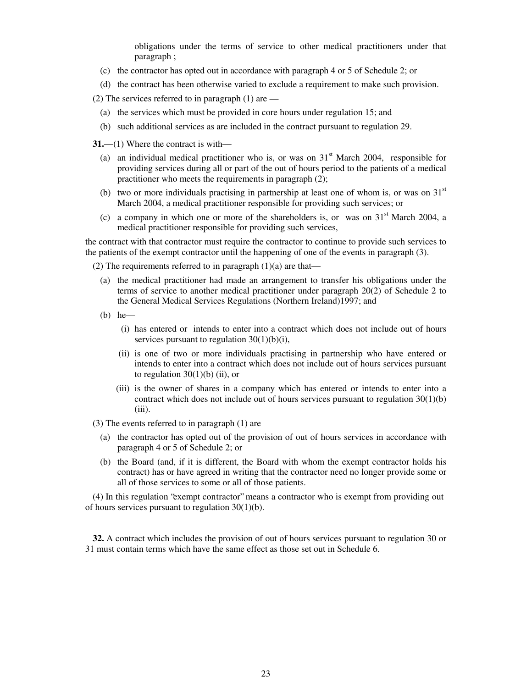obligations under the terms of service to other medical practitioners under that paragraph ;

- (c) the contractor has opted out in accordance with paragraph 4 or 5 of Schedule 2; or
- (d) the contract has been otherwise varied to exclude a requirement to make such provision.
- (2) The services referred to in paragraph  $(1)$  are
	- (a) the services which must be provided in core hours under regulation 15; and
	- (b) such additional services as are included in the contract pursuant to regulation 29.

**31.**—(1) Where the contract is with—

- (a) an individual medical practitioner who is, or was on  $31<sup>st</sup>$  March 2004, responsible for providing services during all or part of the out of hours period to the patients of a medical practitioner who meets the requirements in paragraph (2);
- (b) two or more individuals practising in partnership at least one of whom is, or was on  $31<sup>st</sup>$ March 2004, a medical practitioner responsible for providing such services; or
- (c) a company in which one or more of the shareholders is, or was on  $31<sup>st</sup>$  March 2004, a medical practitioner responsible for providing such services,

the contract with that contractor must require the contractor to continue to provide such services to the patients of the exempt contractor until the happening of one of the events in paragraph (3).

(2) The requirements referred to in paragraph  $(1)(a)$  are that—

- (a) the medical practitioner had made an arrangement to transfer his obligations under the terms of service to another medical practitioner under paragraph 20(2) of Schedule 2 to the General Medical Services Regulations (Northern Ireland)1997; and
- (b) he—
	- (i) has entered or intends to enter into a contract which does not include out of hours services pursuant to regulation 30(1)(b)(i),
	- (ii) is one of two or more individuals practising in partnership who have entered or intends to enter into a contract which does not include out of hours services pursuant to regulation  $30(1)(b)$  (ii), or
	- (iii) is the owner of shares in a company which has entered or intends to enter into a contract which does not include out of hours services pursuant to regulation 30(1)(b) (iii).

(3) The events referred to in paragraph (1) are—

- (a) the contractor has opted out of the provision of out of hours services in accordance with paragraph 4 or 5 of Schedule 2; or
- (b) the Board (and, if it is different, the Board with whom the exempt contractor holds his contract) has or have agreed in writing that the contractor need no longer provide some or all of those services to some or all of those patients.

(4) In this regulation "exempt contractor" means a contractor who is exempt from providing out of hours services pursuant to regulation 30(1)(b).

**32.** A contract which includes the provision of out of hours services pursuant to regulation 30 or 31 must contain terms which have the same effect as those set out in Schedule 6.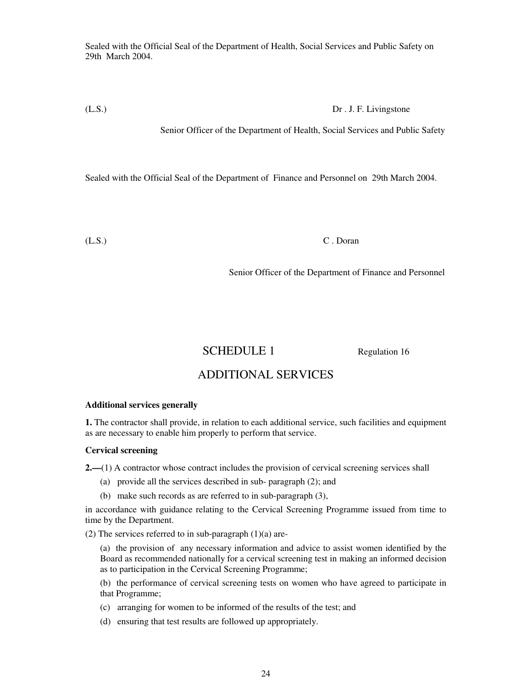Sealed with the Official Seal of the Department of Health, Social Services and Public Safety on 29th March 2004.

(L.S.) Dr . J. F. Livingstone

Senior Officer of the Department of Health, Social Services and Public Safety

Sealed with the Official Seal of the Department of Finance and Personnel on 29th March 2004.

(L.S.) C . Doran

Senior Officer of the Department of Finance and Personnel

# SCHEDULE 1 Regulation 16

# ADDITIONAL SERVICES

## **Additional services generally**

**1.** The contractor shall provide, in relation to each additional service, such facilities and equipment as are necessary to enable him properly to perform that service.

## **Cervical screening**

**2.—**(1) A contractor whose contract includes the provision of cervical screening services shall

- (a) provide all the services described in sub- paragraph (2); and
- (b) make such records as are referred to in sub-paragraph (3),

in accordance with guidance relating to the Cervical Screening Programme issued from time to time by the Department.

(2) The services referred to in sub-paragraph  $(1)(a)$  are-

(a) the provision of any necessary information and advice to assist women identified by the Board as recommended nationally for a cervical screening test in making an informed decision as to participation in the Cervical Screening Programme;

(b) the performance of cervical screening tests on women who have agreed to participate in that Programme;

- (c) arranging for women to be informed of the results of the test; and
- (d) ensuring that test results are followed up appropriately.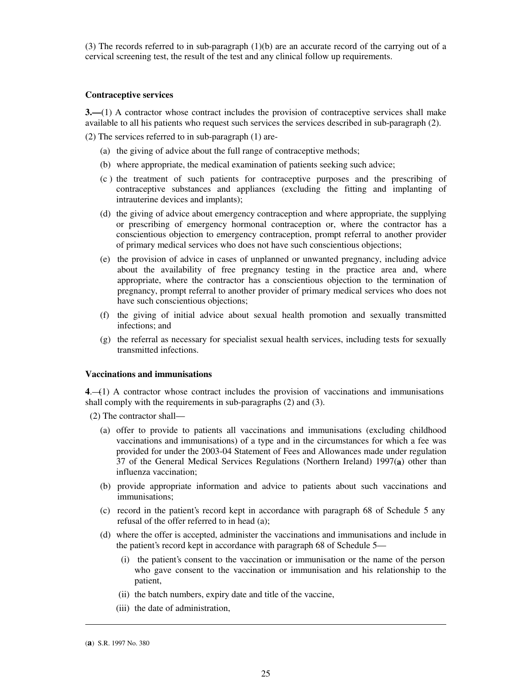(3) The records referred to in sub-paragraph (1)(b) are an accurate record of the carrying out of a cervical screening test, the result of the test and any clinical follow up requirements.

### **Contraceptive services**

**3.—**(1) A contractor whose contract includes the provision of contraceptive services shall make available to all his patients who request such services the services described in sub-paragraph (2).

(2) The services referred to in sub-paragraph (1) are-

- (a) the giving of advice about the full range of contraceptive methods;
- (b) where appropriate, the medical examination of patients seeking such advice;
- (c ) the treatment of such patients for contraceptive purposes and the prescribing of contraceptive substances and appliances (excluding the fitting and implanting of intrauterine devices and implants);
- (d) the giving of advice about emergency contraception and where appropriate, the supplying or prescribing of emergency hormonal contraception or, where the contractor has a conscientious objection to emergency contraception, prompt referral to another provider of primary medical services who does not have such conscientious objections;
- (e) the provision of advice in cases of unplanned or unwanted pregnancy, including advice about the availability of free pregnancy testing in the practice area and, where appropriate, where the contractor has a conscientious objection to the termination of pregnancy, prompt referral to another provider of primary medical services who does not have such conscientious objections;
- (f) the giving of initial advice about sexual health promotion and sexually transmitted infections; and
- (g) the referral as necessary for specialist sexual health services, including tests for sexually transmitted infections.

#### **Vaccinations and immunisations**

**4**.—(1) A contractor whose contract includes the provision of vaccinations and immunisations shall comply with the requirements in sub-paragraphs (2) and (3).

(2) The contractor shall—

- (a) offer to provide to patients all vaccinations and immunisations (excluding childhood vaccinations and immunisations) of a type and in the circumstances for which a fee was provided for under the 2003-04 Statement of Fees and Allowances made under regulation 37 of the General Medical Services Regulations (Northern Ireland) 1997(**a**) other than influenza vaccination;
- (b) provide appropriate information and advice to patients about such vaccinations and immunisations;
- (c) record in the patient's record kept in accordance with paragraph 68 of Schedule 5 any refusal of the offer referred to in head (a);
- (d) where the offer is accepted, administer the vaccinations and immunisations and include in the patient's record kept in accordance with paragraph 68 of Schedule 5—
	- (i) the patient's consent to the vaccination or immunisation or the name of the person who gave consent to the vaccination or immunisation and his relationship to the patient,
	- (ii) the batch numbers, expiry date and title of the vaccine,
	- (iii) the date of administration,

<sup>(</sup>**a**) S.R. 1997 No. 380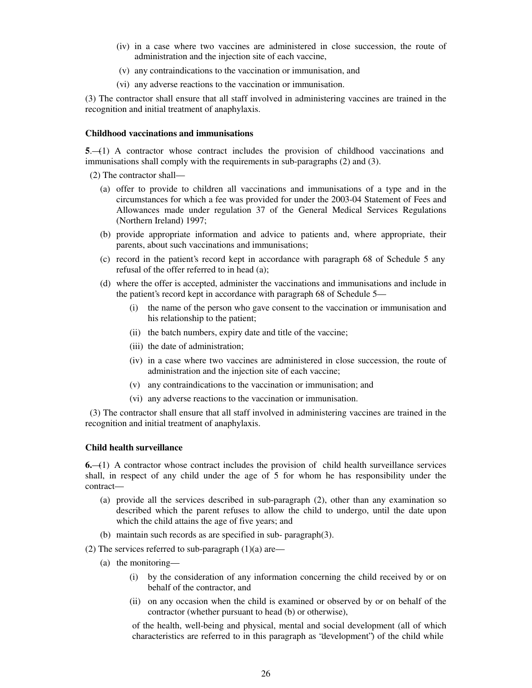- (iv) in a case where two vaccines are administered in close succession, the route of administration and the injection site of each vaccine,
- (v) any contraindications to the vaccination or immunisation, and
- (vi) any adverse reactions to the vaccination or immunisation.

(3) The contractor shall ensure that all staff involved in administering vaccines are trained in the recognition and initial treatment of anaphylaxis.

## **Childhood vaccinations and immunisations**

**5**.—(1) A contractor whose contract includes the provision of childhood vaccinations and immunisations shall comply with the requirements in sub-paragraphs (2) and (3).

(2) The contractor shall—

- (a) offer to provide to children all vaccinations and immunisations of a type and in the circumstances for which a fee was provided for under the 2003-04 Statement of Fees and Allowances made under regulation 37 of the General Medical Services Regulations (Northern Ireland) 1997;
- (b) provide appropriate information and advice to patients and, where appropriate, their parents, about such vaccinations and immunisations;
- (c) record in the patient's record kept in accordance with paragraph 68 of Schedule 5 any refusal of the offer referred to in head (a);
- (d) where the offer is accepted, administer the vaccinations and immunisations and include in the patient's record kept in accordance with paragraph 68 of Schedule 5—
	- (i) the name of the person who gave consent to the vaccination or immunisation and his relationship to the patient;
	- (ii) the batch numbers, expiry date and title of the vaccine;
	- (iii) the date of administration;
	- (iv) in a case where two vaccines are administered in close succession, the route of administration and the injection site of each vaccine;
	- (v) any contraindications to the vaccination or immunisation; and
	- (vi) any adverse reactions to the vaccination or immunisation.

 (3) The contractor shall ensure that all staff involved in administering vaccines are trained in the recognition and initial treatment of anaphylaxis.

#### **Child health surveillance**

**6.**—(1) A contractor whose contract includes the provision of child health surveillance services shall, in respect of any child under the age of 5 for whom he has responsibility under the contract—

- (a) provide all the services described in sub-paragraph (2), other than any examination so described which the parent refuses to allow the child to undergo, until the date upon which the child attains the age of five years; and
- (b) maintain such records as are specified in sub- paragraph(3).

(2) The services referred to sub-paragraph  $(1)(a)$  are—

- (a) the monitoring—
	- (i) by the consideration of any information concerning the child received by or on behalf of the contractor, and
	- (ii) on any occasion when the child is examined or observed by or on behalf of the contractor (whether pursuant to head (b) or otherwise),

of the health, well-being and physical, mental and social development (all of which characteristics are referred to in this paragraph as "development") of the child while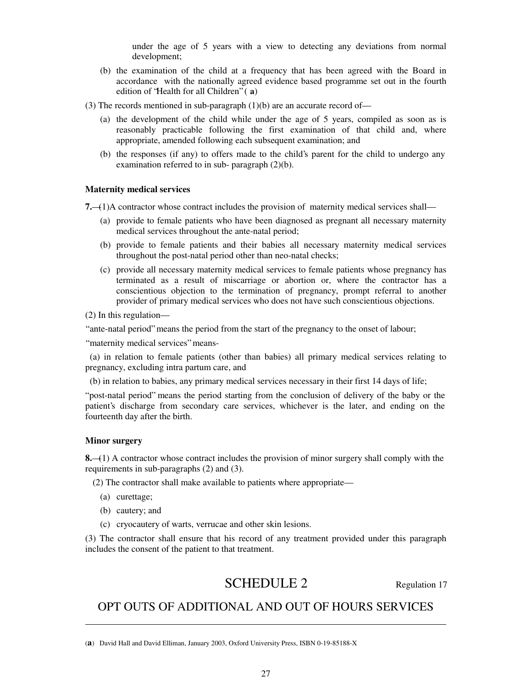under the age of 5 years with a view to detecting any deviations from normal development;

- (b) the examination of the child at a frequency that has been agreed with the Board in accordance with the nationally agreed evidence based programme set out in the fourth edition of 'Health for all Children" (a)
- (3) The records mentioned in sub-paragraph  $(1)(b)$  are an accurate record of-
	- (a) the development of the child while under the age of 5 years, compiled as soon as is reasonably practicable following the first examination of that child and, where appropriate, amended following each subsequent examination; and
	- (b) the responses (if any) to offers made to the child's parent for the child to undergo any examination referred to in sub- paragraph (2)(b).

### **Maternity medical services**

**7.**—(1)A contractor whose contract includes the provision of maternity medical services shall—

- (a) provide to female patients who have been diagnosed as pregnant all necessary maternity medical services throughout the ante-natal period;
- (b) provide to female patients and their babies all necessary maternity medical services throughout the post-natal period other than neo-natal checks;
- (c) provide all necessary maternity medical services to female patients whose pregnancy has terminated as a result of miscarriage or abortion or, where the contractor has a conscientious objection to the termination of pregnancy, prompt referral to another provider of primary medical services who does not have such conscientious objections.

(2) In this regulation—

" ante-natal period" means the period from the start of the pregnancy to the onset of labour;

" maternity medical services" means-

 (a) in relation to female patients (other than babies) all primary medical services relating to pregnancy, excluding intra partum care, and

(b) in relation to babies, any primary medical services necessary in their first 14 days of life;

" post-natal period" means the period starting from the conclusion of delivery of the baby or the patient's discharge from secondary care services, whichever is the later, and ending on the fourteenth day after the birth.

### **Minor surgery**

**.** 

**8.**—(1) A contractor whose contract includes the provision of minor surgery shall comply with the requirements in sub-paragraphs (2) and (3).

(2) The contractor shall make available to patients where appropriate—

- (a) curettage;
- (b) cautery; and
- (c) cryocautery of warts, verrucae and other skin lesions.

(3) The contractor shall ensure that his record of any treatment provided under this paragraph includes the consent of the patient to that treatment.

# SCHEDULE 2 Regulation 17

# OPT OUTS OF ADDITIONAL AND OUT OF HOURS SERVICES

<sup>(</sup>**a**) David Hall and David Elliman, January 2003, Oxford University Press, ISBN 0-19-85188-X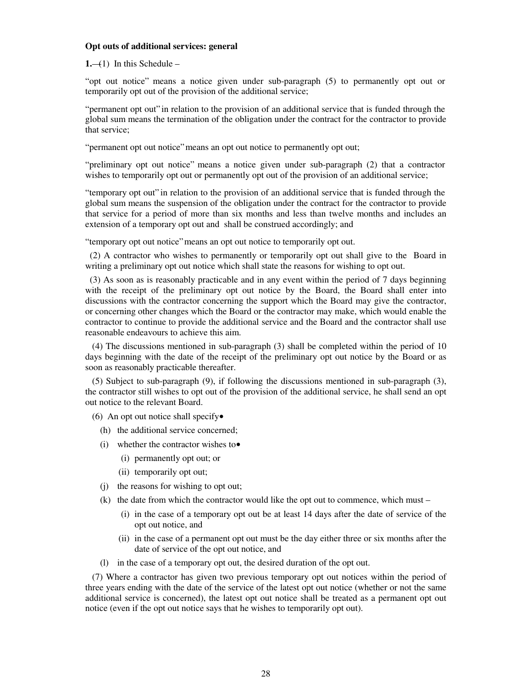#### **Opt outs of additional services: general**

#### $1,-(1)$  In this Schedule –

" opt out notice" means a notice given under sub-paragraph (5) to permanently opt out or temporarily opt out of the provision of the additional service;

" permanent opt out" in relation to the provision of an additional service that is funded through the global sum means the termination of the obligation under the contract for the contractor to provide that service;

" permanent opt out notice" means an opt out notice to permanently opt out;

" preliminary opt out notice" means a notice given under sub-paragraph (2) that a contractor wishes to temporarily opt out or permanently opt out of the provision of an additional service;

" temporary opt out" in relation to the provision of an additional service that is funded through the global sum means the suspension of the obligation under the contract for the contractor to provide that service for a period of more than six months and less than twelve months and includes an extension of a temporary opt out and shall be construed accordingly; and

" temporary opt out notice" means an opt out notice to temporarily opt out.

 (2) A contractor who wishes to permanently or temporarily opt out shall give to the Board in writing a preliminary opt out notice which shall state the reasons for wishing to opt out.

 (3) As soon as is reasonably practicable and in any event within the period of 7 days beginning with the receipt of the preliminary opt out notice by the Board, the Board shall enter into discussions with the contractor concerning the support which the Board may give the contractor, or concerning other changes which the Board or the contractor may make, which would enable the contractor to continue to provide the additional service and the Board and the contractor shall use reasonable endeavours to achieve this aim.

 (4) The discussions mentioned in sub-paragraph (3) shall be completed within the period of 10 days beginning with the date of the receipt of the preliminary opt out notice by the Board or as soon as reasonably practicable thereafter.

 (5) Subject to sub-paragraph (9), if following the discussions mentioned in sub-paragraph (3), the contractor still wishes to opt out of the provision of the additional service, he shall send an opt out notice to the relevant Board.

(6) An opt out notice shall specify $\bullet$ 

- (h) the additional service concerned;
- (i) whether the contractor wishes to•
	- (i) permanently opt out; or
	- (ii) temporarily opt out;
- (j) the reasons for wishing to opt out;
- (k) the date from which the contractor would like the opt out to commence, which must
	- (i) in the case of a temporary opt out be at least 14 days after the date of service of the opt out notice, and
	- (ii) in the case of a permanent opt out must be the day either three or six months after the date of service of the opt out notice, and
- (l) in the case of a temporary opt out, the desired duration of the opt out.

 (7) Where a contractor has given two previous temporary opt out notices within the period of three years ending with the date of the service of the latest opt out notice (whether or not the same additional service is concerned), the latest opt out notice shall be treated as a permanent opt out notice (even if the opt out notice says that he wishes to temporarily opt out).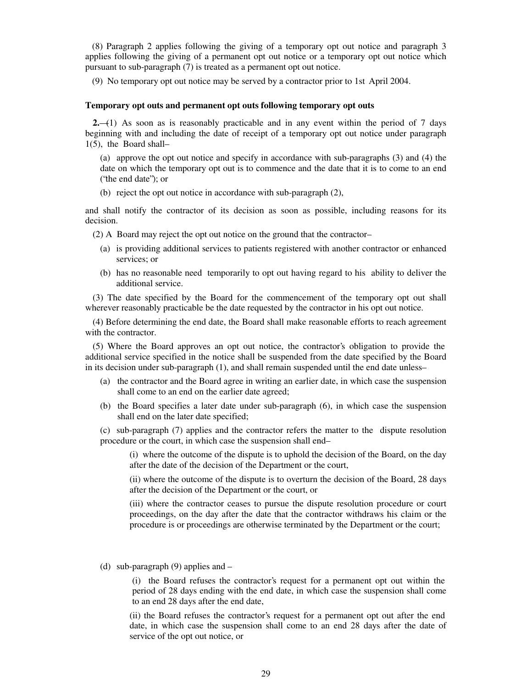(8) Paragraph 2 applies following the giving of a temporary opt out notice and paragraph 3 applies following the giving of a permanent opt out notice or a temporary opt out notice which pursuant to sub-paragraph (7) is treated as a permanent opt out notice.

(9) No temporary opt out notice may be served by a contractor prior to 1st April 2004.

### **Temporary opt outs and permanent opt outs following temporary opt outs**

**2.**—(1) As soon as is reasonably practicable and in any event within the period of 7 days beginning with and including the date of receipt of a temporary opt out notice under paragraph 1(5), the Board shall–

(a) approve the opt out notice and specify in accordance with sub-paragraphs (3) and (4) the date on which the temporary opt out is to commence and the date that it is to come to an end ("the end date"); or

(b) reject the opt out notice in accordance with sub-paragraph (2),

and shall notify the contractor of its decision as soon as possible, including reasons for its decision.

(2) A Board may reject the opt out notice on the ground that the contractor–

- (a) is providing additional services to patients registered with another contractor or enhanced services; or
- (b) has no reasonable need temporarily to opt out having regard to his ability to deliver the additional service.

(3) The date specified by the Board for the commencement of the temporary opt out shall wherever reasonably practicable be the date requested by the contractor in his opt out notice.

(4) Before determining the end date, the Board shall make reasonable efforts to reach agreement with the contractor.

(5) Where the Board approves an opt out notice, the contractor's obligation to provide the additional service specified in the notice shall be suspended from the date specified by the Board in its decision under sub-paragraph (1), and shall remain suspended until the end date unless–

- (a) the contractor and the Board agree in writing an earlier date, in which case the suspension shall come to an end on the earlier date agreed;
- (b) the Board specifies a later date under sub-paragraph (6), in which case the suspension shall end on the later date specified;

(c) sub-paragraph (7) applies and the contractor refers the matter to the dispute resolution procedure or the court, in which case the suspension shall end–

(i) where the outcome of the dispute is to uphold the decision of the Board, on the day after the date of the decision of the Department or the court,

(ii) where the outcome of the dispute is to overturn the decision of the Board, 28 days after the decision of the Department or the court, or

(iii) where the contractor ceases to pursue the dispute resolution procedure or court proceedings, on the day after the date that the contractor withdraws his claim or the procedure is or proceedings are otherwise terminated by the Department or the court;

(d) sub-paragraph (9) applies and –

(i) the Board refuses the contractor's request for a permanent opt out within the period of 28 days ending with the end date, in which case the suspension shall come to an end 28 days after the end date,

(ii) the Board refuses the contractor's request for a permanent opt out after the end date, in which case the suspension shall come to an end 28 days after the date of service of the opt out notice, or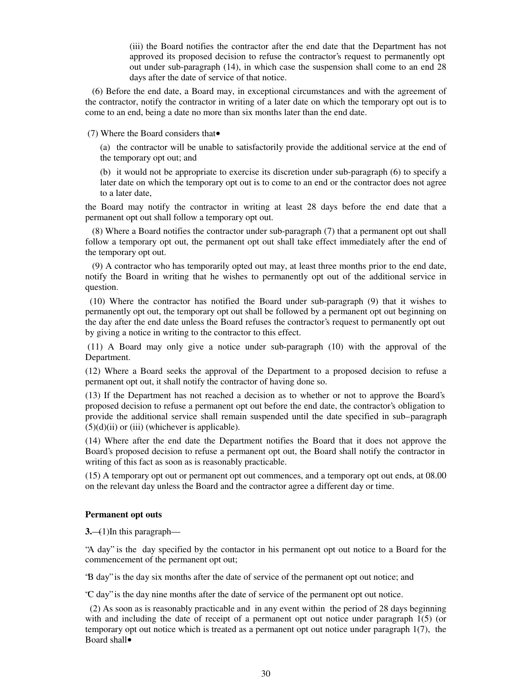(iii) the Board notifies the contractor after the end date that the Department has not approved its proposed decision to refuse the contractor's request to permanently opt out under sub-paragraph (14), in which case the suspension shall come to an end 28 days after the date of service of that notice.

 (6) Before the end date, a Board may, in exceptional circumstances and with the agreement of the contractor, notify the contractor in writing of a later date on which the temporary opt out is to come to an end, being a date no more than six months later than the end date.

(7) Where the Board considers that•

(a) the contractor will be unable to satisfactorily provide the additional service at the end of the temporary opt out; and

(b) it would not be appropriate to exercise its discretion under sub-paragraph (6) to specify a later date on which the temporary opt out is to come to an end or the contractor does not agree to a later date,

the Board may notify the contractor in writing at least 28 days before the end date that a permanent opt out shall follow a temporary opt out.

 (8) Where a Board notifies the contractor under sub-paragraph (7) that a permanent opt out shall follow a temporary opt out, the permanent opt out shall take effect immediately after the end of the temporary opt out.

 (9) A contractor who has temporarily opted out may, at least three months prior to the end date, notify the Board in writing that he wishes to permanently opt out of the additional service in question.

 (10) Where the contractor has notified the Board under sub-paragraph (9) that it wishes to permanently opt out, the temporary opt out shall be followed by a permanent opt out beginning on the day after the end date unless the Board refuses the contractor's request to permanently opt out by giving a notice in writing to the contractor to this effect.

(11) A Board may only give a notice under sub-paragraph (10) with the approval of the Department.

(12) Where a Board seeks the approval of the Department to a proposed decision to refuse a permanent opt out, it shall notify the contractor of having done so.

(13) If the Department has not reached a decision as to whether or not to approve the Board's proposed decision to refuse a permanent opt out before the end date, the contractor's obligation to provide the additional service shall remain suspended until the date specified in sub–paragraph  $(5)(d)(ii)$  or (iii) (whichever is applicable).

(14) Where after the end date the Department notifies the Board that it does not approve the Board's proposed decision to refuse a permanent opt out, the Board shall notify the contractor in writing of this fact as soon as is reasonably practicable.

(15) A temporary opt out or permanent opt out commences, and a temporary opt out ends, at 08.00 on the relevant day unless the Board and the contractor agree a different day or time.

#### **Permanent opt outs**

**3.**—(1)In this paragraph—

"A day" is the day specified by the contactor in his permanent opt out notice to a Board for the commencement of the permanent opt out;

"B day" is the day six months after the date of service of the permanent opt out notice; and

"C day" is the day nine months after the date of service of the permanent opt out notice.

 (2) As soon as is reasonably practicable and in any event within the period of 28 days beginning with and including the date of receipt of a permanent opt out notice under paragraph 1(5) (or temporary opt out notice which is treated as a permanent opt out notice under paragraph 1(7), the Board shall•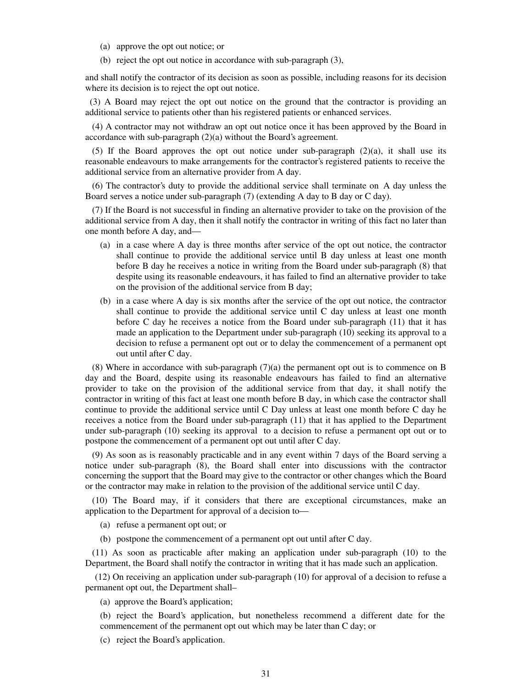- (a) approve the opt out notice; or
- (b) reject the opt out notice in accordance with sub-paragraph (3),

and shall notify the contractor of its decision as soon as possible, including reasons for its decision where its decision is to reject the opt out notice.

 (3) A Board may reject the opt out notice on the ground that the contractor is providing an additional service to patients other than his registered patients or enhanced services.

 (4) A contractor may not withdraw an opt out notice once it has been approved by the Board in accordance with sub-paragraph (2)(a) without the Board's agreement.

(5) If the Board approves the opt out notice under sub-paragraph  $(2)(a)$ , it shall use its reasonable endeavours to make arrangements for the contractor's registered patients to receive the additional service from an alternative provider from A day.

 (6) The contractor's duty to provide the additional service shall terminate on A day unless the Board serves a notice under sub-paragraph (7) (extending A day to B day or C day).

 (7) If the Board is not successful in finding an alternative provider to take on the provision of the additional service from A day, then it shall notify the contractor in writing of this fact no later than one month before A day, and—

- (a) in a case where A day is three months after service of the opt out notice, the contractor shall continue to provide the additional service until B day unless at least one month before B day he receives a notice in writing from the Board under sub-paragraph (8) that despite using its reasonable endeavours, it has failed to find an alternative provider to take on the provision of the additional service from B day;
- (b) in a case where A day is six months after the service of the opt out notice, the contractor shall continue to provide the additional service until C day unless at least one month before C day he receives a notice from the Board under sub-paragraph (11) that it has made an application to the Department under sub-paragraph (10) seeking its approval to a decision to refuse a permanent opt out or to delay the commencement of a permanent opt out until after C day.

 (8) Where in accordance with sub-paragraph (7)(a) the permanent opt out is to commence on B day and the Board, despite using its reasonable endeavours has failed to find an alternative provider to take on the provision of the additional service from that day, it shall notify the contractor in writing of this fact at least one month before B day, in which case the contractor shall continue to provide the additional service until C Day unless at least one month before C day he receives a notice from the Board under sub-paragraph (11) that it has applied to the Department under sub-paragraph (10) seeking its approval to a decision to refuse a permanent opt out or to postpone the commencement of a permanent opt out until after C day.

 (9) As soon as is reasonably practicable and in any event within 7 days of the Board serving a notice under sub-paragraph (8), the Board shall enter into discussions with the contractor concerning the support that the Board may give to the contractor or other changes which the Board or the contractor may make in relation to the provision of the additional service until C day.

 (10) The Board may, if it considers that there are exceptional circumstances, make an application to the Department for approval of a decision to—

- (a) refuse a permanent opt out; or
- (b) postpone the commencement of a permanent opt out until after C day.

 (11) As soon as practicable after making an application under sub-paragraph (10) to the Department, the Board shall notify the contractor in writing that it has made such an application.

(12) On receiving an application under sub-paragraph (10) for approval of a decision to refuse a permanent opt out, the Department shall–

(a) approve the Board's application;

(b) reject the Board's application, but nonetheless recommend a different date for the commencement of the permanent opt out which may be later than C day; or

(c) reject the Board's application.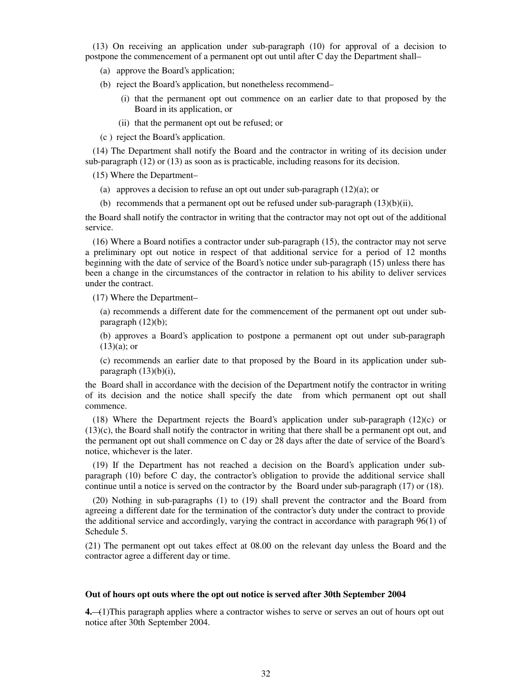(13) On receiving an application under sub-paragraph (10) for approval of a decision to postpone the commencement of a permanent opt out until after C day the Department shall–

- (a) approve the Board's application;
- (b) reject the Board's application, but nonetheless recommend–
	- (i) that the permanent opt out commence on an earlier date to that proposed by the Board in its application, or
	- (ii) that the permanent opt out be refused; or
- (c ) reject the Board's application.

(14) The Department shall notify the Board and the contractor in writing of its decision under sub-paragraph (12) or (13) as soon as is practicable, including reasons for its decision.

(15) Where the Department–

- (a) approves a decision to refuse an opt out under sub-paragraph (12)(a); or
- (b) recommends that a permanent opt out be refused under sub-paragraph  $(13)(b)(ii)$ ,

the Board shall notify the contractor in writing that the contractor may not opt out of the additional service.

(16) Where a Board notifies a contractor under sub-paragraph (15), the contractor may not serve a preliminary opt out notice in respect of that additional service for a period of 12 months beginning with the date of service of the Board's notice under sub-paragraph (15) unless there has been a change in the circumstances of the contractor in relation to his ability to deliver services under the contract.

(17) Where the Department–

(a) recommends a different date for the commencement of the permanent opt out under subparagraph  $(12)(b)$ ;

(b) approves a Board's application to postpone a permanent opt out under sub-paragraph  $(13)(a)$ ; or

(c) recommends an earlier date to that proposed by the Board in its application under subparagraph  $(13)(b)(i)$ ,

the Board shall in accordance with the decision of the Department notify the contractor in writing of its decision and the notice shall specify the date from which permanent opt out shall commence.

(18) Where the Department rejects the Board's application under sub-paragraph (12)(c) or (13)(c), the Board shall notify the contractor in writing that there shall be a permanent opt out, and the permanent opt out shall commence on C day or 28 days after the date of service of the Board's notice, whichever is the later.

(19) If the Department has not reached a decision on the Board's application under subparagraph (10) before C day, the contractor's obligation to provide the additional service shall continue until a notice is served on the contractor by the Board under sub-paragraph (17) or (18).

(20) Nothing in sub-paragraphs (1) to (19) shall prevent the contractor and the Board from agreeing a different date for the termination of the contractor's duty under the contract to provide the additional service and accordingly, varying the contract in accordance with paragraph 96(1) of Schedule 5.

(21) The permanent opt out takes effect at 08.00 on the relevant day unless the Board and the contractor agree a different day or time.

#### **Out of hours opt outs where the opt out notice is served after 30th September 2004**

**4.**—(1)This paragraph applies where a contractor wishes to serve or serves an out of hours opt out notice after 30th September 2004.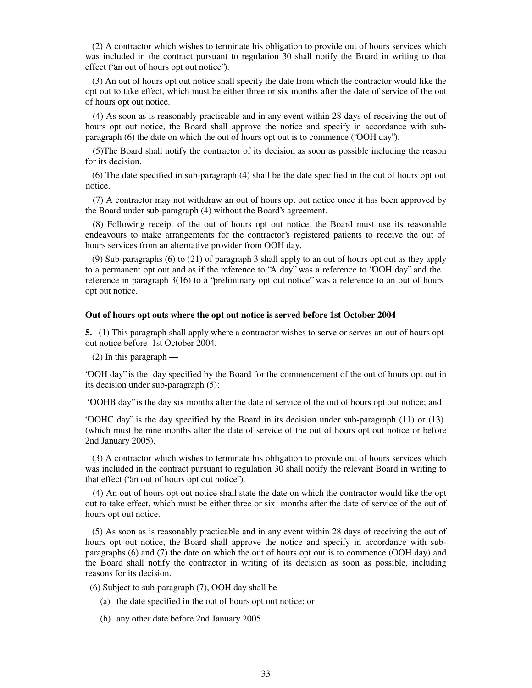(2) A contractor which wishes to terminate his obligation to provide out of hours services which was included in the contract pursuant to regulation 30 shall notify the Board in writing to that effect ("an out of hours opt out notice").

 (3) An out of hours opt out notice shall specify the date from which the contractor would like the opt out to take effect, which must be either three or six months after the date of service of the out of hours opt out notice.

(4) As soon as is reasonably practicable and in any event within 28 days of receiving the out of hours opt out notice, the Board shall approve the notice and specify in accordance with subparagraph (6) the date on which the out of hours opt out is to commence ("OOH day").

(5)The Board shall notify the contractor of its decision as soon as possible including the reason for its decision.

 (6) The date specified in sub-paragraph (4) shall be the date specified in the out of hours opt out notice.

(7) A contractor may not withdraw an out of hours opt out notice once it has been approved by the Board under sub-paragraph (4) without the Board's agreement.

(8) Following receipt of the out of hours opt out notice, the Board must use its reasonable endeavours to make arrangements for the contractor's registered patients to receive the out of hours services from an alternative provider from OOH day.

 (9) Sub-paragraphs (6) to (21) of paragraph 3 shall apply to an out of hours opt out as they apply to a permanent opt out and as if the reference to "A day" was a reference to "OOH day" and the reference in paragraph 3(16) to a "preliminary opt out notice" was a reference to an out of hours opt out notice.

#### **Out of hours opt outs where the opt out notice is served before 1st October 2004**

**5.**—(1) This paragraph shall apply where a contractor wishes to serve or serves an out of hours opt out notice before 1st October 2004.

(2) In this paragraph —

"OOH day" is the day specified by the Board for the commencement of the out of hours opt out in its decision under sub-paragraph (5);

"OOHB day" is the day six months after the date of service of the out of hours opt out notice; and

"OOHC day" is the day specified by the Board in its decision under sub-paragraph (11) or (13) (which must be nine months after the date of service of the out of hours opt out notice or before 2nd January 2005).

 (3) A contractor which wishes to terminate his obligation to provide out of hours services which was included in the contract pursuant to regulation 30 shall notify the relevant Board in writing to that effect ("an out of hours opt out notice").

(4) An out of hours opt out notice shall state the date on which the contractor would like the opt out to take effect, which must be either three or six months after the date of service of the out of hours opt out notice.

 (5) As soon as is reasonably practicable and in any event within 28 days of receiving the out of hours opt out notice, the Board shall approve the notice and specify in accordance with subparagraphs (6) and (7) the date on which the out of hours opt out is to commence (OOH day) and the Board shall notify the contractor in writing of its decision as soon as possible, including reasons for its decision.

(6) Subject to sub-paragraph (7), OOH day shall be –

- (a) the date specified in the out of hours opt out notice; or
- (b) any other date before 2nd January 2005.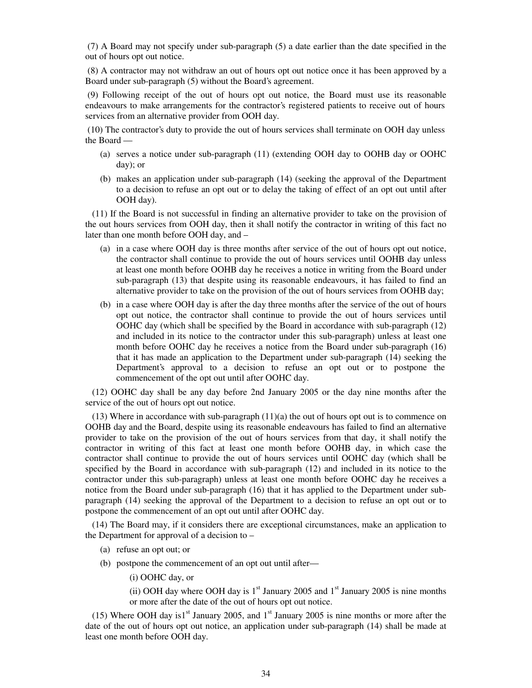(7) A Board may not specify under sub-paragraph (5) a date earlier than the date specified in the out of hours opt out notice.

(8) A contractor may not withdraw an out of hours opt out notice once it has been approved by a Board under sub-paragraph (5) without the Board's agreement.

(9) Following receipt of the out of hours opt out notice, the Board must use its reasonable endeavours to make arrangements for the contractor's registered patients to receive out of hours services from an alternative provider from OOH day.

(10) The contractor's duty to provide the out of hours services shall terminate on OOH day unless the Board —

- (a) serves a notice under sub-paragraph (11) (extending OOH day to OOHB day or OOHC day); or
- (b) makes an application under sub-paragraph (14) (seeking the approval of the Department to a decision to refuse an opt out or to delay the taking of effect of an opt out until after OOH day).

 (11) If the Board is not successful in finding an alternative provider to take on the provision of the out hours services from OOH day, then it shall notify the contractor in writing of this fact no later than one month before OOH day, and –

- (a) in a case where OOH day is three months after service of the out of hours opt out notice, the contractor shall continue to provide the out of hours services until OOHB day unless at least one month before OOHB day he receives a notice in writing from the Board under sub-paragraph (13) that despite using its reasonable endeavours, it has failed to find an alternative provider to take on the provision of the out of hours services from OOHB day;
- (b) in a case where OOH day is after the day three months after the service of the out of hours opt out notice, the contractor shall continue to provide the out of hours services until OOHC day (which shall be specified by the Board in accordance with sub-paragraph (12) and included in its notice to the contractor under this sub-paragraph) unless at least one month before OOHC day he receives a notice from the Board under sub-paragraph (16) that it has made an application to the Department under sub-paragraph (14) seeking the Department's approval to a decision to refuse an opt out or to postpone the commencement of the opt out until after OOHC day.

 (12) OOHC day shall be any day before 2nd January 2005 or the day nine months after the service of the out of hours opt out notice.

 $(13)$  Where in accordance with sub-paragraph  $(11)(a)$  the out of hours opt out is to commence on OOHB day and the Board, despite using its reasonable endeavours has failed to find an alternative provider to take on the provision of the out of hours services from that day, it shall notify the contractor in writing of this fact at least one month before OOHB day, in which case the contractor shall continue to provide the out of hours services until OOHC day (which shall be specified by the Board in accordance with sub-paragraph (12) and included in its notice to the contractor under this sub-paragraph) unless at least one month before OOHC day he receives a notice from the Board under sub-paragraph (16) that it has applied to the Department under subparagraph (14) seeking the approval of the Department to a decision to refuse an opt out or to postpone the commencement of an opt out until after OOHC day.

 (14) The Board may, if it considers there are exceptional circumstances, make an application to the Department for approval of a decision to –

- (a) refuse an opt out; or
- (b) postpone the commencement of an opt out until after—
	- (i) OOHC day, or
	- (ii) OOH day where OOH day is  $1<sup>st</sup>$  January 2005 and  $1<sup>st</sup>$  January 2005 is nine months or more after the date of the out of hours opt out notice.

(15) Where OOH day is1<sup>st</sup> January 2005, and 1<sup>st</sup> January 2005 is nine months or more after the date of the out of hours opt out notice, an application under sub-paragraph (14) shall be made at least one month before OOH day.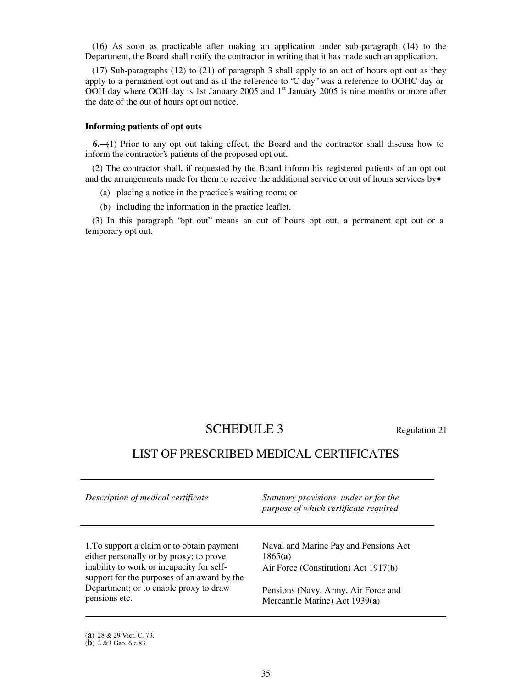(16) As soon as practicable after making an application under sub-paragraph (14) to the Department, the Board shall notify the contractor in writing that it has made such an application.

 (17) Sub-paragraphs (12) to (21) of paragraph 3 shall apply to an out of hours opt out as they apply to a permanent opt out and as if the reference to "C day" was a reference to OOHC day or OOH day where OOH day is 1st January 2005 and 1<sup>st</sup> January 2005 is nine months or more after the date of the out of hours opt out notice.

### **Informing patients of opt outs**

**6.**—(1) Prior to any opt out taking effect, the Board and the contractor shall discuss how to inform the contractor's patients of the proposed opt out.

 (2) The contractor shall, if requested by the Board inform his registered patients of an opt out and the arrangements made for them to receive the additional service or out of hours services by  $\bullet$ 

- (a) placing a notice in the practice's waiting room; or
- (b) including the information in the practice leaflet.

 (3) In this paragraph "opt out" means an out of hours opt out, a permanent opt out or a temporary opt out.

# SCHEDULE 3 Regulation 21

# LIST OF PRESCRIBED MEDICAL CERTIFICATES

| Description of medical certificate                                                                                                                                                | Statutory provisions under or for the<br>purpose of which certificate required           |
|-----------------------------------------------------------------------------------------------------------------------------------------------------------------------------------|------------------------------------------------------------------------------------------|
| 1. To support a claim or to obtain payment<br>either personally or by proxy; to prove<br>inability to work or incapacity for self-<br>support for the purposes of an award by the | Naval and Marine Pay and Pensions Act<br>1865(a)<br>Air Force (Constitution) Act 1917(b) |
| Department; or to enable proxy to draw<br>pensions etc.                                                                                                                           | Pensions (Navy, Army, Air Force and<br>Mercantile Marine) Act 1939(a)                    |

(**a**) 28 & 29 Vict. C. 73.

<sup>(</sup>**b**) 2 &3 Geo. 6 c.83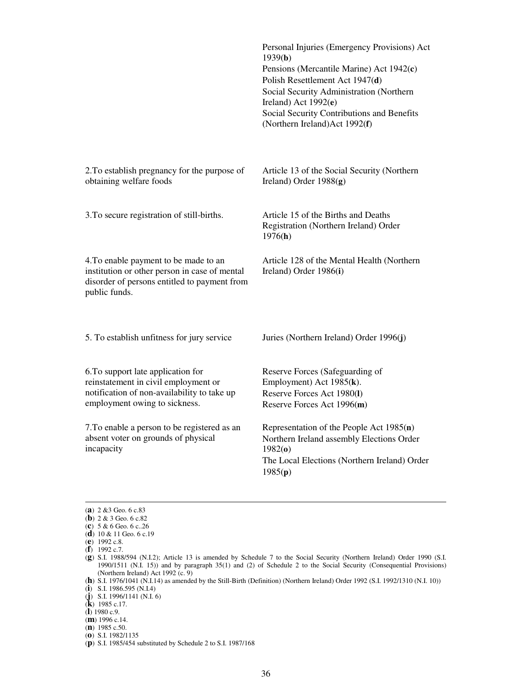|                                                                                                                                                            | Personal Injuries (Emergency Provisions) Act<br>1939(b)<br>Pensions (Mercantile Marine) Act 1942(c)<br>Polish Resettlement Act 1947(d)<br>Social Security Administration (Northern<br>Ireland) Act 1992(e)<br>Social Security Contributions and Benefits<br>(Northern Ireland) Act 1992(f) |
|------------------------------------------------------------------------------------------------------------------------------------------------------------|--------------------------------------------------------------------------------------------------------------------------------------------------------------------------------------------------------------------------------------------------------------------------------------------|
| 2. To establish pregnancy for the purpose of<br>obtaining welfare foods                                                                                    | Article 13 of the Social Security (Northern<br>Ireland) Order 1988(g)                                                                                                                                                                                                                      |
| 3. To secure registration of still-births.                                                                                                                 | Article 15 of the Births and Deaths<br>Registration (Northern Ireland) Order<br>1976(h)                                                                                                                                                                                                    |
| 4. To enable payment to be made to an<br>institution or other person in case of mental<br>disorder of persons entitled to payment from<br>public funds.    | Article 128 of the Mental Health (Northern<br>Ireland) Order 1986(i)                                                                                                                                                                                                                       |
| 5. To establish unfitness for jury service                                                                                                                 | Juries (Northern Ireland) Order 1996(j)                                                                                                                                                                                                                                                    |
| 6. To support late application for<br>reinstatement in civil employment or<br>notification of non-availability to take up<br>employment owing to sickness. | Reserve Forces (Safeguarding of<br>Employment) Act 1985(k).<br>Reserve Forces Act 1980(I)<br>Reserve Forces Act 1996(m)                                                                                                                                                                    |
| 7. To enable a person to be registered as an<br>absent voter on grounds of physical<br>incapacity                                                          | Representation of the People Act 1985(n)<br>Northern Ireland assembly Elections Order<br>1982(0)<br>The Local Elections (Northern Ireland) Order<br>1985(p)                                                                                                                                |
|                                                                                                                                                            |                                                                                                                                                                                                                                                                                            |

<sup>(</sup>**a**) 2 &3 Geo. 6 c.83

(**e**) 1992 c.8.

-

(**f**) 1992 c.7.

(**j**) S.I. 1996/1141 (N.I. 6)

<sup>(</sup>**b**) 2 & 3 Geo. 6 c.82

<sup>(</sup>**c**) 5 & 6 Geo. 6 c..26

<sup>(</sup>**d**) 10 & 11 Geo. 6 c.19

<sup>(</sup>**g**) S.I. 1988/594 (N.I.2); Article 13 is amended by Schedule 7 to the Social Security (Northern Ireland) Order 1990 (S.I. 1990/1511 (N.I. 15)) and by paragraph 35(1) and (2) of Schedule 2 to the Social Security (Consequential Provisions) (Northern Ireland) Act 1992 (c. 9)

<sup>(</sup>**h**) S.I. 1976/1041 (N.I.14) as amended by the Still-Birth (Definition) (Northern Ireland) Order 1992 (S.I. 1992/1310 (N.I. 10)) (**i**) S.I. 1986.595 (N.I.4)

<sup>(</sup>**k**) 1985 c.17.

<sup>(</sup>**l**) 1980 c.9.

<sup>(</sup>**m**) 1996 c.14.

<sup>(</sup>**n**) 1985 c.50.

<sup>(</sup>**o**) S.I. 1982/1135

<sup>(</sup>**p**) S.I. 1985/454 substituted by Schedule 2 to S.I. 1987/168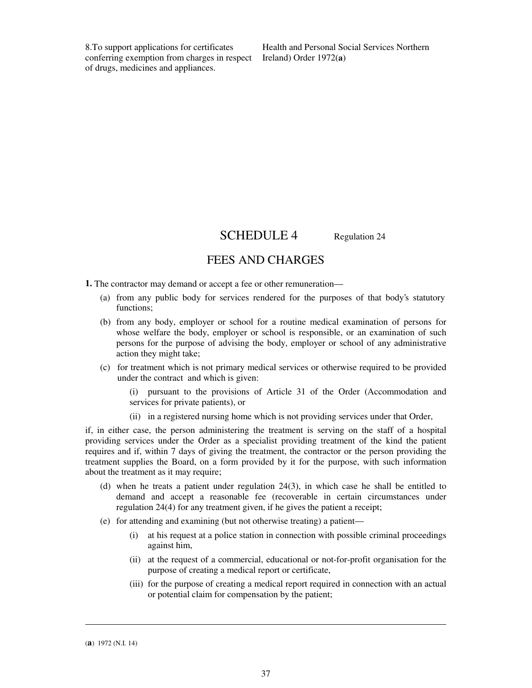8.To support applications for certificates conferring exemption from charges in respect of drugs, medicines and appliances.

Health and Personal Social Services Northern Ireland) Order 1972(**a**)

SCHEDULE 4 Regulation 24

# FEES AND CHARGES

**1.** The contractor may demand or accept a fee or other remuneration—

- (a) from any public body for services rendered for the purposes of that body's statutory functions:
- (b) from any body, employer or school for a routine medical examination of persons for whose welfare the body, employer or school is responsible, or an examination of such persons for the purpose of advising the body, employer or school of any administrative action they might take;
- (c) for treatment which is not primary medical services or otherwise required to be provided under the contract and which is given:

(i) pursuant to the provisions of Article 31 of the Order (Accommodation and services for private patients), or

(ii) in a registered nursing home which is not providing services under that Order,

if, in either case, the person administering the treatment is serving on the staff of a hospital providing services under the Order as a specialist providing treatment of the kind the patient requires and if, within 7 days of giving the treatment, the contractor or the person providing the treatment supplies the Board, on a form provided by it for the purpose, with such information about the treatment as it may require;

- (d) when he treats a patient under regulation 24(3), in which case he shall be entitled to demand and accept a reasonable fee (recoverable in certain circumstances under regulation 24(4) for any treatment given, if he gives the patient a receipt;
- (e) for attending and examining (but not otherwise treating) a patient—
	- (i) at his request at a police station in connection with possible criminal proceedings against him,
	- (ii) at the request of a commercial, educational or not-for-profit organisation for the purpose of creating a medical report or certificate,
	- (iii) for the purpose of creating a medical report required in connection with an actual or potential claim for compensation by the patient;

**.** 

<sup>(</sup>**a**) 1972 (N.I. 14)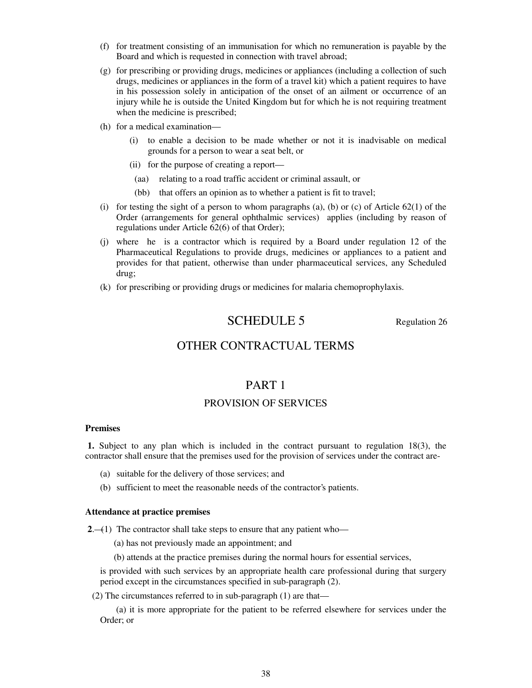- (f) for treatment consisting of an immunisation for which no remuneration is payable by the Board and which is requested in connection with travel abroad;
- (g) for prescribing or providing drugs, medicines or appliances (including a collection of such drugs, medicines or appliances in the form of a travel kit) which a patient requires to have in his possession solely in anticipation of the onset of an ailment or occurrence of an injury while he is outside the United Kingdom but for which he is not requiring treatment when the medicine is prescribed;
- (h) for a medical examination—
	- (i) to enable a decision to be made whether or not it is inadvisable on medical grounds for a person to wear a seat belt, or
	- (ii) for the purpose of creating a report—
		- (aa) relating to a road traffic accident or criminal assault, or
	- (bb) that offers an opinion as to whether a patient is fit to travel;
- (i) for testing the sight of a person to whom paragraphs (a), (b) or (c) of Article  $62(1)$  of the Order (arrangements for general ophthalmic services) applies (including by reason of regulations under Article 62(6) of that Order);
- (j) where he is a contractor which is required by a Board under regulation 12 of the Pharmaceutical Regulations to provide drugs, medicines or appliances to a patient and provides for that patient, otherwise than under pharmaceutical services, any Scheduled drug;
- (k) for prescribing or providing drugs or medicines for malaria chemoprophylaxis.

# SCHEDULE 5 Regulation 26

# OTHER CONTRACTUAL TERMS

## PART 1

# PROVISION OF SERVICES

### **Premises**

**1.** Subject to any plan which is included in the contract pursuant to regulation 18(3), the contractor shall ensure that the premises used for the provision of services under the contract are-

- (a) suitable for the delivery of those services; and
- (b) sufficient to meet the reasonable needs of the contractor's patients.

#### **Attendance at practice premises**

**2.**—(1) The contractor shall take steps to ensure that any patient who—

(a) has not previously made an appointment; and

(b) attends at the practice premises during the normal hours for essential services,

is provided with such services by an appropriate health care professional during that surgery period except in the circumstances specified in sub-paragraph (2).

(2) The circumstances referred to in sub-paragraph (1) are that—

 (a) it is more appropriate for the patient to be referred elsewhere for services under the Order; or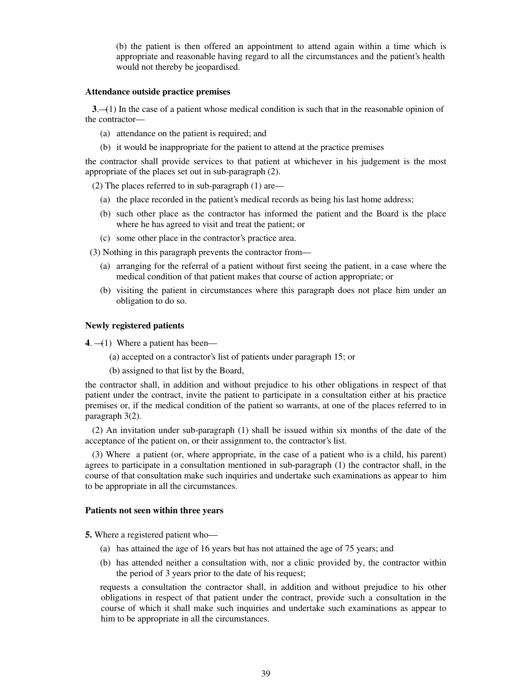(b) the patient is then offered an appointment to attend again within a time which is appropriate and reasonable having regard to all the circumstances and the patient's health would not thereby be jeopardised.

#### **Attendance outside practice premises**

 **3**.—(1) In the case of a patient whose medical condition is such that in the reasonable opinion of the contractor—

- (a) attendance on the patient is required; and
- (b) it would be inappropriate for the patient to attend at the practice premises

the contractor shall provide services to that patient at whichever in his judgement is the most appropriate of the places set out in sub-paragraph (2).

(2) The places referred to in sub-paragraph (1) are—

- (a) the place recorded in the patient's medical records as being his last home address;
- (b) such other place as the contractor has informed the patient and the Board is the place where he has agreed to visit and treat the patient; or
- (c) some other place in the contractor's practice area.

(3) Nothing in this paragraph prevents the contractor from—

- (a) arranging for the referral of a patient without first seeing the patient, in a case where the medical condition of that patient makes that course of action appropriate; or
- (b) visiting the patient in circumstances where this paragraph does not place him under an obligation to do so.

#### **Newly registered patients**

**4**. —(1) Where a patient has been—

- (a) accepted on a contractor's list of patients under paragraph 15; or
- (b) assigned to that list by the Board,

the contractor shall, in addition and without prejudice to his other obligations in respect of that patient under the contract, invite the patient to participate in a consultation either at his practice premises or, if the medical condition of the patient so warrants, at one of the places referred to in paragraph 3(2).

 (2) An invitation under sub-paragraph (1) shall be issued within six months of the date of the acceptance of the patient on, or their assignment to, the contractor's list.

 (3) Where a patient (or, where appropriate, in the case of a patient who is a child, his parent) agrees to participate in a consultation mentioned in sub-paragraph (1) the contractor shall, in the course of that consultation make such inquiries and undertake such examinations as appear to him to be appropriate in all the circumstances.

### **Patients not seen within three years**

**5.** Where a registered patient who—

- (a) has attained the age of 16 years but has not attained the age of 75 years; and
- (b) has attended neither a consultation with, nor a clinic provided by, the contractor within the period of 3 years prior to the date of his request;

requests a consultation the contractor shall, in addition and without prejudice to his other obligations in respect of that patient under the contract, provide such a consultation in the course of which it shall make such inquiries and undertake such examinations as appear to him to be appropriate in all the circumstances.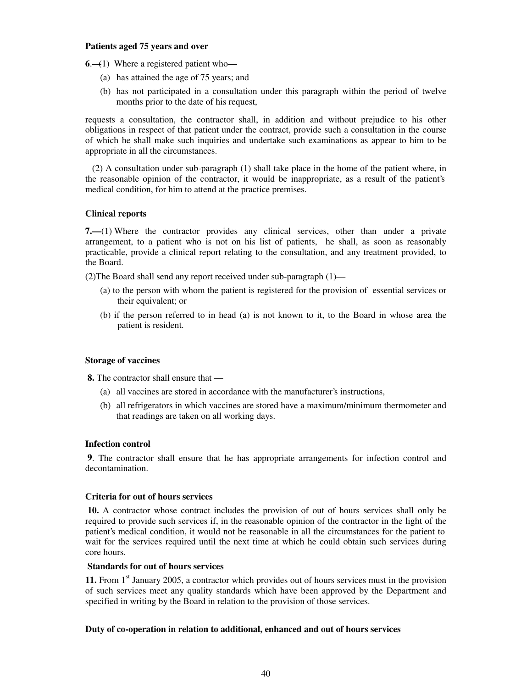## **Patients aged 75 years and over**

**6.—(1)** Where a registered patient who—

- (a) has attained the age of 75 years; and
- (b) has not participated in a consultation under this paragraph within the period of twelve months prior to the date of his request,

requests a consultation, the contractor shall, in addition and without prejudice to his other obligations in respect of that patient under the contract, provide such a consultation in the course of which he shall make such inquiries and undertake such examinations as appear to him to be appropriate in all the circumstances.

 (2) A consultation under sub-paragraph (1) shall take place in the home of the patient where, in the reasonable opinion of the contractor, it would be inappropriate, as a result of the patient's medical condition, for him to attend at the practice premises.

## **Clinical reports**

**7.—**(1) Where the contractor provides any clinical services, other than under a private arrangement, to a patient who is not on his list of patients, he shall, as soon as reasonably practicable, provide a clinical report relating to the consultation, and any treatment provided, to the Board.

(2)The Board shall send any report received under sub-paragraph (1)—

- (a) to the person with whom the patient is registered for the provision of essential services or their equivalent; or
- (b) if the person referred to in head (a) is not known to it, to the Board in whose area the patient is resident.

## **Storage of vaccines**

**8.** The contractor shall ensure that —

- (a) all vaccines are stored in accordance with the manufacturer's instructions,
- (b) all refrigerators in which vaccines are stored have a maximum/minimum thermometer and that readings are taken on all working days.

## **Infection control**

**9**. The contractor shall ensure that he has appropriate arrangements for infection control and decontamination.

## **Criteria for out of hours services**

**10.** A contractor whose contract includes the provision of out of hours services shall only be required to provide such services if, in the reasonable opinion of the contractor in the light of the patient's medical condition, it would not be reasonable in all the circumstances for the patient to wait for the services required until the next time at which he could obtain such services during core hours.

## **Standards for out of hours services**

11. From 1<sup>st</sup> January 2005, a contractor which provides out of hours services must in the provision of such services meet any quality standards which have been approved by the Department and specified in writing by the Board in relation to the provision of those services.

## **Duty of co-operation in relation to additional, enhanced and out of hours services**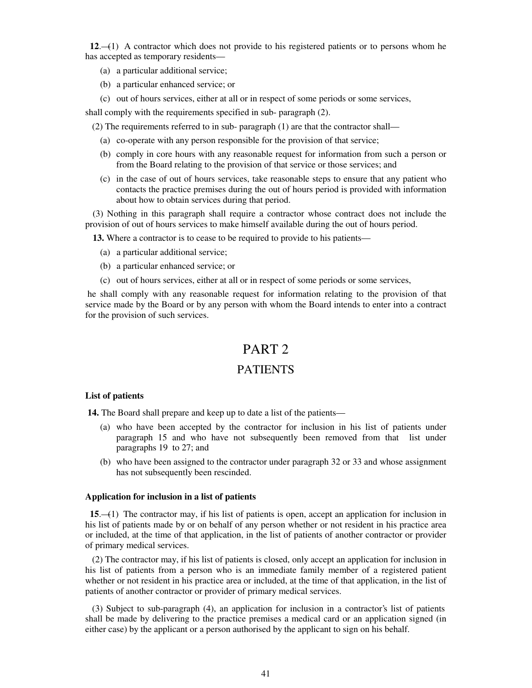**12**.—(1) A contractor which does not provide to his registered patients or to persons whom he has accepted as temporary residents—

- (a) a particular additional service;
- (b) a particular enhanced service; or

(c) out of hours services, either at all or in respect of some periods or some services,

shall comply with the requirements specified in sub- paragraph (2).

(2) The requirements referred to in sub- paragraph (1) are that the contractor shall—

- (a) co-operate with any person responsible for the provision of that service;
- (b) comply in core hours with any reasonable request for information from such a person or from the Board relating to the provision of that service or those services; and
- (c) in the case of out of hours services, take reasonable steps to ensure that any patient who contacts the practice premises during the out of hours period is provided with information about how to obtain services during that period.

(3) Nothing in this paragraph shall require a contractor whose contract does not include the provision of out of hours services to make himself available during the out of hours period.

**13.** Where a contractor is to cease to be required to provide to his patients—

- (a) a particular additional service;
- (b) a particular enhanced service; or
- (c) out of hours services, either at all or in respect of some periods or some services,

he shall comply with any reasonable request for information relating to the provision of that service made by the Board or by any person with whom the Board intends to enter into a contract for the provision of such services.

# PART 2

# PATIENTS

## **List of patients**

 **14.** The Board shall prepare and keep up to date a list of the patients—

- (a) who have been accepted by the contractor for inclusion in his list of patients under paragraph 15 and who have not subsequently been removed from that list under paragraphs 19 to 27; and
- (b) who have been assigned to the contractor under paragraph 32 or 33 and whose assignment has not subsequently been rescinded.

## **Application for inclusion in a list of patients**

 **15**.—(1) The contractor may, if his list of patients is open, accept an application for inclusion in his list of patients made by or on behalf of any person whether or not resident in his practice area or included, at the time of that application, in the list of patients of another contractor or provider of primary medical services.

 (2) The contractor may, if his list of patients is closed, only accept an application for inclusion in his list of patients from a person who is an immediate family member of a registered patient whether or not resident in his practice area or included, at the time of that application, in the list of patients of another contractor or provider of primary medical services.

 (3) Subject to sub-paragraph (4), an application for inclusion in a contractor's list of patients shall be made by delivering to the practice premises a medical card or an application signed (in either case) by the applicant or a person authorised by the applicant to sign on his behalf.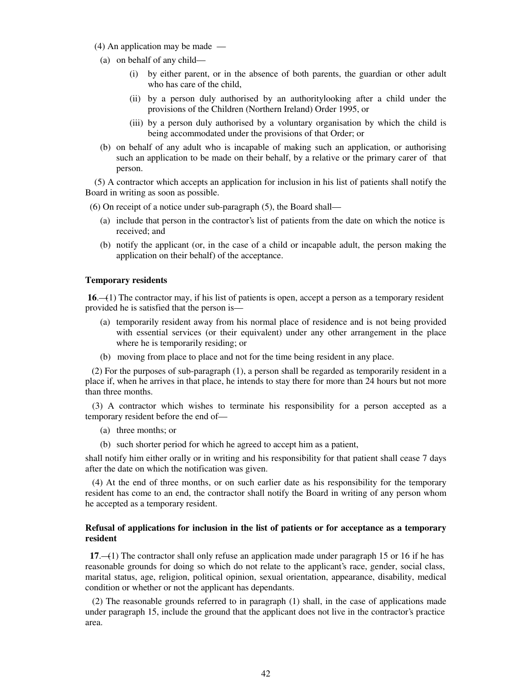- (4) An application may be made —
- (a) on behalf of any child—
	- (i) by either parent, or in the absence of both parents, the guardian or other adult who has care of the child,
	- (ii) by a person duly authorised by an authoritylooking after a child under the provisions of the Children (Northern Ireland) Order 1995, or
	- (iii) by a person duly authorised by a voluntary organisation by which the child is being accommodated under the provisions of that Order; or
- (b) on behalf of any adult who is incapable of making such an application, or authorising such an application to be made on their behalf, by a relative or the primary carer of that person.

 (5) A contractor which accepts an application for inclusion in his list of patients shall notify the Board in writing as soon as possible.

(6) On receipt of a notice under sub-paragraph (5), the Board shall—

- (a) include that person in the contractor's list of patients from the date on which the notice is received; and
- (b) notify the applicant (or, in the case of a child or incapable adult, the person making the application on their behalf) of the acceptance.

#### **Temporary residents**

 **16**.—(1) The contractor may, if his list of patients is open, accept a person as a temporary resident provided he is satisfied that the person is—

- (a) temporarily resident away from his normal place of residence and is not being provided with essential services (or their equivalent) under any other arrangement in the place where he is temporarily residing; or
- (b) moving from place to place and not for the time being resident in any place.

 (2) For the purposes of sub-paragraph (1), a person shall be regarded as temporarily resident in a place if, when he arrives in that place, he intends to stay there for more than 24 hours but not more than three months.

 (3) A contractor which wishes to terminate his responsibility for a person accepted as a temporary resident before the end of—

- (a) three months; or
- (b) such shorter period for which he agreed to accept him as a patient,

shall notify him either orally or in writing and his responsibility for that patient shall cease 7 days after the date on which the notification was given.

 (4) At the end of three months, or on such earlier date as his responsibility for the temporary resident has come to an end, the contractor shall notify the Board in writing of any person whom he accepted as a temporary resident.

### **Refusal of applications for inclusion in the list of patients or for acceptance as a temporary resident**

 **17**.—(1) The contractor shall only refuse an application made under paragraph 15 or 16 if he has reasonable grounds for doing so which do not relate to the applicant's race, gender, social class, marital status, age, religion, political opinion, sexual orientation, appearance, disability, medical condition or whether or not the applicant has dependants.

 (2) The reasonable grounds referred to in paragraph (1) shall, in the case of applications made under paragraph 15, include the ground that the applicant does not live in the contractor's practice area.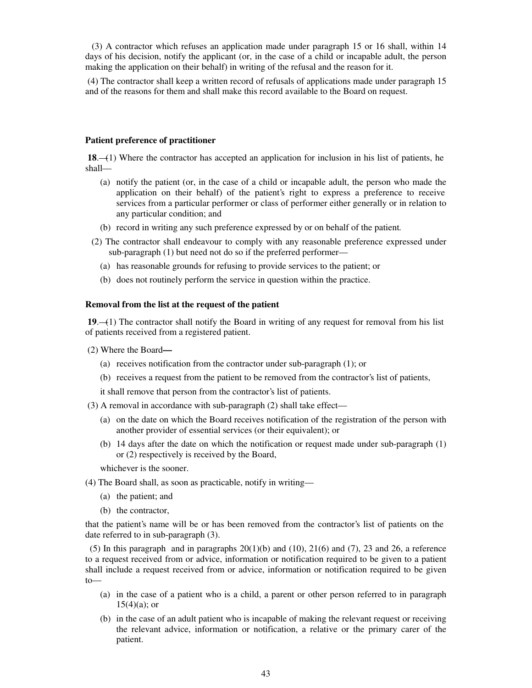(3) A contractor which refuses an application made under paragraph 15 or 16 shall, within 14 days of his decision, notify the applicant (or, in the case of a child or incapable adult, the person making the application on their behalf) in writing of the refusal and the reason for it.

(4) The contractor shall keep a written record of refusals of applications made under paragraph 15 and of the reasons for them and shall make this record available to the Board on request.

#### **Patient preference of practitioner**

**18.—(1)** Where the contractor has accepted an application for inclusion in his list of patients, he shall—

- (a) notify the patient (or, in the case of a child or incapable adult, the person who made the application on their behalf) of the patient's right to express a preference to receive services from a particular performer or class of performer either generally or in relation to any particular condition; and
- (b) record in writing any such preference expressed by or on behalf of the patient*.*
- (2) The contractor shall endeavour to comply with any reasonable preference expressed under sub-paragraph (1) but need not do so if the preferred performer—
	- (a) has reasonable grounds for refusing to provide services to the patient; or
	- (b) does not routinely perform the service in question within the practice.

## **Removal from the list at the request of the patient**

 **19**.—(1) The contractor shall notify the Board in writing of any request for removal from his list of patients received from a registered patient.

- (2) Where the Board**—**
	- (a) receives notification from the contractor under sub-paragraph (1); or
	- (b) receives a request from the patient to be removed from the contractor's list of patients,

it shall remove that person from the contractor's list of patients.

- (3) A removal in accordance with sub-paragraph (2) shall take effect—
	- (a) on the date on which the Board receives notification of the registration of the person with another provider of essential services (or their equivalent); or
	- (b) 14 days after the date on which the notification or request made under sub-paragraph (1) or (2) respectively is received by the Board,

whichever is the sooner.

- (4) The Board shall, as soon as practicable, notify in writing—
	- (a) the patient; and
	- (b) the contractor,

that the patient's name will be or has been removed from the contractor's list of patients on the date referred to in sub-paragraph (3).

(5) In this paragraph and in paragraphs  $20(1)(b)$  and  $(10)$ ,  $21(6)$  and  $(7)$ ,  $23$  and  $26$ , a reference to a request received from or advice, information or notification required to be given to a patient shall include a request received from or advice, information or notification required to be given to—

- (a) in the case of a patient who is a child, a parent or other person referred to in paragraph  $15(4)(a)$ ; or
- (b) in the case of an adult patient who is incapable of making the relevant request or receiving the relevant advice, information or notification, a relative or the primary carer of the patient.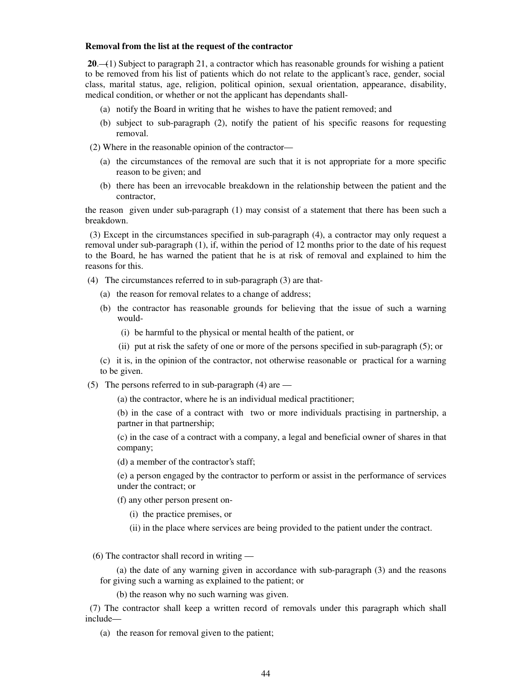#### **Removal from the list at the request of the contractor**

**20**.—(1) Subject to paragraph 21, a contractor which has reasonable grounds for wishing a patient to be removed from his list of patients which do not relate to the applicant's race, gender, social class, marital status, age, religion, political opinion, sexual orientation, appearance, disability, medical condition, or whether or not the applicant has dependants shall-

- (a) notify the Board in writing that he wishes to have the patient removed; and
- (b) subject to sub-paragraph (2), notify the patient of his specific reasons for requesting removal.

(2) Where in the reasonable opinion of the contractor—

- (a) the circumstances of the removal are such that it is not appropriate for a more specific reason to be given; and
- (b) there has been an irrevocable breakdown in the relationship between the patient and the contractor,

the reason given under sub-paragraph (1) may consist of a statement that there has been such a breakdown.

 (3) Except in the circumstances specified in sub-paragraph (4), a contractor may only request a removal under sub-paragraph (1), if, within the period of 12 months prior to the date of his request to the Board, he has warned the patient that he is at risk of removal and explained to him the reasons for this.

- (4) The circumstances referred to in sub-paragraph (3) are that-
	- (a) the reason for removal relates to a change of address;
	- (b) the contractor has reasonable grounds for believing that the issue of such a warning would-
		- (i) be harmful to the physical or mental health of the patient, or
		- (ii) put at risk the safety of one or more of the persons specified in sub-paragraph (5); or

(c) it is, in the opinion of the contractor, not otherwise reasonable or practical for a warning to be given.

(5) The persons referred to in sub-paragraph (4) are —

(a) the contractor, where he is an individual medical practitioner;

(b) in the case of a contract with two or more individuals practising in partnership, a partner in that partnership;

(c) in the case of a contract with a company, a legal and beneficial owner of shares in that company;

(d) a member of the contractor's staff;

(e) a person engaged by the contractor to perform or assist in the performance of services under the contract; or

- (f) any other person present on-
	- (i) the practice premises, or
	- (ii) in the place where services are being provided to the patient under the contract.

(6) The contractor shall record in writing —

(a) the date of any warning given in accordance with sub-paragraph (3) and the reasons for giving such a warning as explained to the patient; or

(b) the reason why no such warning was given.

 (7) The contractor shall keep a written record of removals under this paragraph which shall include—

(a) the reason for removal given to the patient;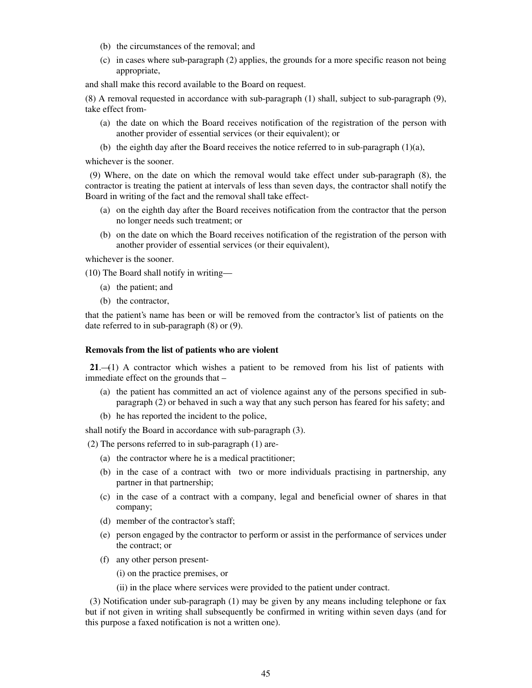- (b) the circumstances of the removal; and
- (c) in cases where sub-paragraph (2) applies, the grounds for a more specific reason not being appropriate,

and shall make this record available to the Board on request.

(8) A removal requested in accordance with sub-paragraph (1) shall, subject to sub-paragraph (9), take effect from-

- (a) the date on which the Board receives notification of the registration of the person with another provider of essential services (or their equivalent); or
- (b) the eighth day after the Board receives the notice referred to in sub-paragraph (1)(a),

whichever is the sooner.

 (9) Where, on the date on which the removal would take effect under sub-paragraph (8), the contractor is treating the patient at intervals of less than seven days, the contractor shall notify the Board in writing of the fact and the removal shall take effect-

- (a) on the eighth day after the Board receives notification from the contractor that the person no longer needs such treatment; or
- (b) on the date on which the Board receives notification of the registration of the person with another provider of essential services (or their equivalent),

whichever is the sooner.

(10) The Board shall notify in writing—

- (a) the patient; and
- (b) the contractor,

that the patient's name has been or will be removed from the contractor's list of patients on the date referred to in sub-paragraph (8) or (9).

#### **Removals from the list of patients who are violent**

 **21**.—(1) A contractor which wishes a patient to be removed from his list of patients with immediate effect on the grounds that –

- (a) the patient has committed an act of violence against any of the persons specified in subparagraph (2) or behaved in such a way that any such person has feared for his safety; and
- (b) he has reported the incident to the police,

shall notify the Board in accordance with sub-paragraph (3).

(2) The persons referred to in sub-paragraph (1) are-

- (a) the contractor where he is a medical practitioner;
- (b) in the case of a contract with two or more individuals practising in partnership, any partner in that partnership;
- (c) in the case of a contract with a company, legal and beneficial owner of shares in that company;
- (d) member of the contractor's staff;
- (e) person engaged by the contractor to perform or assist in the performance of services under the contract; or
- (f) any other person present-
	- (i) on the practice premises, or
	- (ii) in the place where services were provided to the patient under contract.

 (3) Notification under sub-paragraph (1) may be given by any means including telephone or fax but if not given in writing shall subsequently be confirmed in writing within seven days (and for this purpose a faxed notification is not a written one).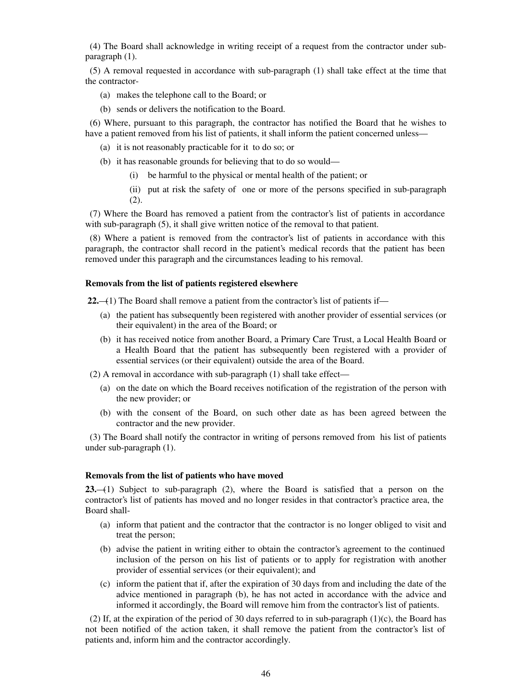(4) The Board shall acknowledge in writing receipt of a request from the contractor under subparagraph (1).

 (5) A removal requested in accordance with sub-paragraph (1) shall take effect at the time that the contractor-

- (a) makes the telephone call to the Board; or
- (b) sends or delivers the notification to the Board.

 (6) Where, pursuant to this paragraph, the contractor has notified the Board that he wishes to have a patient removed from his list of patients, it shall inform the patient concerned unless—

- (a) it is not reasonably practicable for it to do so; or
- (b) it has reasonable grounds for believing that to do so would—
	- (i) be harmful to the physical or mental health of the patient; or
	- (ii) put at risk the safety of one or more of the persons specified in sub-paragraph (2).

 (7) Where the Board has removed a patient from the contractor's list of patients in accordance with sub-paragraph (5), it shall give written notice of the removal to that patient.

 (8) Where a patient is removed from the contractor's list of patients in accordance with this paragraph, the contractor shall record in the patient's medical records that the patient has been removed under this paragraph and the circumstances leading to his removal.

#### **Removals from the list of patients registered elsewhere**

 **22.**—(1) The Board shall remove a patient from the contractor's list of patients if—

- (a) the patient has subsequently been registered with another provider of essential services (or their equivalent) in the area of the Board; or
- (b) it has received notice from another Board, a Primary Care Trust, a Local Health Board or a Health Board that the patient has subsequently been registered with a provider of essential services (or their equivalent) outside the area of the Board.

(2) A removal in accordance with sub-paragraph (1) shall take effect—

- (a) on the date on which the Board receives notification of the registration of the person with the new provider; or
- (b) with the consent of the Board, on such other date as has been agreed between the contractor and the new provider.

 (3) The Board shall notify the contractor in writing of persons removed from his list of patients under sub-paragraph (1).

#### **Removals from the list of patients who have moved**

**23.**—(1) Subject to sub-paragraph (2), where the Board is satisfied that a person on the contractor's list of patients has moved and no longer resides in that contractor's practice area, the Board shall-

- (a) inform that patient and the contractor that the contractor is no longer obliged to visit and treat the person;
- (b) advise the patient in writing either to obtain the contractor's agreement to the continued inclusion of the person on his list of patients or to apply for registration with another provider of essential services (or their equivalent); and
- (c) inform the patient that if, after the expiration of 30 days from and including the date of the advice mentioned in paragraph (b), he has not acted in accordance with the advice and informed it accordingly, the Board will remove him from the contractor's list of patients.

 (2) If, at the expiration of the period of 30 days referred to in sub-paragraph (1)(c), the Board has not been notified of the action taken, it shall remove the patient from the contractor's list of patients and, inform him and the contractor accordingly.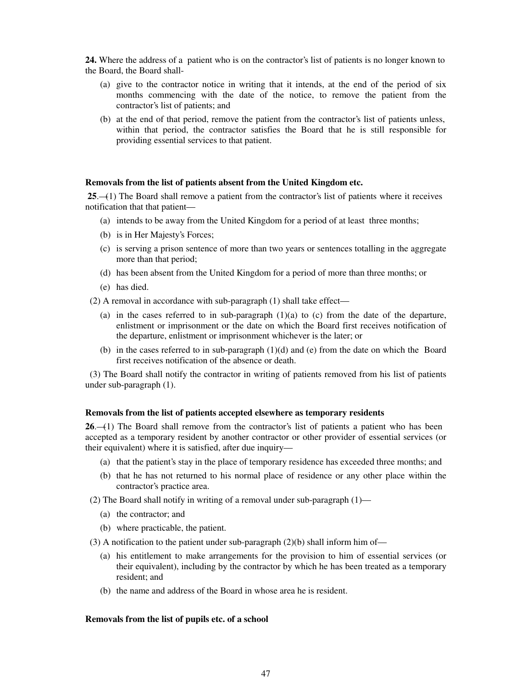**24.** Where the address of a patient who is on the contractor's list of patients is no longer known to the Board, the Board shall-

- (a) give to the contractor notice in writing that it intends, at the end of the period of six months commencing with the date of the notice, to remove the patient from the contractor's list of patients; and
- (b) at the end of that period, remove the patient from the contractor's list of patients unless, within that period, the contractor satisfies the Board that he is still responsible for providing essential services to that patient.

#### **Removals from the list of patients absent from the United Kingdom etc.**

 **25**.—(1) The Board shall remove a patient from the contractor's list of patients where it receives notification that that patient—

- (a) intends to be away from the United Kingdom for a period of at least three months;
- (b) is in Her Majesty's Forces;
- (c) is serving a prison sentence of more than two years or sentences totalling in the aggregate more than that period;
- (d) has been absent from the United Kingdom for a period of more than three months; or
- (e) has died.

(2) A removal in accordance with sub-paragraph (1) shall take effect—

- (a) in the cases referred to in sub-paragraph  $(1)(a)$  to (c) from the date of the departure, enlistment or imprisonment or the date on which the Board first receives notification of the departure, enlistment or imprisonment whichever is the later; or
- (b) in the cases referred to in sub-paragraph (1)(d) and (e) from the date on which the Board first receives notification of the absence or death.

 (3) The Board shall notify the contractor in writing of patients removed from his list of patients under sub-paragraph (1).

#### **Removals from the list of patients accepted elsewhere as temporary residents**

**26.**—(1) The Board shall remove from the contractor's list of patients a patient who has been accepted as a temporary resident by another contractor or other provider of essential services (or their equivalent) where it is satisfied, after due inquiry—

- (a) that the patient's stay in the place of temporary residence has exceeded three months; and
- (b) that he has not returned to his normal place of residence or any other place within the contractor's practice area.
- (2) The Board shall notify in writing of a removal under sub-paragraph (1)—
	- (a) the contractor; and
	- (b) where practicable, the patient.
- (3) A notification to the patient under sub-paragraph  $(2)(b)$  shall inform him of—
	- (a) his entitlement to make arrangements for the provision to him of essential services (or their equivalent), including by the contractor by which he has been treated as a temporary resident; and
	- (b) the name and address of the Board in whose area he is resident.

#### **Removals from the list of pupils etc. of a school**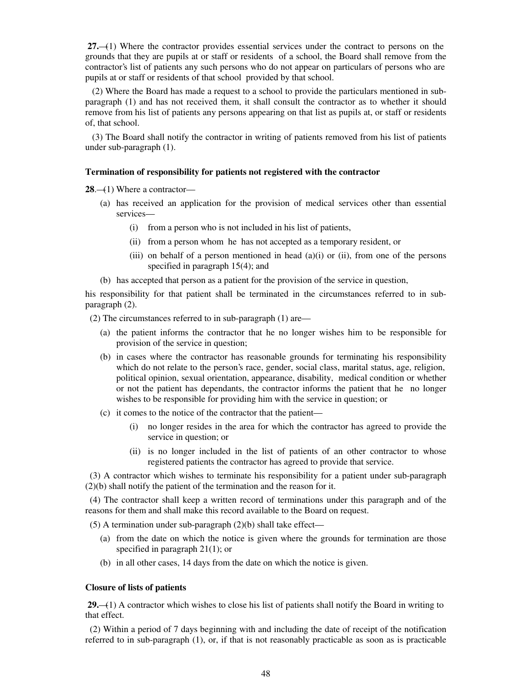**27.**—(1) Where the contractor provides essential services under the contract to persons on the grounds that they are pupils at or staff or residents of a school, the Board shall remove from the contractor's list of patients any such persons who do not appear on particulars of persons who are pupils at or staff or residents of that school provided by that school.

 (2) Where the Board has made a request to a school to provide the particulars mentioned in subparagraph (1) and has not received them, it shall consult the contractor as to whether it should remove from his list of patients any persons appearing on that list as pupils at, or staff or residents of, that school.

 (3) The Board shall notify the contractor in writing of patients removed from his list of patients under sub-paragraph (1).

### **Termination of responsibility for patients not registered with the contractor**

**28.**—(1) Where a contractor—

- (a) has received an application for the provision of medical services other than essential services—
	- (i) from a person who is not included in his list of patients,
	- (ii) from a person whom he has not accepted as a temporary resident, or
	- (iii) on behalf of a person mentioned in head  $(a)(i)$  or  $(ii)$ , from one of the persons specified in paragraph 15(4); and
- (b) has accepted that person as a patient for the provision of the service in question,

his responsibility for that patient shall be terminated in the circumstances referred to in subparagraph (2).

(2) The circumstances referred to in sub-paragraph (1) are—

- (a) the patient informs the contractor that he no longer wishes him to be responsible for provision of the service in question;
- (b) in cases where the contractor has reasonable grounds for terminating his responsibility which do not relate to the person's race, gender, social class, marital status, age, religion, political opinion, sexual orientation, appearance, disability, medical condition or whether or not the patient has dependants, the contractor informs the patient that he no longer wishes to be responsible for providing him with the service in question; or
- (c) it comes to the notice of the contractor that the patient—
	- (i) no longer resides in the area for which the contractor has agreed to provide the service in question; or
	- (ii) is no longer included in the list of patients of an other contractor to whose registered patients the contractor has agreed to provide that service.

 (3) A contractor which wishes to terminate his responsibility for a patient under sub-paragraph (2)(b) shall notify the patient of the termination and the reason for it.

 (4) The contractor shall keep a written record of terminations under this paragraph and of the reasons for them and shall make this record available to the Board on request.

 $(5)$  A termination under sub-paragraph  $(2)(b)$  shall take effect—

- (a) from the date on which the notice is given where the grounds for termination are those specified in paragraph 21(1); or
- (b) in all other cases, 14 days from the date on which the notice is given.

## **Closure of lists of patients**

 **29.**—(1) A contractor which wishes to close his list of patients shall notify the Board in writing to that effect.

 (2) Within a period of 7 days beginning with and including the date of receipt of the notification referred to in sub-paragraph (1), or, if that is not reasonably practicable as soon as is practicable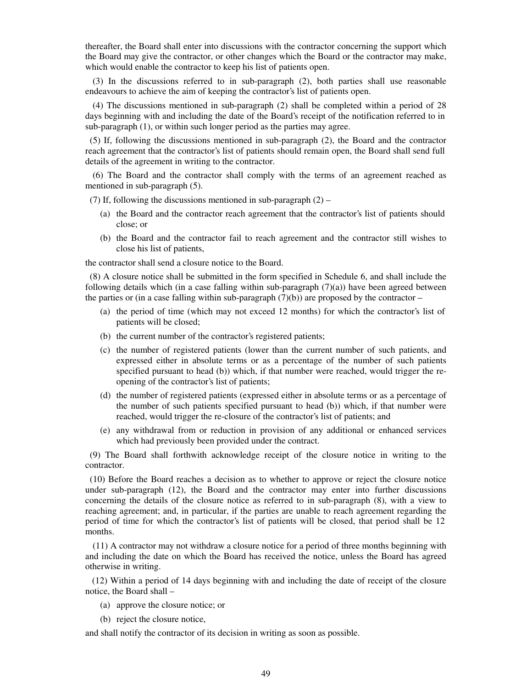thereafter, the Board shall enter into discussions with the contractor concerning the support which the Board may give the contractor, or other changes which the Board or the contractor may make, which would enable the contractor to keep his list of patients open.

(3) In the discussions referred to in sub-paragraph (2), both parties shall use reasonable endeavours to achieve the aim of keeping the contractor's list of patients open.

(4) The discussions mentioned in sub-paragraph (2) shall be completed within a period of 28 days beginning with and including the date of the Board's receipt of the notification referred to in sub-paragraph (1), or within such longer period as the parties may agree.

 (5) If, following the discussions mentioned in sub-paragraph (2), the Board and the contractor reach agreement that the contractor's list of patients should remain open, the Board shall send full details of the agreement in writing to the contractor.

(6) The Board and the contractor shall comply with the terms of an agreement reached as mentioned in sub-paragraph (5).

(7) If, following the discussions mentioned in sub-paragraph  $(2)$  –

- (a) the Board and the contractor reach agreement that the contractor's list of patients should close; or
- (b) the Board and the contractor fail to reach agreement and the contractor still wishes to close his list of patients,

the contractor shall send a closure notice to the Board.

 (8) A closure notice shall be submitted in the form specified in Schedule 6, and shall include the following details which (in a case falling within sub-paragraph  $(7)(a)$ ) have been agreed between the parties or (in a case falling within sub-paragraph  $(7)(b)$ ) are proposed by the contractor –

- (a) the period of time (which may not exceed 12 months) for which the contractor's list of patients will be closed;
- (b) the current number of the contractor's registered patients;
- (c) the number of registered patients (lower than the current number of such patients, and expressed either in absolute terms or as a percentage of the number of such patients specified pursuant to head (b)) which, if that number were reached, would trigger the reopening of the contractor's list of patients;
- (d) the number of registered patients (expressed either in absolute terms or as a percentage of the number of such patients specified pursuant to head (b)) which, if that number were reached, would trigger the re-closure of the contractor's list of patients; and
- (e) any withdrawal from or reduction in provision of any additional or enhanced services which had previously been provided under the contract.

 (9) The Board shall forthwith acknowledge receipt of the closure notice in writing to the contractor.

 (10) Before the Board reaches a decision as to whether to approve or reject the closure notice under sub-paragraph (12), the Board and the contractor may enter into further discussions concerning the details of the closure notice as referred to in sub-paragraph (8), with a view to reaching agreement; and, in particular, if the parties are unable to reach agreement regarding the period of time for which the contractor's list of patients will be closed, that period shall be 12 months.

(11) A contractor may not withdraw a closure notice for a period of three months beginning with and including the date on which the Board has received the notice, unless the Board has agreed otherwise in writing.

 (12) Within a period of 14 days beginning with and including the date of receipt of the closure notice, the Board shall –

- (a) approve the closure notice; or
- (b) reject the closure notice,

and shall notify the contractor of its decision in writing as soon as possible.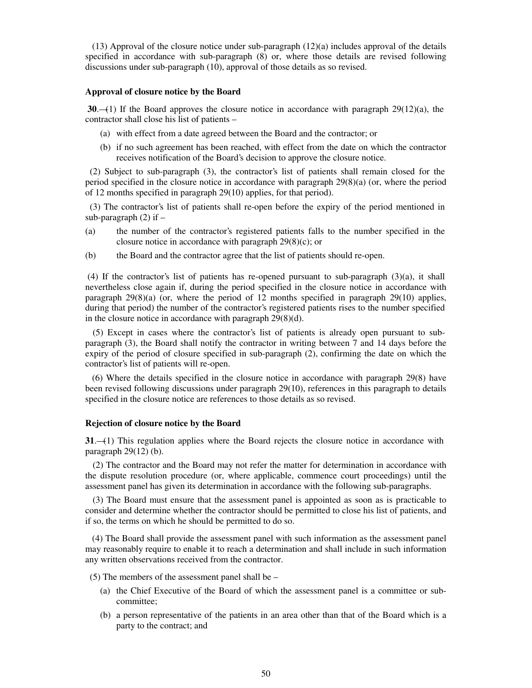$(13)$  Approval of the closure notice under sub-paragraph  $(12)(a)$  includes approval of the details specified in accordance with sub-paragraph (8) or, where those details are revised following discussions under sub-paragraph (10), approval of those details as so revised.

#### **Approval of closure notice by the Board**

 **30**.—(1) If the Board approves the closure notice in accordance with paragraph 29(12)(a), the contractor shall close his list of patients –

- (a) with effect from a date agreed between the Board and the contractor; or
- (b) if no such agreement has been reached, with effect from the date on which the contractor receives notification of the Board's decision to approve the closure notice.

 (2) Subject to sub-paragraph (3), the contractor's list of patients shall remain closed for the period specified in the closure notice in accordance with paragraph 29(8)(a) (or, where the period of 12 months specified in paragraph 29(10) applies, for that period).

 (3) The contractor's list of patients shall re-open before the expiry of the period mentioned in sub-paragraph  $(2)$  if  $-$ 

- (a) the number of the contractor's registered patients falls to the number specified in the closure notice in accordance with paragraph 29(8)(c); or
- (b) the Board and the contractor agree that the list of patients should re-open.

(4) If the contractor's list of patients has re-opened pursuant to sub-paragraph (3)(a), it shall nevertheless close again if, during the period specified in the closure notice in accordance with paragraph  $29(8)(a)$  (or, where the period of 12 months specified in paragraph  $29(10)$  applies, during that period) the number of the contractor's registered patients rises to the number specified in the closure notice in accordance with paragraph 29(8)(d).

(5) Except in cases where the contractor's list of patients is already open pursuant to subparagraph (3), the Board shall notify the contractor in writing between 7 and 14 days before the expiry of the period of closure specified in sub-paragraph (2), confirming the date on which the contractor's list of patients will re-open.

 (6) Where the details specified in the closure notice in accordance with paragraph 29(8) have been revised following discussions under paragraph 29(10), references in this paragraph to details specified in the closure notice are references to those details as so revised.

#### **Rejection of closure notice by the Board**

**31**.—(1) This regulation applies where the Board rejects the closure notice in accordance with paragraph  $29(12)$  (b).

(2) The contractor and the Board may not refer the matter for determination in accordance with the dispute resolution procedure (or, where applicable, commence court proceedings) until the assessment panel has given its determination in accordance with the following sub-paragraphs.

(3) The Board must ensure that the assessment panel is appointed as soon as is practicable to consider and determine whether the contractor should be permitted to close his list of patients, and if so, the terms on which he should be permitted to do so.

 (4) The Board shall provide the assessment panel with such information as the assessment panel may reasonably require to enable it to reach a determination and shall include in such information any written observations received from the contractor.

(5) The members of the assessment panel shall be –

- (a) the Chief Executive of the Board of which the assessment panel is a committee or subcommittee;
- (b) a person representative of the patients in an area other than that of the Board which is a party to the contract; and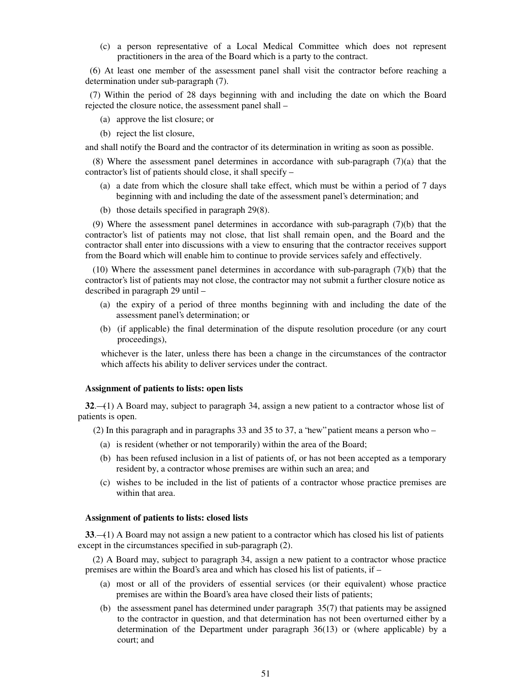(c) a person representative of a Local Medical Committee which does not represent practitioners in the area of the Board which is a party to the contract.

 (6) At least one member of the assessment panel shall visit the contractor before reaching a determination under sub-paragraph (7).

 (7) Within the period of 28 days beginning with and including the date on which the Board rejected the closure notice, the assessment panel shall –

- (a) approve the list closure; or
- (b) reject the list closure,

and shall notify the Board and the contractor of its determination in writing as soon as possible.

(8) Where the assessment panel determines in accordance with sub-paragraph (7)(a) that the contractor's list of patients should close, it shall specify –

- (a) a date from which the closure shall take effect, which must be within a period of 7 days beginning with and including the date of the assessment panel's determination; and
- (b) those details specified in paragraph 29(8).

(9) Where the assessment panel determines in accordance with sub-paragraph (7)(b) that the contractor's list of patients may not close, that list shall remain open, and the Board and the contractor shall enter into discussions with a view to ensuring that the contractor receives support from the Board which will enable him to continue to provide services safely and effectively.

(10) Where the assessment panel determines in accordance with sub-paragraph (7)(b) that the contractor's list of patients may not close, the contractor may not submit a further closure notice as described in paragraph 29 until –

- (a) the expiry of a period of three months beginning with and including the date of the assessment panel's determination; or
- (b) (if applicable) the final determination of the dispute resolution procedure (or any court proceedings),

whichever is the later, unless there has been a change in the circumstances of the contractor which affects his ability to deliver services under the contract.

#### **Assignment of patients to lists: open lists**

**32**.—(1) A Board may, subject to paragraph 34, assign a new patient to a contractor whose list of patients is open.

(2) In this paragraph and in paragraphs 33 and 35 to 37, a "new" patient means a person who  $-$ 

- (a) is resident (whether or not temporarily) within the area of the Board;
- (b) has been refused inclusion in a list of patients of, or has not been accepted as a temporary resident by, a contractor whose premises are within such an area; and
- (c) wishes to be included in the list of patients of a contractor whose practice premises are within that area.

#### **Assignment of patients to lists: closed lists**

**33**.—(1) A Board may not assign a new patient to a contractor which has closed his list of patients except in the circumstances specified in sub-paragraph (2).

(2) A Board may, subject to paragraph 34, assign a new patient to a contractor whose practice premises are within the Board's area and which has closed his list of patients, if –

- (a) most or all of the providers of essential services (or their equivalent) whose practice premises are within the Board's area have closed their lists of patients;
- (b) the assessment panel has determined under paragraph 35(7) that patients may be assigned to the contractor in question, and that determination has not been overturned either by a determination of the Department under paragraph 36(13) or (where applicable) by a court; and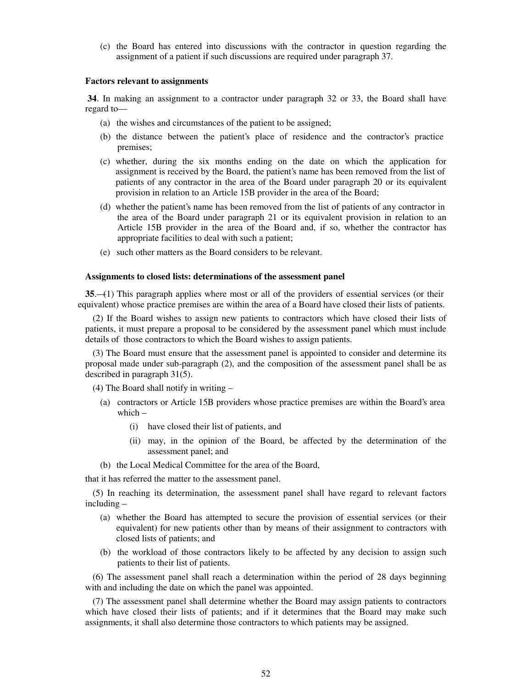(c) the Board has entered into discussions with the contractor in question regarding the assignment of a patient if such discussions are required under paragraph 37.

#### **Factors relevant to assignments**

 **34**. In making an assignment to a contractor under paragraph 32 or 33, the Board shall have regard to—

- (a) the wishes and circumstances of the patient to be assigned;
- (b) the distance between the patient's place of residence and the contractor's practice premises;
- (c) whether, during the six months ending on the date on which the application for assignment is received by the Board, the patient's name has been removed from the list of patients of any contractor in the area of the Board under paragraph 20 or its equivalent provision in relation to an Article 15B provider in the area of the Board;
- (d) whether the patient's name has been removed from the list of patients of any contractor in the area of the Board under paragraph 21 or its equivalent provision in relation to an Article 15B provider in the area of the Board and, if so, whether the contractor has appropriate facilities to deal with such a patient;
- (e) such other matters as the Board considers to be relevant.

### **Assignments to closed lists: determinations of the assessment panel**

**35**.—(1) This paragraph applies where most or all of the providers of essential services (or their equivalent) whose practice premises are within the area of a Board have closed their lists of patients.

(2) If the Board wishes to assign new patients to contractors which have closed their lists of patients, it must prepare a proposal to be considered by the assessment panel which must include details of those contractors to which the Board wishes to assign patients.

(3) The Board must ensure that the assessment panel is appointed to consider and determine its proposal made under sub-paragraph (2), and the composition of the assessment panel shall be as described in paragraph 31(5).

(4) The Board shall notify in writing –

- (a) contractors or Article 15B providers whose practice premises are within the Board's area which –
	- (i) have closed their list of patients, and
	- (ii) may, in the opinion of the Board, be affected by the determination of the assessment panel; and
- (b) the Local Medical Committee for the area of the Board,

that it has referred the matter to the assessment panel.

(5) In reaching its determination, the assessment panel shall have regard to relevant factors including –

- (a) whether the Board has attempted to secure the provision of essential services (or their equivalent) for new patients other than by means of their assignment to contractors with closed lists of patients; and
- (b) the workload of those contractors likely to be affected by any decision to assign such patients to their list of patients.

(6) The assessment panel shall reach a determination within the period of 28 days beginning with and including the date on which the panel was appointed.

(7) The assessment panel shall determine whether the Board may assign patients to contractors which have closed their lists of patients; and if it determines that the Board may make such assignments, it shall also determine those contractors to which patients may be assigned.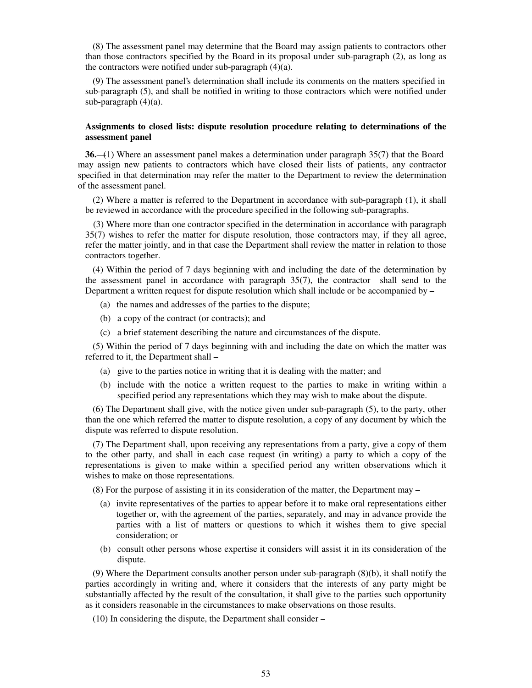(8) The assessment panel may determine that the Board may assign patients to contractors other than those contractors specified by the Board in its proposal under sub-paragraph (2), as long as the contractors were notified under sub-paragraph (4)(a).

(9) The assessment panel's determination shall include its comments on the matters specified in sub-paragraph (5), and shall be notified in writing to those contractors which were notified under sub-paragraph (4)(a).

## **Assignments to closed lists: dispute resolution procedure relating to determinations of the assessment panel**

**36.**—(1) Where an assessment panel makes a determination under paragraph 35(7) that the Board may assign new patients to contractors which have closed their lists of patients, any contractor specified in that determination may refer the matter to the Department to review the determination of the assessment panel.

(2) Where a matter is referred to the Department in accordance with sub-paragraph (1), it shall be reviewed in accordance with the procedure specified in the following sub-paragraphs.

(3) Where more than one contractor specified in the determination in accordance with paragraph 35(7) wishes to refer the matter for dispute resolution, those contractors may, if they all agree, refer the matter jointly, and in that case the Department shall review the matter in relation to those contractors together.

(4) Within the period of 7 days beginning with and including the date of the determination by the assessment panel in accordance with paragraph 35(7), the contractor shall send to the Department a written request for dispute resolution which shall include or be accompanied by –

- (a) the names and addresses of the parties to the dispute;
- (b) a copy of the contract (or contracts); and
- (c) a brief statement describing the nature and circumstances of the dispute.

(5) Within the period of 7 days beginning with and including the date on which the matter was referred to it, the Department shall –

- (a) give to the parties notice in writing that it is dealing with the matter; and
- (b) include with the notice a written request to the parties to make in writing within a specified period any representations which they may wish to make about the dispute.

(6) The Department shall give, with the notice given under sub-paragraph (5), to the party, other than the one which referred the matter to dispute resolution, a copy of any document by which the dispute was referred to dispute resolution.

(7) The Department shall, upon receiving any representations from a party, give a copy of them to the other party, and shall in each case request (in writing) a party to which a copy of the representations is given to make within a specified period any written observations which it wishes to make on those representations.

(8) For the purpose of assisting it in its consideration of the matter, the Department may –

- (a) invite representatives of the parties to appear before it to make oral representations either together or, with the agreement of the parties, separately, and may in advance provide the parties with a list of matters or questions to which it wishes them to give special consideration; or
- (b) consult other persons whose expertise it considers will assist it in its consideration of the dispute.

(9) Where the Department consults another person under sub-paragraph (8)(b), it shall notify the parties accordingly in writing and, where it considers that the interests of any party might be substantially affected by the result of the consultation, it shall give to the parties such opportunity as it considers reasonable in the circumstances to make observations on those results.

(10) In considering the dispute, the Department shall consider –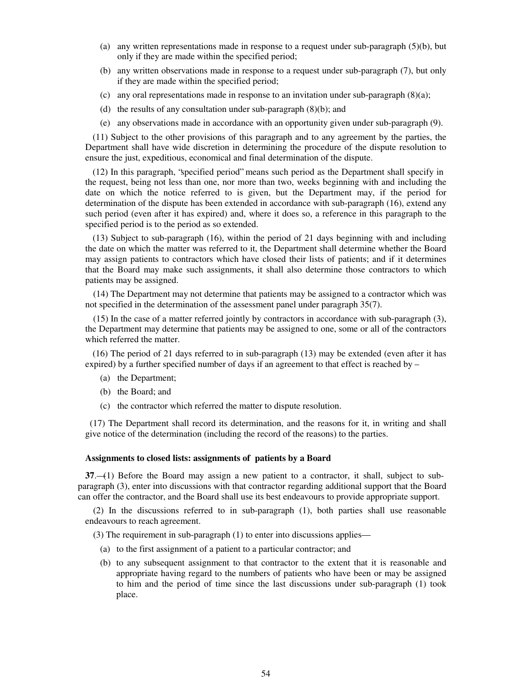- (a) any written representations made in response to a request under sub-paragraph (5)(b), but only if they are made within the specified period;
- (b) any written observations made in response to a request under sub-paragraph (7), but only if they are made within the specified period;
- (c) any oral representations made in response to an invitation under sub-paragraph  $(8)(a)$ ;
- (d) the results of any consultation under sub-paragraph (8)(b); and
- (e) any observations made in accordance with an opportunity given under sub-paragraph (9).

(11) Subject to the other provisions of this paragraph and to any agreement by the parties, the Department shall have wide discretion in determining the procedure of the dispute resolution to ensure the just, expeditious, economical and final determination of the dispute.

(12) In this paragraph, "specified period" means such period as the Department shall specify in the request, being not less than one, nor more than two, weeks beginning with and including the date on which the notice referred to is given, but the Department may, if the period for determination of the dispute has been extended in accordance with sub-paragraph (16), extend any such period (even after it has expired) and, where it does so, a reference in this paragraph to the specified period is to the period as so extended.

(13) Subject to sub-paragraph (16), within the period of 21 days beginning with and including the date on which the matter was referred to it, the Department shall determine whether the Board may assign patients to contractors which have closed their lists of patients; and if it determines that the Board may make such assignments, it shall also determine those contractors to which patients may be assigned.

(14) The Department may not determine that patients may be assigned to a contractor which was not specified in the determination of the assessment panel under paragraph 35(7).

(15) In the case of a matter referred jointly by contractors in accordance with sub-paragraph (3), the Department may determine that patients may be assigned to one, some or all of the contractors which referred the matter.

(16) The period of 21 days referred to in sub-paragraph (13) may be extended (even after it has expired) by a further specified number of days if an agreement to that effect is reached by  $-$ 

- (a) the Department;
- (b) the Board; and
- (c) the contractor which referred the matter to dispute resolution.

 (17) The Department shall record its determination, and the reasons for it, in writing and shall give notice of the determination (including the record of the reasons) to the parties.

#### **Assignments to closed lists: assignments of patients by a Board**

**37**.—(1) Before the Board may assign a new patient to a contractor, it shall, subject to subparagraph (3), enter into discussions with that contractor regarding additional support that the Board can offer the contractor, and the Board shall use its best endeavours to provide appropriate support.

(2) In the discussions referred to in sub-paragraph (1), both parties shall use reasonable endeavours to reach agreement.

(3) The requirement in sub-paragraph (1) to enter into discussions applies—

- (a) to the first assignment of a patient to a particular contractor; and
- (b) to any subsequent assignment to that contractor to the extent that it is reasonable and appropriate having regard to the numbers of patients who have been or may be assigned to him and the period of time since the last discussions under sub-paragraph (1) took place.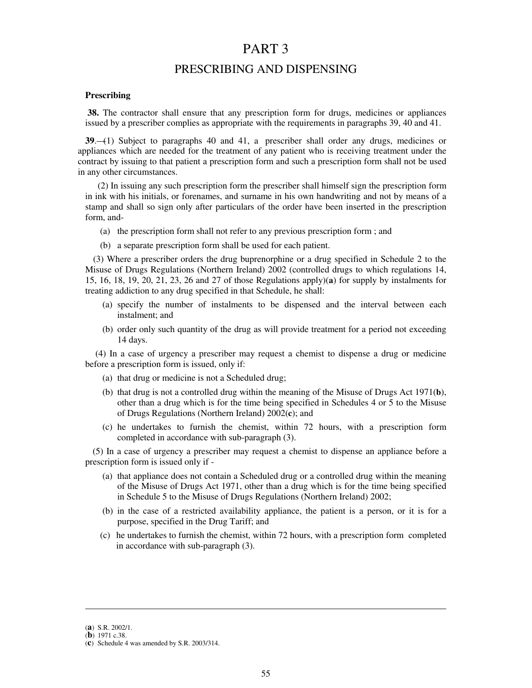# PART 3

# PRESCRIBING AND DISPENSING

## **Prescribing**

**38.** The contractor shall ensure that any prescription form for drugs, medicines or appliances issued by a prescriber complies as appropriate with the requirements in paragraphs 39, 40 and 41.

**39**.—(1) Subject to paragraphs 40 and 41, a prescriber shall order any drugs, medicines or appliances which are needed for the treatment of any patient who is receiving treatment under the contract by issuing to that patient a prescription form and such a prescription form shall not be used in any other circumstances.

 (2) In issuing any such prescription form the prescriber shall himself sign the prescription form in ink with his initials, or forenames, and surname in his own handwriting and not by means of a stamp and shall so sign only after particulars of the order have been inserted in the prescription form, and-

- (a) the prescription form shall not refer to any previous prescription form ; and
- (b) a separate prescription form shall be used for each patient.

(3) Where a prescriber orders the drug buprenorphine or a drug specified in Schedule 2 to the Misuse of Drugs Regulations (Northern Ireland) 2002 (controlled drugs to which regulations 14, 15, 16, 18, 19, 20, 21, 23, 26 and 27 of those Regulations apply)(**a**) for supply by instalments for treating addiction to any drug specified in that Schedule, he shall:

- (a) specify the number of instalments to be dispensed and the interval between each instalment; and
- (b) order only such quantity of the drug as will provide treatment for a period not exceeding 14 days.

(4) In a case of urgency a prescriber may request a chemist to dispense a drug or medicine before a prescription form is issued, only if:

- (a) that drug or medicine is not a Scheduled drug;
- (b) that drug is not a controlled drug within the meaning of the Misuse of Drugs Act 1971(**b**), other than a drug which is for the time being specified in Schedules 4 or 5 to the Misuse of Drugs Regulations (Northern Ireland) 2002(**c**); and
- (c) he undertakes to furnish the chemist, within 72 hours, with a prescription form completed in accordance with sub-paragraph (3).

(5) In a case of urgency a prescriber may request a chemist to dispense an appliance before a prescription form is issued only if -

- (a) that appliance does not contain a Scheduled drug or a controlled drug within the meaning of the Misuse of Drugs Act 1971, other than a drug which is for the time being specified in Schedule 5 to the Misuse of Drugs Regulations (Northern Ireland) 2002;
- (b) in the case of a restricted availability appliance, the patient is a person, or it is for a purpose, specified in the Drug Tariff; and
- (c) he undertakes to furnish the chemist, within 72 hours, with a prescription form completed in accordance with sub-paragraph (3).

**.** 

<sup>(</sup>**a**) S.R. 2002/1.

<sup>(</sup>**b**) 1971 c.38.

<sup>(</sup>**c**) Schedule 4 was amended by S.R. 2003/314.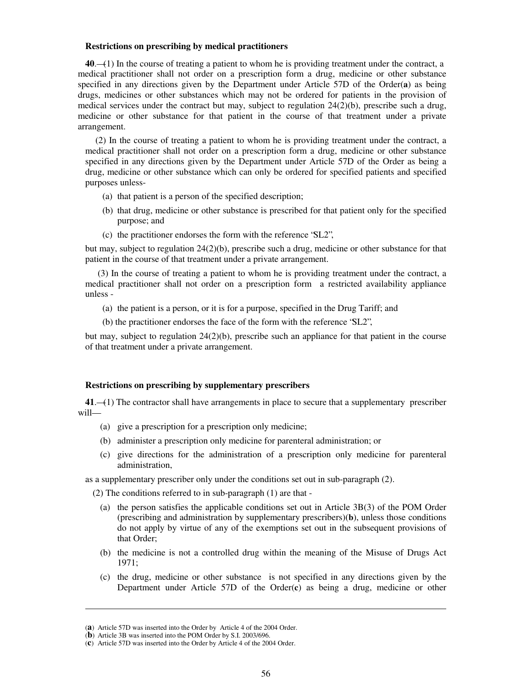### **Restrictions on prescribing by medical practitioners**

**40**.—(1) In the course of treating a patient to whom he is providing treatment under the contract, a medical practitioner shall not order on a prescription form a drug, medicine or other substance specified in any directions given by the Department under Article 57D of the Order(**a**) as being drugs, medicines or other substances which may not be ordered for patients in the provision of medical services under the contract but may, subject to regulation 24(2)(b), prescribe such a drug, medicine or other substance for that patient in the course of that treatment under a private arrangement.

(2) In the course of treating a patient to whom he is providing treatment under the contract, a medical practitioner shall not order on a prescription form a drug, medicine or other substance specified in any directions given by the Department under Article 57D of the Order as being a drug, medicine or other substance which can only be ordered for specified patients and specified purposes unless-

- (a) that patient is a person of the specified description;
- (b) that drug, medicine or other substance is prescribed for that patient only for the specified purpose; and
- (c) the practitioner endorses the form with the reference "SL2",

but may, subject to regulation 24(2)(b), prescribe such a drug, medicine or other substance for that patient in the course of that treatment under a private arrangement.

 (3) In the course of treating a patient to whom he is providing treatment under the contract, a medical practitioner shall not order on a prescription form a restricted availability appliance unless -

- (a) the patient is a person, or it is for a purpose, specified in the Drug Tariff; and
- (b) the practitioner endorses the face of the form with the reference "SL2",

but may, subject to regulation 24(2)(b), prescribe such an appliance for that patient in the course of that treatment under a private arrangement.

### **Restrictions on prescribing by supplementary prescribers**

**41**.—(1) The contractor shall have arrangements in place to secure that a supplementary prescriber will—

- (a) give a prescription for a prescription only medicine;
- (b) administer a prescription only medicine for parenteral administration; or
- (c) give directions for the administration of a prescription only medicine for parenteral administration,

as a supplementary prescriber only under the conditions set out in sub-paragraph (2).

(2) The conditions referred to in sub-paragraph (1) are that -

- (a) the person satisfies the applicable conditions set out in Article 3B(3) of the POM Order (prescribing and administration by supplementary prescribers)(**b**), unless those conditions do not apply by virtue of any of the exemptions set out in the subsequent provisions of that Order;
- (b) the medicine is not a controlled drug within the meaning of the Misuse of Drugs Act 1971;
- (c) the drug, medicine or other substance is not specified in any directions given by the Department under Article 57D of the Order(**c**) as being a drug, medicine or other

**.** 

<sup>(</sup>**a**) Article 57D was inserted into the Order by Article 4 of the 2004 Order.

<sup>(</sup>**b**) Article 3B was inserted into the POM Order by S.I. 2003/696.

<sup>(</sup>**c**) Article 57D was inserted into the Order by Article 4 of the 2004 Order.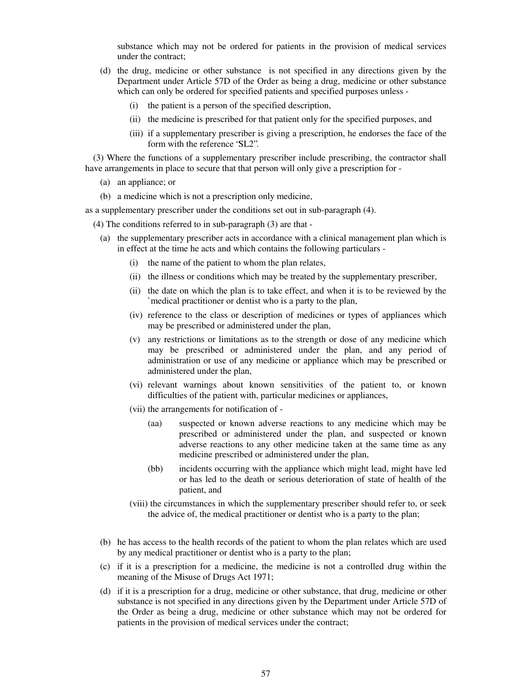substance which may not be ordered for patients in the provision of medical services under the contract;

- (d) the drug, medicine or other substance is not specified in any directions given by the Department under Article 57D of the Order as being a drug, medicine or other substance which can only be ordered for specified patients and specified purposes unless -
	- (i) the patient is a person of the specified description,
	- (ii) the medicine is prescribed for that patient only for the specified purposes, and
	- (iii) if a supplementary prescriber is giving a prescription, he endorses the face of the form with the reference "SL2".

(3) Where the functions of a supplementary prescriber include prescribing, the contractor shall have arrangements in place to secure that that person will only give a prescription for -

- (a) an appliance; or
- (b) a medicine which is not a prescription only medicine,

as a supplementary prescriber under the conditions set out in sub-paragraph (4).

(4) The conditions referred to in sub-paragraph (3) are that -

- (a) the supplementary prescriber acts in accordance with a clinical management plan which is in effect at the time he acts and which contains the following particulars -
	- (i) the name of the patient to whom the plan relates,
	- (ii) the illness or conditions which may be treated by the supplementary prescriber,
	- (ii) the date on which the plan is to take effect, and when it is to be reviewed by the `medical practitioner or dentist who is a party to the plan,
	- (iv) reference to the class or description of medicines or types of appliances which may be prescribed or administered under the plan,
	- (v) any restrictions or limitations as to the strength or dose of any medicine which may be prescribed or administered under the plan, and any period of administration or use of any medicine or appliance which may be prescribed or administered under the plan,
	- (vi) relevant warnings about known sensitivities of the patient to, or known difficulties of the patient with, particular medicines or appliances,
	- (vii) the arrangements for notification of
		- (aa) suspected or known adverse reactions to any medicine which may be prescribed or administered under the plan, and suspected or known adverse reactions to any other medicine taken at the same time as any medicine prescribed or administered under the plan,
		- (bb) incidents occurring with the appliance which might lead, might have led or has led to the death or serious deterioration of state of health of the patient, and
	- (viii) the circumstances in which the supplementary prescriber should refer to, or seek the advice of, the medical practitioner or dentist who is a party to the plan;
- (b) he has access to the health records of the patient to whom the plan relates which are used by any medical practitioner or dentist who is a party to the plan;
- (c) if it is a prescription for a medicine, the medicine is not a controlled drug within the meaning of the Misuse of Drugs Act 1971;
- (d) if it is a prescription for a drug, medicine or other substance, that drug, medicine or other substance is not specified in any directions given by the Department under Article 57D of the Order as being a drug, medicine or other substance which may not be ordered for patients in the provision of medical services under the contract;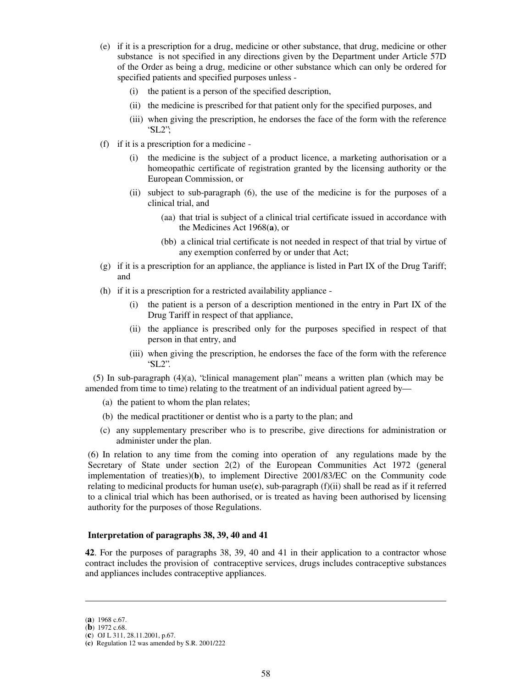- (e) if it is a prescription for a drug, medicine or other substance, that drug, medicine or other substance is not specified in any directions given by the Department under Article 57D of the Order as being a drug, medicine or other substance which can only be ordered for specified patients and specified purposes unless -
	- (i) the patient is a person of the specified description,
	- (ii) the medicine is prescribed for that patient only for the specified purposes, and
	- (iii) when giving the prescription, he endorses the face of the form with the reference "SL2";
- (f) if it is a prescription for a medicine
	- (i) the medicine is the subject of a product licence, a marketing authorisation or a homeopathic certificate of registration granted by the licensing authority or the European Commission, or
	- (ii) subject to sub-paragraph (6), the use of the medicine is for the purposes of a clinical trial, and
		- (aa) that trial is subject of a clinical trial certificate issued in accordance with the Medicines Act 1968(**a**), or
		- (bb) a clinical trial certificate is not needed in respect of that trial by virtue of any exemption conferred by or under that Act;
- (g) if it is a prescription for an appliance, the appliance is listed in Part IX of the Drug Tariff; and
- (h) if it is a prescription for a restricted availability appliance
	- (i) the patient is a person of a description mentioned in the entry in Part IX of the Drug Tariff in respect of that appliance,
	- (ii) the appliance is prescribed only for the purposes specified in respect of that person in that entry, and
	- (iii) when giving the prescription, he endorses the face of the form with the reference "SL2".

(5) In sub-paragraph (4)(a), "clinical management plan" means a written plan (which may be amended from time to time) relating to the treatment of an individual patient agreed by—

- (a) the patient to whom the plan relates;
- (b) the medical practitioner or dentist who is a party to the plan; and
- (c) any supplementary prescriber who is to prescribe, give directions for administration or administer under the plan.

(6) In relation to any time from the coming into operation of any regulations made by the Secretary of State under section 2(2) of the European Communities Act 1972 (general implementation of treaties)(**b**), to implement Directive 2001/83/EC on the Community code relating to medicinal products for human use(**c**), sub-paragraph (f)(ii) shall be read as if it referred to a clinical trial which has been authorised, or is treated as having been authorised by licensing authority for the purposes of those Regulations.

## **Interpretation of paragraphs 38, 39, 40 and 41**

**42**. For the purposes of paragraphs 38, 39, 40 and 41 in their application to a contractor whose contract includes the provision of contraceptive services, drugs includes contraceptive substances and appliances includes contraceptive appliances.

**.** 

<sup>(</sup>**a**) 1968 c.67.

<sup>(</sup>**b**) 1972 c.68.

<sup>(</sup>**c**) OJ L 311, 28.11.2001, p.67.

**<sup>(</sup>c)** Regulation 12 was amended by S.R. 2001/222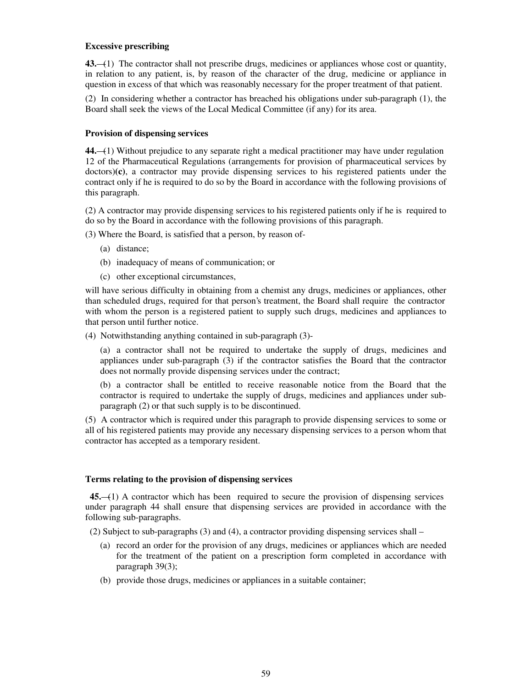## **Excessive prescribing**

**43.**—(1) The contractor shall not prescribe drugs, medicines or appliances whose cost or quantity, in relation to any patient, is, by reason of the character of the drug, medicine or appliance in question in excess of that which was reasonably necessary for the proper treatment of that patient.

(2) In considering whether a contractor has breached his obligations under sub-paragraph (1), the Board shall seek the views of the Local Medical Committee (if any) for its area.

## **Provision of dispensing services**

**44.**—(1) Without prejudice to any separate right a medical practitioner may have under regulation 12 of the Pharmaceutical Regulations (arrangements for provision of pharmaceutical services by doctors)**(c)**, a contractor may provide dispensing services to his registered patients under the contract only if he is required to do so by the Board in accordance with the following provisions of this paragraph.

(2) A contractor may provide dispensing services to his registered patients only if he is required to do so by the Board in accordance with the following provisions of this paragraph.

(3) Where the Board, is satisfied that a person, by reason of-

- (a) distance;
- (b) inadequacy of means of communication; or
- (c) other exceptional circumstances,

will have serious difficulty in obtaining from a chemist any drugs, medicines or appliances, other than scheduled drugs, required for that person's treatment, the Board shall require the contractor with whom the person is a registered patient to supply such drugs, medicines and appliances to that person until further notice.

(4) Notwithstanding anything contained in sub-paragraph (3)-

(a) a contractor shall not be required to undertake the supply of drugs, medicines and appliances under sub-paragraph (3) if the contractor satisfies the Board that the contractor does not normally provide dispensing services under the contract;

(b) a contractor shall be entitled to receive reasonable notice from the Board that the contractor is required to undertake the supply of drugs, medicines and appliances under subparagraph (2) or that such supply is to be discontinued.

(5) A contractor which is required under this paragraph to provide dispensing services to some or all of his registered patients may provide any necessary dispensing services to a person whom that contractor has accepted as a temporary resident.

## **Terms relating to the provision of dispensing services**

 **45.**—(1) A contractor which has been required to secure the provision of dispensing services under paragraph 44 shall ensure that dispensing services are provided in accordance with the following sub-paragraphs.

(2) Subject to sub-paragraphs (3) and (4), a contractor providing dispensing services shall –

- (a) record an order for the provision of any drugs, medicines or appliances which are needed for the treatment of the patient on a prescription form completed in accordance with paragraph 39(3);
- (b) provide those drugs, medicines or appliances in a suitable container;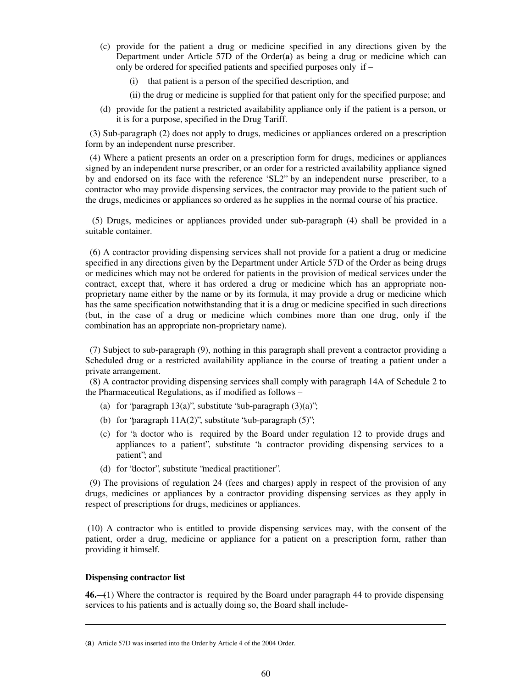- (c) provide for the patient a drug or medicine specified in any directions given by the Department under Article 57D of the Order(**a**) as being a drug or medicine which can only be ordered for specified patients and specified purposes only if –
	- (i) that patient is a person of the specified description, and
	- (ii) the drug or medicine is supplied for that patient only for the specified purpose; and
- (d) provide for the patient a restricted availability appliance only if the patient is a person, or it is for a purpose, specified in the Drug Tariff.

 (3) Sub-paragraph (2) does not apply to drugs, medicines or appliances ordered on a prescription form by an independent nurse prescriber.

 (4) Where a patient presents an order on a prescription form for drugs, medicines or appliances signed by an independent nurse prescriber, or an order for a restricted availability appliance signed by and endorsed on its face with the reference "SL2" by an independent nurse prescriber, to a contractor who may provide dispensing services, the contractor may provide to the patient such of the drugs, medicines or appliances so ordered as he supplies in the normal course of his practice.

 (5) Drugs, medicines or appliances provided under sub-paragraph (4) shall be provided in a suitable container.

 (6) A contractor providing dispensing services shall not provide for a patient a drug or medicine specified in any directions given by the Department under Article 57D of the Order as being drugs or medicines which may not be ordered for patients in the provision of medical services under the contract, except that, where it has ordered a drug or medicine which has an appropriate nonproprietary name either by the name or by its formula, it may provide a drug or medicine which has the same specification notwithstanding that it is a drug or medicine specified in such directions (but, in the case of a drug or medicine which combines more than one drug, only if the combination has an appropriate non-proprietary name).

 (7) Subject to sub-paragraph (9), nothing in this paragraph shall prevent a contractor providing a Scheduled drug or a restricted availability appliance in the course of treating a patient under a private arrangement.

 (8) A contractor providing dispensing services shall comply with paragraph 14A of Schedule 2 to the Pharmaceutical Regulations, as if modified as follows –

- (a) for "paragraph  $13(a)$ ", substitute "sub-paragraph  $(3)(a)$ ";
- (b) for "paragraph  $11A(2)$ ", substitute "sub-paragraph  $(5)$ ";
- (c) for "a doctor who is required by the Board under regulation 12 to provide drugs and appliances to a patient", substitute "a contractor providing dispensing services to a patient"; and
- (d) for "doctor", substitute "medical practitioner".

 (9) The provisions of regulation 24 (fees and charges) apply in respect of the provision of any drugs, medicines or appliances by a contractor providing dispensing services as they apply in respect of prescriptions for drugs, medicines or appliances.

(10) A contractor who is entitled to provide dispensing services may, with the consent of the patient, order a drug, medicine or appliance for a patient on a prescription form, rather than providing it himself.

#### **Dispensing contractor list**

**.** 

**46.**—(1) Where the contractor is required by the Board under paragraph 44 to provide dispensing services to his patients and is actually doing so, the Board shall include-

<sup>(</sup>**a**) Article 57D was inserted into the Order by Article 4 of the 2004 Order.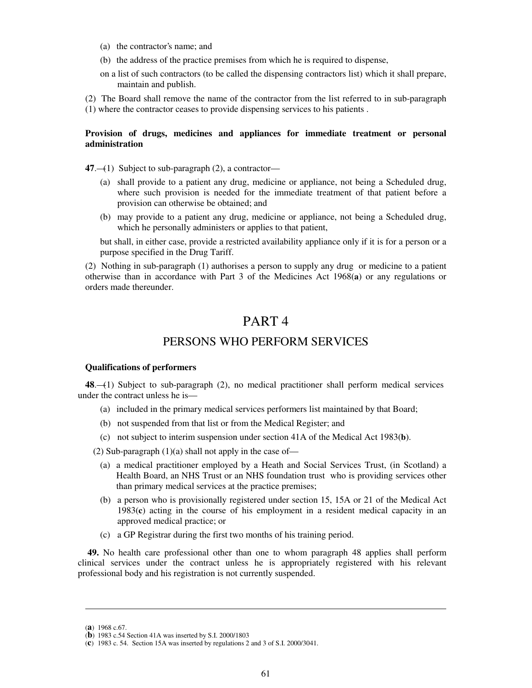- (a) the contractor's name; and
- (b) the address of the practice premises from which he is required to dispense,
- on a list of such contractors (to be called the dispensing contractors list) which it shall prepare, maintain and publish.
- (2) The Board shall remove the name of the contractor from the list referred to in sub-paragraph
- (1) where the contractor ceases to provide dispensing services to his patients .

## **Provision of drugs, medicines and appliances for immediate treatment or personal administration**

**47**.—(1) Subject to sub-paragraph (2), a contractor—

- (a) shall provide to a patient any drug, medicine or appliance, not being a Scheduled drug, where such provision is needed for the immediate treatment of that patient before a provision can otherwise be obtained; and
- (b) may provide to a patient any drug, medicine or appliance, not being a Scheduled drug, which he personally administers or applies to that patient,

but shall, in either case, provide a restricted availability appliance only if it is for a person or a purpose specified in the Drug Tariff.

(2) Nothing in sub-paragraph (1) authorises a person to supply any drug or medicine to a patient otherwise than in accordance with Part 3 of the Medicines Act 1968(**a**) or any regulations or orders made thereunder.

# PART 4

# PERSONS WHO PERFORM SERVICES

## **Qualifications of performers**

**48**.—(1) Subject to sub-paragraph (2), no medical practitioner shall perform medical services under the contract unless he is—

- (a) included in the primary medical services performers list maintained by that Board;
- (b) not suspended from that list or from the Medical Register; and
- (c) not subject to interim suspension under section 41A of the Medical Act 1983(**b**).

(2) Sub-paragraph  $(1)(a)$  shall not apply in the case of-

- (a) a medical practitioner employed by a Heath and Social Services Trust, (in Scotland) a Health Board, an NHS Trust or an NHS foundation trust who is providing services other than primary medical services at the practice premises;
- (b) a person who is provisionally registered under section 15, 15A or 21 of the Medical Act 1983(**c**) acting in the course of his employment in a resident medical capacity in an approved medical practice; or
- (c) a GP Registrar during the first two months of his training period.

**49.** No health care professional other than one to whom paragraph 48 applies shall perform clinical services under the contract unless he is appropriately registered with his relevant professional body and his registration is not currently suspended.

**.** 

<sup>(</sup>**a**) 1968 c.67.

<sup>(</sup>**b**) 1983 c.54 Section 41A was inserted by S.I. 2000/1803

<sup>(</sup>**c**) 1983 c. 54. Section 15A was inserted by regulations 2 and 3 of S.I. 2000/3041.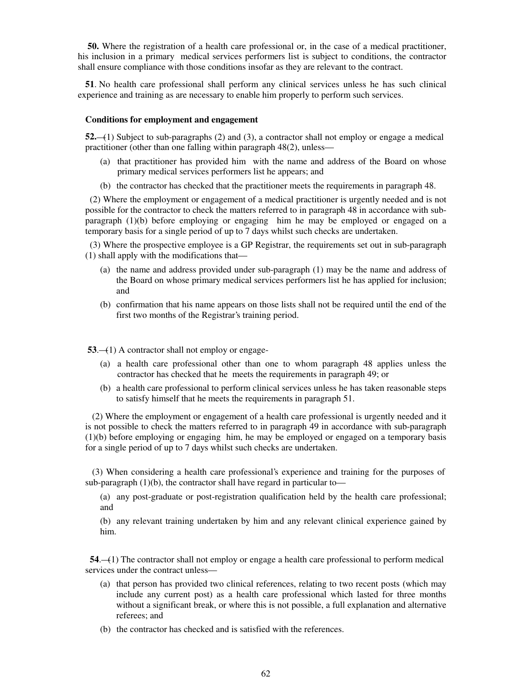**50.** Where the registration of a health care professional or, in the case of a medical practitioner, his inclusion in a primary medical services performers list is subject to conditions, the contractor shall ensure compliance with those conditions insofar as they are relevant to the contract.

**51**. No health care professional shall perform any clinical services unless he has such clinical experience and training as are necessary to enable him properly to perform such services.

#### **Conditions for employment and engagement**

**52.**—(1) Subject to sub-paragraphs (2) and (3), a contractor shall not employ or engage a medical practitioner (other than one falling within paragraph 48(2), unless—

- (a) that practitioner has provided him with the name and address of the Board on whose primary medical services performers list he appears; and
- (b) the contractor has checked that the practitioner meets the requirements in paragraph 48.

 (2) Where the employment or engagement of a medical practitioner is urgently needed and is not possible for the contractor to check the matters referred to in paragraph 48 in accordance with subparagraph (1)(b) before employing or engaging him he may be employed or engaged on a temporary basis for a single period of up to 7 days whilst such checks are undertaken.

 (3) Where the prospective employee is a GP Registrar, the requirements set out in sub-paragraph (1) shall apply with the modifications that—

- (a) the name and address provided under sub-paragraph (1) may be the name and address of the Board on whose primary medical services performers list he has applied for inclusion; and
- (b) confirmation that his name appears on those lists shall not be required until the end of the first two months of the Registrar's training period.

**53**.—(1) A contractor shall not employ or engage-

- (a) a health care professional other than one to whom paragraph 48 applies unless the contractor has checked that he meets the requirements in paragraph 49; or
- (b) a health care professional to perform clinical services unless he has taken reasonable steps to satisfy himself that he meets the requirements in paragraph 51.

 (2) Where the employment or engagement of a health care professional is urgently needed and it is not possible to check the matters referred to in paragraph 49 in accordance with sub-paragraph (1)(b) before employing or engaging him, he may be employed or engaged on a temporary basis for a single period of up to 7 days whilst such checks are undertaken.

 (3) When considering a health care professional's experience and training for the purposes of sub-paragraph  $(1)(b)$ , the contractor shall have regard in particular to—

(a) any post-graduate or post-registration qualification held by the health care professional; and

(b) any relevant training undertaken by him and any relevant clinical experience gained by him.

 **54**.—(1) The contractor shall not employ or engage a health care professional to perform medical services under the contract unless—

- (a) that person has provided two clinical references, relating to two recent posts (which may include any current post) as a health care professional which lasted for three months without a significant break, or where this is not possible, a full explanation and alternative referees; and
- (b) the contractor has checked and is satisfied with the references.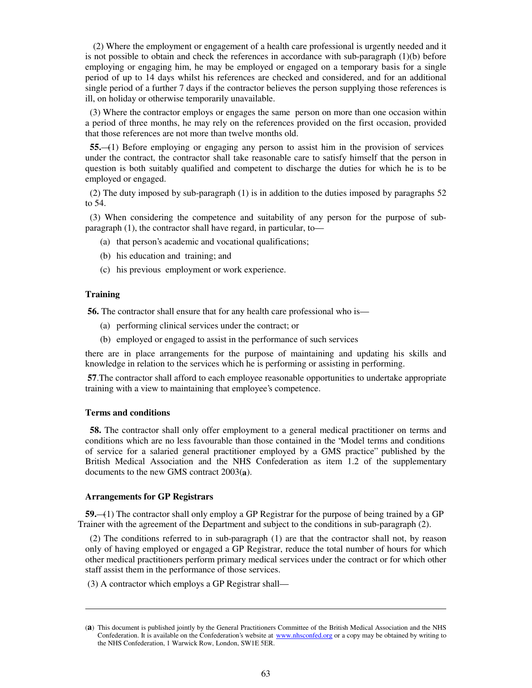(2) Where the employment or engagement of a health care professional is urgently needed and it is not possible to obtain and check the references in accordance with sub-paragraph  $(1)(b)$  before employing or engaging him, he may be employed or engaged on a temporary basis for a single period of up to 14 days whilst his references are checked and considered, and for an additional single period of a further 7 days if the contractor believes the person supplying those references is ill, on holiday or otherwise temporarily unavailable.

 (3) Where the contractor employs or engages the same person on more than one occasion within a period of three months, he may rely on the references provided on the first occasion, provided that those references are not more than twelve months old.

 **55.**—(1) Before employing or engaging any person to assist him in the provision of services under the contract, the contractor shall take reasonable care to satisfy himself that the person in question is both suitably qualified and competent to discharge the duties for which he is to be employed or engaged.

 (2) The duty imposed by sub-paragraph (1) is in addition to the duties imposed by paragraphs 52 to 54.

 (3) When considering the competence and suitability of any person for the purpose of subparagraph (1), the contractor shall have regard, in particular, to—

- (a) that person's academic and vocational qualifications;
- (b) his education and training; and
- (c) his previous employment or work experience.

## **Training**

**.** 

**56.** The contractor shall ensure that for any health care professional who is—

- (a) performing clinical services under the contract; or
- (b) employed or engaged to assist in the performance of such services

there are in place arrangements for the purpose of maintaining and updating his skills and knowledge in relation to the services which he is performing or assisting in performing.

**57**.The contractor shall afford to each employee reasonable opportunities to undertake appropriate training with a view to maintaining that employee's competence.

### **Terms and conditions**

 **58.** The contractor shall only offer employment to a general medical practitioner on terms and conditions which are no less favourable than those contained in the "Model terms and conditions of service for a salaried general practitioner employed by a GMS practice" published by the British Medical Association and the NHS Confederation as item 1.2 of the supplementary documents to the new GMS contract 2003(**a**).

## **Arrangements for GP Registrars**

**59.**—(1) The contractor shall only employ a GP Registrar for the purpose of being trained by a GP Trainer with the agreement of the Department and subject to the conditions in sub-paragraph (2).

 (2) The conditions referred to in sub-paragraph (1) are that the contractor shall not, by reason only of having employed or engaged a GP Registrar, reduce the total number of hours for which other medical practitioners perform primary medical services under the contract or for which other staff assist them in the performance of those services.

(3) A contractor which employs a GP Registrar shall—

<sup>(</sup>**a**) This document is published jointly by the General Practitioners Committee of the British Medical Association and the NHS Confederation. It is available on the Confederation's website at www.nhsconfed.org or a copy may be obtained by writing to the NHS Confederation, 1 Warwick Row, London, SW1E 5ER.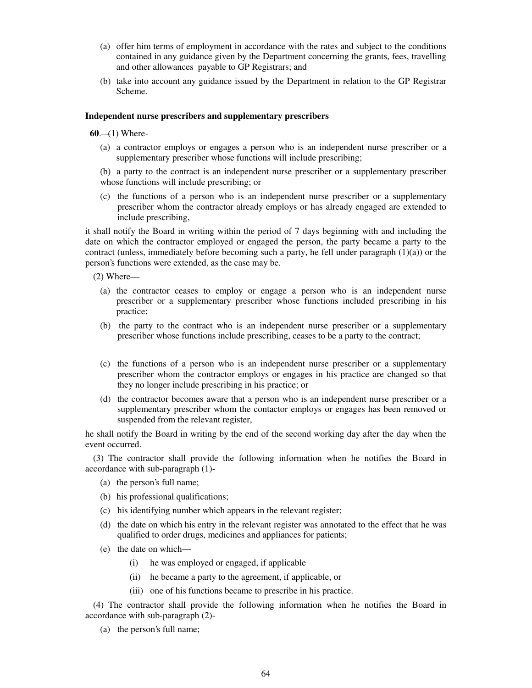- (a) offer him terms of employment in accordance with the rates and subject to the conditions contained in any guidance given by the Department concerning the grants, fees, travelling and other allowances payable to GP Registrars; and
- (b) take into account any guidance issued by the Department in relation to the GP Registrar Scheme.

### **Independent nurse prescribers and supplementary prescribers**

 $60. (1)$  Where-

(a) a contractor employs or engages a person who is an independent nurse prescriber or a supplementary prescriber whose functions will include prescribing;

(b) a party to the contract is an independent nurse prescriber or a supplementary prescriber whose functions will include prescribing; or

(c) the functions of a person who is an independent nurse prescriber or a supplementary prescriber whom the contractor already employs or has already engaged are extended to include prescribing,

it shall notify the Board in writing within the period of 7 days beginning with and including the date on which the contractor employed or engaged the person, the party became a party to the contract (unless, immediately before becoming such a party, he fell under paragraph  $(1)(a)$ ) or the person's functions were extended, as the case may be.

(2) Where—

- (a) the contractor ceases to employ or engage a person who is an independent nurse prescriber or a supplementary prescriber whose functions included prescribing in his practice;
- (b) the party to the contract who is an independent nurse prescriber or a supplementary prescriber whose functions include prescribing, ceases to be a party to the contract;
- (c) the functions of a person who is an independent nurse prescriber or a supplementary prescriber whom the contractor employs or engages in his practice are changed so that they no longer include prescribing in his practice; or
- (d) the contractor becomes aware that a person who is an independent nurse prescriber or a supplementary prescriber whom the contactor employs or engages has been removed or suspended from the relevant register,

he shall notify the Board in writing by the end of the second working day after the day when the event occurred.

(3) The contractor shall provide the following information when he notifies the Board in accordance with sub-paragraph (1)-

- (a) the person's full name;
- (b) his professional qualifications;
- (c) his identifying number which appears in the relevant register;
- (d) the date on which his entry in the relevant register was annotated to the effect that he was qualified to order drugs, medicines and appliances for patients;
- (e) the date on which—
	- (i) he was employed or engaged, if applicable
	- (ii) he became a party to the agreement, if applicable, or
	- (iii) one of his functions became to prescribe in his practice.

(4) The contractor shall provide the following information when he notifies the Board in accordance with sub-paragraph (2)-

(a) the person's full name;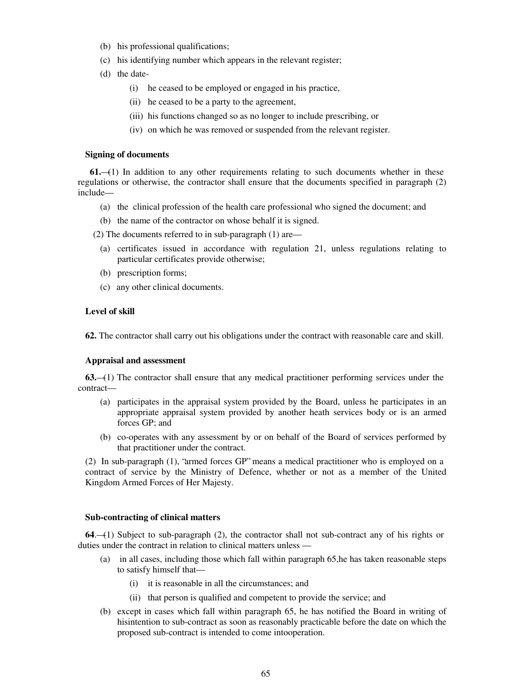- (b) his professional qualifications;
- (c) his identifying number which appears in the relevant register;
- (d) the date-
	- (i) he ceased to be employed or engaged in his practice,
	- (ii) he ceased to be a party to the agreement,
	- (iii) his functions changed so as no longer to include prescribing, or
	- (iv) on which he was removed or suspended from the relevant register.

#### **Signing of documents**

 **61.**—(1) In addition to any other requirements relating to such documents whether in these regulations or otherwise, the contractor shall ensure that the documents specified in paragraph (2) include—

- (a) the clinical profession of the health care professional who signed the document; and
- (b) the name of the contractor on whose behalf it is signed.

(2) The documents referred to in sub-paragraph (1) are—

- (a) certificates issued in accordance with regulation 21, unless regulations relating to particular certificates provide otherwise;
- (b) prescription forms;
- (c) any other clinical documents.

### **Level of skill**

**62.** The contractor shall carry out his obligations under the contract with reasonable care and skill.

#### **Appraisal and assessment**

**63.**—(1) The contractor shall ensure that any medical practitioner performing services under the contract—

- (a) participates in the appraisal system provided by the Board, unless he participates in an appropriate appraisal system provided by another heath services body or is an armed forces GP; and
- (b) co-operates with any assessment by or on behalf of the Board of services performed by that practitioner under the contract.

(2) In sub-paragraph (1), "armed forces GP" means a medical practitioner who is employed on a contract of service by the Ministry of Defence, whether or not as a member of the United Kingdom Armed Forces of Her Majesty.

#### **Sub-contracting of clinical matters**

**64**.—(1) Subject to sub-paragraph (2), the contractor shall not sub-contract any of his rights or duties under the contract in relation to clinical matters unless —

- (a) in all cases, including those which fall within paragraph 65,he has taken reasonable steps to satisfy himself that—
	- (i) it is reasonable in all the circumstances; and
	- (ii) that person is qualified and competent to provide the service; and
- (b) except in cases which fall within paragraph 65, he has notified the Board in writing of hisintention to sub-contract as soon as reasonably practicable before the date on which the proposed sub-contract is intended to come intooperation.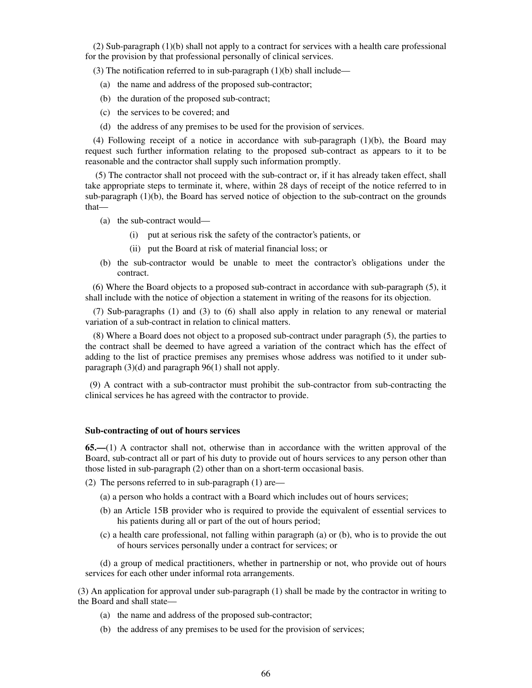(2) Sub-paragraph (1)(b) shall not apply to a contract for services with a health care professional for the provision by that professional personally of clinical services.

(3) The notification referred to in sub-paragraph (1)(b) shall include—

- (a) the name and address of the proposed sub-contractor;
- (b) the duration of the proposed sub-contract;
- (c) the services to be covered; and
- (d) the address of any premises to be used for the provision of services.

(4) Following receipt of a notice in accordance with sub-paragraph (1)(b), the Board may request such further information relating to the proposed sub-contract as appears to it to be reasonable and the contractor shall supply such information promptly.

(5) The contractor shall not proceed with the sub-contract or, if it has already taken effect, shall take appropriate steps to terminate it, where, within 28 days of receipt of the notice referred to in sub-paragraph (1)(b), the Board has served notice of objection to the sub-contract on the grounds that—

- (a) the sub-contract would—
	- (i) put at serious risk the safety of the contractor's patients, or
	- (ii) put the Board at risk of material financial loss; or
- (b) the sub-contractor would be unable to meet the contractor's obligations under the contract.

(6) Where the Board objects to a proposed sub-contract in accordance with sub-paragraph (5), it shall include with the notice of objection a statement in writing of the reasons for its objection.

(7) Sub-paragraphs (1) and (3) to (6) shall also apply in relation to any renewal or material variation of a sub-contract in relation to clinical matters.

(8) Where a Board does not object to a proposed sub-contract under paragraph (5), the parties to the contract shall be deemed to have agreed a variation of the contract which has the effect of adding to the list of practice premises any premises whose address was notified to it under subparagraph (3)(d) and paragraph 96(1) shall not apply.

 (9) A contract with a sub-contractor must prohibit the sub-contractor from sub-contracting the clinical services he has agreed with the contractor to provide.

### **Sub-contracting of out of hours services**

**65.—**(1) A contractor shall not, otherwise than in accordance with the written approval of the Board, sub-contract all or part of his duty to provide out of hours services to any person other than those listed in sub-paragraph (2) other than on a short-term occasional basis.

- (2) The persons referred to in sub-paragraph (1) are—
	- (a) a person who holds a contract with a Board which includes out of hours services;
	- (b) an Article 15B provider who is required to provide the equivalent of essential services to his patients during all or part of the out of hours period;
	- (c) a health care professional, not falling within paragraph (a) or (b), who is to provide the out of hours services personally under a contract for services; or

(d) a group of medical practitioners, whether in partnership or not, who provide out of hours services for each other under informal rota arrangements.

(3) An application for approval under sub-paragraph (1) shall be made by the contractor in writing to the Board and shall state—

- (a) the name and address of the proposed sub-contractor;
- (b) the address of any premises to be used for the provision of services;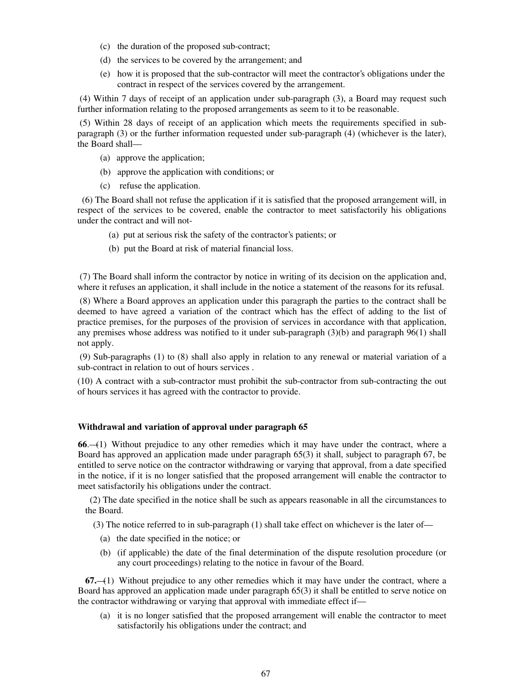- (c) the duration of the proposed sub-contract;
- (d) the services to be covered by the arrangement; and
- (e) how it is proposed that the sub-contractor will meet the contractor's obligations under the contract in respect of the services covered by the arrangement.

(4) Within 7 days of receipt of an application under sub-paragraph (3), a Board may request such further information relating to the proposed arrangements as seem to it to be reasonable.

(5) Within 28 days of receipt of an application which meets the requirements specified in subparagraph (3) or the further information requested under sub-paragraph (4) (whichever is the later), the Board shall—

- (a) approve the application;
- (b) approve the application with conditions; or
- (c) refuse the application.

 (6) The Board shall not refuse the application if it is satisfied that the proposed arrangement will, in respect of the services to be covered, enable the contractor to meet satisfactorily his obligations under the contract and will not-

- (a) put at serious risk the safety of the contractor's patients; or
- (b) put the Board at risk of material financial loss.

(7) The Board shall inform the contractor by notice in writing of its decision on the application and, where it refuses an application, it shall include in the notice a statement of the reasons for its refusal.

(8) Where a Board approves an application under this paragraph the parties to the contract shall be deemed to have agreed a variation of the contract which has the effect of adding to the list of practice premises, for the purposes of the provision of services in accordance with that application, any premises whose address was notified to it under sub-paragraph (3)(b) and paragraph 96(1) shall not apply.

(9) Sub-paragraphs (1) to (8) shall also apply in relation to any renewal or material variation of a sub-contract in relation to out of hours services .

(10) A contract with a sub-contractor must prohibit the sub-contractor from sub-contracting the out of hours services it has agreed with the contractor to provide.

### **Withdrawal and variation of approval under paragraph 65**

**66**.—(1) Without prejudice to any other remedies which it may have under the contract, where a Board has approved an application made under paragraph 65(3) it shall, subject to paragraph 67, be entitled to serve notice on the contractor withdrawing or varying that approval, from a date specified in the notice, if it is no longer satisfied that the proposed arrangement will enable the contractor to meet satisfactorily his obligations under the contract.

 (2) The date specified in the notice shall be such as appears reasonable in all the circumstances to the Board.

(3) The notice referred to in sub-paragraph (1) shall take effect on whichever is the later of—

- (a) the date specified in the notice; or
- (b) (if applicable) the date of the final determination of the dispute resolution procedure (or any court proceedings) relating to the notice in favour of the Board.

**67.**—(1) Without prejudice to any other remedies which it may have under the contract, where a Board has approved an application made under paragraph 65(3) it shall be entitled to serve notice on the contractor withdrawing or varying that approval with immediate effect if—

(a) it is no longer satisfied that the proposed arrangement will enable the contractor to meet satisfactorily his obligations under the contract; and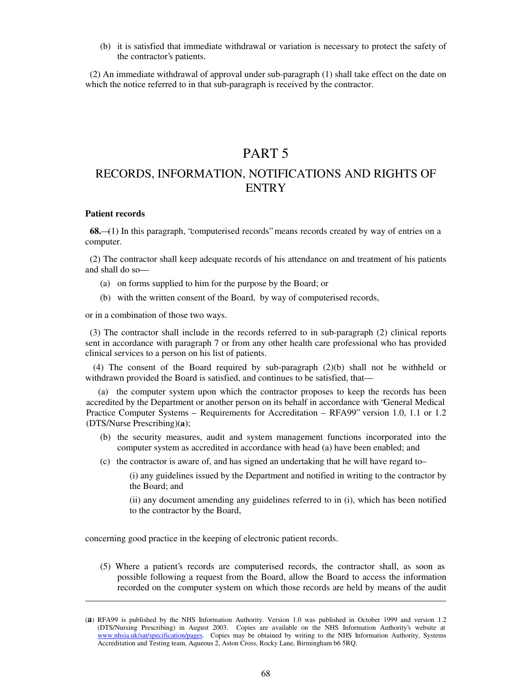(b) it is satisfied that immediate withdrawal or variation is necessary to protect the safety of the contractor's patients.

 (2) An immediate withdrawal of approval under sub-paragraph (1) shall take effect on the date on which the notice referred to in that sub-paragraph is received by the contractor.

# PART 5

# RECORDS, INFORMATION, NOTIFICATIONS AND RIGHTS OF **ENTRY**

#### **Patient records**

**.** 

 **68.**—(1) In this paragraph, "computerised records" means records created by way of entries on a computer.

 (2) The contractor shall keep adequate records of his attendance on and treatment of his patients and shall do so—

- (a) on forms supplied to him for the purpose by the Board; or
- (b) with the written consent of the Board, by way of computerised records,

or in a combination of those two ways.

 (3) The contractor shall include in the records referred to in sub-paragraph (2) clinical reports sent in accordance with paragraph 7 or from any other health care professional who has provided clinical services to a person on his list of patients.

(4) The consent of the Board required by sub-paragraph (2)(b) shall not be withheld or withdrawn provided the Board is satisfied, and continues to be satisfied, that—

 (a) the computer system upon which the contractor proposes to keep the records has been accredited by the Department or another person on its behalf in accordance with "General Medical Practice Computer Systems – Requirements for Accreditation – RFA99" version 1.0, 1.1 or 1.2 (DTS/Nurse Prescribing)(**a**);

- (b) the security measures, audit and system management functions incorporated into the computer system as accredited in accordance with head (a) have been enabled; and
- (c) the contractor is aware of, and has signed an undertaking that he will have regard to–

(i) any guidelines issued by the Department and notified in writing to the contractor by the Board; and

(ii) any document amending any guidelines referred to in (i), which has been notified to the contractor by the Board,

concerning good practice in the keeping of electronic patient records.

(5) Where a patient's records are computerised records, the contractor shall, as soon as possible following a request from the Board, allow the Board to access the information recorded on the computer system on which those records are held by means of the audit

<sup>(</sup>**a**) RFA99 is published by the NHS Information Authority. Version 1.0 was published in October 1999 and version 1.2 (DTS/Nursing Prescribing) in August 2003. Copies are available on the NHS Information Authority's website at www.nhsia.uk/sat/specification/pages. Copies may be obtained by writing to the NHS Information Authority, Systems Accreditation and Testing team, Aqueous 2, Aston Cross, Rocky Lane, Birmingham b6 5RQ.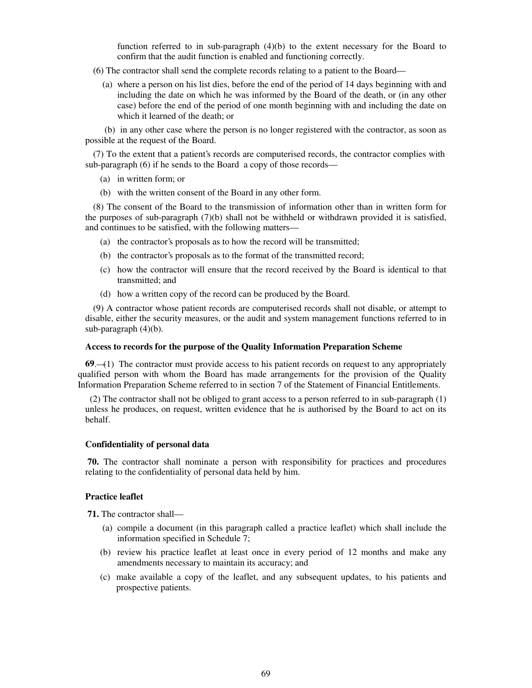function referred to in sub-paragraph (4)(b) to the extent necessary for the Board to confirm that the audit function is enabled and functioning correctly.

- (6) The contractor shall send the complete records relating to a patient to the Board—
	- (a) where a person on his list dies, before the end of the period of 14 days beginning with and including the date on which he was informed by the Board of the death, or (in any other case) before the end of the period of one month beginning with and including the date on which it learned of the death; or

 (b) in any other case where the person is no longer registered with the contractor, as soon as possible at the request of the Board.

(7) To the extent that a patient's records are computerised records, the contractor complies with sub-paragraph (6) if he sends to the Board a copy of those records—

- (a) in written form; or
- (b) with the written consent of the Board in any other form.

(8) The consent of the Board to the transmission of information other than in written form for the purposes of sub-paragraph (7)(b) shall not be withheld or withdrawn provided it is satisfied, and continues to be satisfied, with the following matters—

- (a) the contractor's proposals as to how the record will be transmitted;
- (b) the contractor's proposals as to the format of the transmitted record;
- (c) how the contractor will ensure that the record received by the Board is identical to that transmitted; and
- (d) how a written copy of the record can be produced by the Board.

(9) A contractor whose patient records are computerised records shall not disable, or attempt to disable, either the security measures, or the audit and system management functions referred to in sub-paragraph (4)(b).

#### **Access to records for the purpose of the Quality Information Preparation Scheme**

**69**.—(1) The contractor must provide access to his patient records on request to any appropriately qualified person with whom the Board has made arrangements for the provision of the Quality Information Preparation Scheme referred to in section 7 of the Statement of Financial Entitlements.

 (2) The contractor shall not be obliged to grant access to a person referred to in sub-paragraph (1) unless he produces, on request, written evidence that he is authorised by the Board to act on its behalf.

## **Confidentiality of personal data**

**70.** The contractor shall nominate a person with responsibility for practices and procedures relating to the confidentiality of personal data held by him.

## **Practice leaflet**

**71.** The contractor shall—

- (a) compile a document (in this paragraph called a practice leaflet) which shall include the information specified in Schedule 7;
- (b) review his practice leaflet at least once in every period of 12 months and make any amendments necessary to maintain its accuracy; and
- (c) make available a copy of the leaflet, and any subsequent updates, to his patients and prospective patients.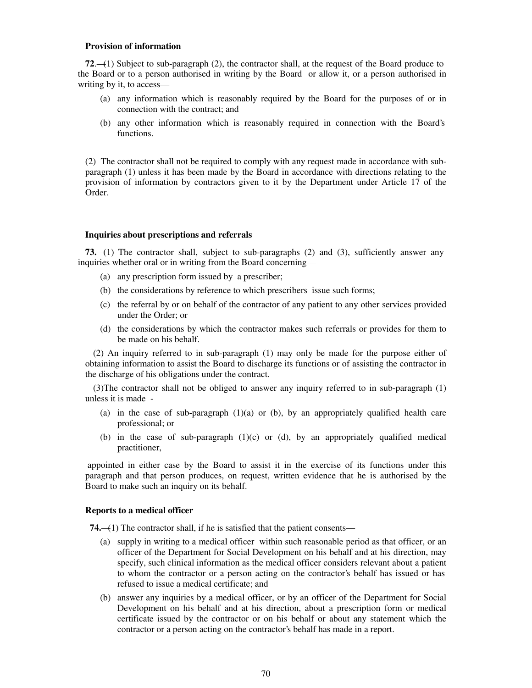#### **Provision of information**

**72**.—(1) Subject to sub-paragraph (2), the contractor shall, at the request of the Board produce to the Board or to a person authorised in writing by the Board or allow it, or a person authorised in writing by it, to access—

- (a) any information which is reasonably required by the Board for the purposes of or in connection with the contract; and
- (b) any other information which is reasonably required in connection with the Board's functions.

(2) The contractor shall not be required to comply with any request made in accordance with subparagraph (1) unless it has been made by the Board in accordance with directions relating to the provision of information by contractors given to it by the Department under Article 17 of the Order.

### **Inquiries about prescriptions and referrals**

**73.**—(1) The contractor shall, subject to sub-paragraphs (2) and (3), sufficiently answer any inquiries whether oral or in writing from the Board concerning—

- (a) any prescription form issued by a prescriber;
- (b) the considerations by reference to which prescribers issue such forms;
- (c) the referral by or on behalf of the contractor of any patient to any other services provided under the Order; or
- (d) the considerations by which the contractor makes such referrals or provides for them to be made on his behalf.

(2) An inquiry referred to in sub-paragraph (1) may only be made for the purpose either of obtaining information to assist the Board to discharge its functions or of assisting the contractor in the discharge of his obligations under the contract.

(3)The contractor shall not be obliged to answer any inquiry referred to in sub-paragraph (1) unless it is made -

- (a) in the case of sub-paragraph  $(1)(a)$  or (b), by an appropriately qualified health care professional; or
- (b) in the case of sub-paragraph  $(1)(c)$  or  $(d)$ , by an appropriately qualified medical practitioner,

appointed in either case by the Board to assist it in the exercise of its functions under this paragraph and that person produces, on request, written evidence that he is authorised by the Board to make such an inquiry on its behalf.

#### **Reports to a medical officer**

**74.**—(1) The contractor shall, if he is satisfied that the patient consents—

- (a) supply in writing to a medical officer within such reasonable period as that officer, or an officer of the Department for Social Development on his behalf and at his direction, may specify, such clinical information as the medical officer considers relevant about a patient to whom the contractor or a person acting on the contractor's behalf has issued or has refused to issue a medical certificate; and
- (b) answer any inquiries by a medical officer, or by an officer of the Department for Social Development on his behalf and at his direction, about a prescription form or medical certificate issued by the contractor or on his behalf or about any statement which the contractor or a person acting on the contractor's behalf has made in a report.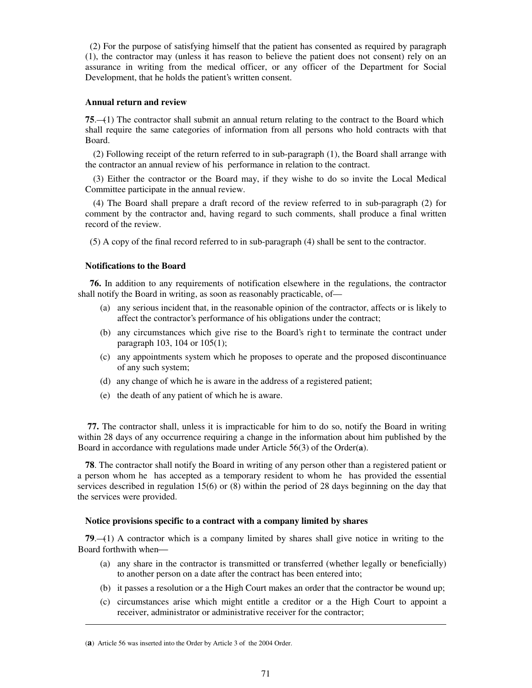(2) For the purpose of satisfying himself that the patient has consented as required by paragraph (1), the contractor may (unless it has reason to believe the patient does not consent) rely on an assurance in writing from the medical officer, or any officer of the Department for Social Development, that he holds the patient's written consent.

## **Annual return and review**

**75**.—(1) The contractor shall submit an annual return relating to the contract to the Board which shall require the same categories of information from all persons who hold contracts with that Board.

(2) Following receipt of the return referred to in sub-paragraph (1), the Board shall arrange with the contractor an annual review of his performance in relation to the contract.

(3) Either the contractor or the Board may, if they wishe to do so invite the Local Medical Committee participate in the annual review.

(4) The Board shall prepare a draft record of the review referred to in sub-paragraph (2) for comment by the contractor and, having regard to such comments, shall produce a final written record of the review.

(5) A copy of the final record referred to in sub-paragraph (4) shall be sent to the contractor.

## **Notifications to the Board**

 **76.** In addition to any requirements of notification elsewhere in the regulations, the contractor shall notify the Board in writing, as soon as reasonably practicable, of—

- (a) any serious incident that, in the reasonable opinion of the contractor, affects or is likely to affect the contractor's performance of his obligations under the contract;
- (b) any circumstances which give rise to the Board's righ t to terminate the contract under paragraph 103, 104 or 105(1);
- (c) any appointments system which he proposes to operate and the proposed discontinuance of any such system;
- (d) any change of which he is aware in the address of a registered patient;
- (e) the death of any patient of which he is aware.

**77.** The contractor shall, unless it is impracticable for him to do so, notify the Board in writing within 28 days of any occurrence requiring a change in the information about him published by the Board in accordance with regulations made under Article 56(3) of the Order(**a**).

**78**. The contractor shall notify the Board in writing of any person other than a registered patient or a person whom he has accepted as a temporary resident to whom he has provided the essential services described in regulation 15(6) or (8) within the period of 28 days beginning on the day that the services were provided.

### **Notice provisions specific to a contract with a company limited by shares**

**79**.—(1) A contractor which is a company limited by shares shall give notice in writing to the Board forthwith when

- (a) any share in the contractor is transmitted or transferred (whether legally or beneficially) to another person on a date after the contract has been entered into;
- (b) it passes a resolution or a the High Court makes an order that the contractor be wound up;
- (c) circumstances arise which might entitle a creditor or a the High Court to appoint a receiver, administrator or administrative receiver for the contractor;

**.** 

<sup>(</sup>**a**) Article 56 was inserted into the Order by Article 3 of the 2004 Order.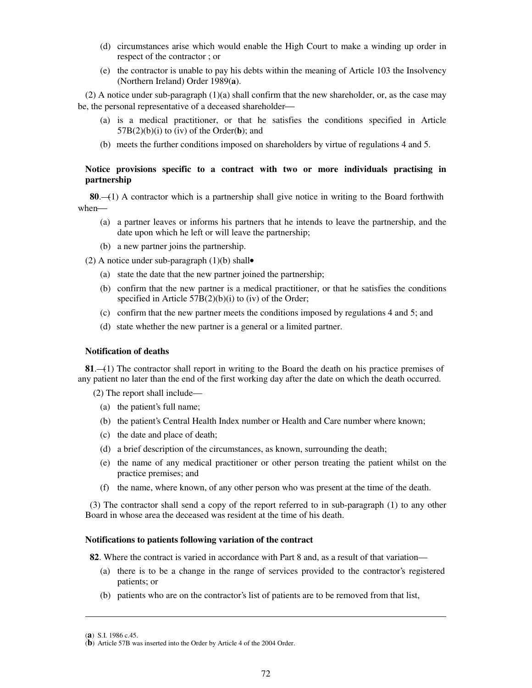- (d) circumstances arise which would enable the High Court to make a winding up order in respect of the contractor ; or
- (e) the contractor is unable to pay his debts within the meaning of Article 103 the Insolvency (Northern Ireland) Order 1989(**a**).

(2) A notice under sub-paragraph (1)(a) shall confirm that the new shareholder, or, as the case may be, the personal representative of a deceased shareholder

- (a) is a medical practitioner, or that he satisfies the conditions specified in Article 57B(2)(b)(i) to (iv) of the Order(**b**); and
- (b) meets the further conditions imposed on shareholders by virtue of regulations 4 and 5.

## **Notice provisions specific to a contract with two or more individuals practising in partnership**

 **80**.—(1) A contractor which is a partnership shall give notice in writing to the Board forthwith when

- (a) a partner leaves or informs his partners that he intends to leave the partnership, and the date upon which he left or will leave the partnership;
- (b) a new partner joins the partnership.
- (2) A notice under sub-paragraph  $(1)(b)$  shall•
	- (a) state the date that the new partner joined the partnership;
	- (b) confirm that the new partner is a medical practitioner, or that he satisfies the conditions specified in Article 57B(2)(b)(i) to (iv) of the Order;
	- (c) confirm that the new partner meets the conditions imposed by regulations 4 and 5; and
	- (d) state whether the new partner is a general or a limited partner.

#### **Notification of deaths**

**81**.—(1) The contractor shall report in writing to the Board the death on his practice premises of any patient no later than the end of the first working day after the date on which the death occurred.

(2) The report shall include—

- (a) the patient's full name;
- (b) the patient's Central Health Index number or Health and Care number where known;
- (c) the date and place of death;
- (d) a brief description of the circumstances, as known, surrounding the death;
- (e) the name of any medical practitioner or other person treating the patient whilst on the practice premises; and
- (f) the name, where known, of any other person who was present at the time of the death.

 (3) The contractor shall send a copy of the report referred to in sub-paragraph (1) to any other Board in whose area the deceased was resident at the time of his death.

#### **Notifications to patients following variation of the contract**

**82**. Where the contract is varied in accordance with Part 8 and, as a result of that variation—

- (a) there is to be a change in the range of services provided to the contractor's registered patients; or
- (b) patients who are on the contractor's list of patients are to be removed from that list,

**.** 

<sup>(</sup>**a**) S.I. 1986 c.45.

<sup>(</sup>**b**) Article 57B was inserted into the Order by Article 4 of the 2004 Order.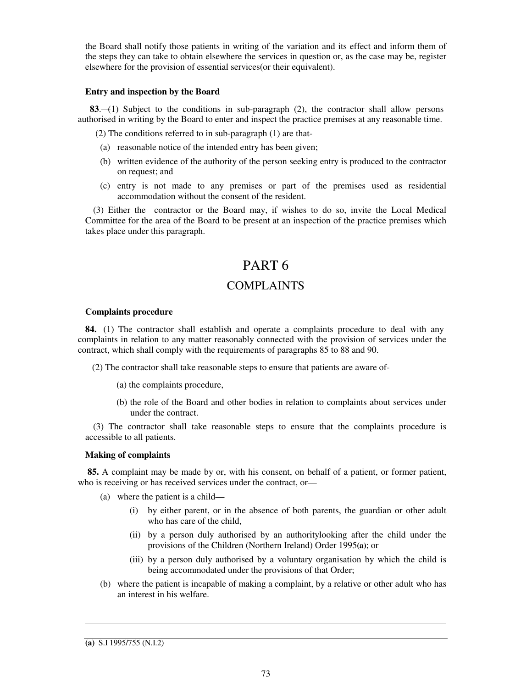the Board shall notify those patients in writing of the variation and its effect and inform them of the steps they can take to obtain elsewhere the services in question or, as the case may be, register elsewhere for the provision of essential services(or their equivalent).

## **Entry and inspection by the Board**

 **83**.—(1) Subject to the conditions in sub-paragraph (2), the contractor shall allow persons authorised in writing by the Board to enter and inspect the practice premises at any reasonable time.

(2) The conditions referred to in sub-paragraph (1) are that-

- (a) reasonable notice of the intended entry has been given;
- (b) written evidence of the authority of the person seeking entry is produced to the contractor on request; and
- (c) entry is not made to any premises or part of the premises used as residential accommodation without the consent of the resident.

(3) Either the contractor or the Board may, if wishes to do so, invite the Local Medical Committee for the area of the Board to be present at an inspection of the practice premises which takes place under this paragraph.

# PART 6

## COMPLAINTS

## **Complaints procedure**

**84.**—(1) The contractor shall establish and operate a complaints procedure to deal with any complaints in relation to any matter reasonably connected with the provision of services under the contract, which shall comply with the requirements of paragraphs 85 to 88 and 90.

(2) The contractor shall take reasonable steps to ensure that patients are aware of-

- (a) the complaints procedure,
- (b) the role of the Board and other bodies in relation to complaints about services under under the contract.

(3) The contractor shall take reasonable steps to ensure that the complaints procedure is accessible to all patients.

### **Making of complaints**

**85.** A complaint may be made by or, with his consent, on behalf of a patient, or former patient, who is receiving or has received services under the contract, or—

- (a) where the patient is a child—
	- (i) by either parent, or in the absence of both parents, the guardian or other adult who has care of the child,
	- (ii) by a person duly authorised by an authoritylooking after the child under the provisions of the Children (Northern Ireland) Order 1995**(a)**; or
	- (iii) by a person duly authorised by a voluntary organisation by which the child is being accommodated under the provisions of that Order;
- (b) where the patient is incapable of making a complaint, by a relative or other adult who has an interest in his welfare.

-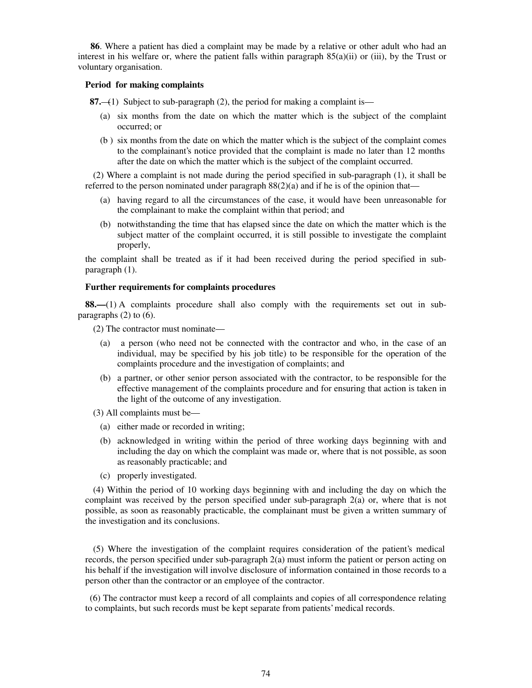**86**. Where a patient has died a complaint may be made by a relative or other adult who had an interest in his welfare or, where the patient falls within paragraph  $85(a)(ii)$  or (iii), by the Trust or voluntary organisation.

### **Period for making complaints**

 **87.**—(1) Subject to sub-paragraph (2), the period for making a complaint is—

- (a) six months from the date on which the matter which is the subject of the complaint occurred; or
- (b ) six months from the date on which the matter which is the subject of the complaint comes to the complainant's notice provided that the complaint is made no later than 12 months after the date on which the matter which is the subject of the complaint occurred.

(2) Where a complaint is not made during the period specified in sub-paragraph (1), it shall be referred to the person nominated under paragraph  $88(2)(a)$  and if he is of the opinion that—

- (a) having regard to all the circumstances of the case, it would have been unreasonable for the complainant to make the complaint within that period; and
- (b) notwithstanding the time that has elapsed since the date on which the matter which is the subject matter of the complaint occurred, it is still possible to investigate the complaint properly,

the complaint shall be treated as if it had been received during the period specified in subparagraph (1).

### **Further requirements for complaints procedures**

**88.—**(1) A complaints procedure shall also comply with the requirements set out in subparagraphs (2) to (6).

(2) The contractor must nominate—

- (a) a person (who need not be connected with the contractor and who, in the case of an individual, may be specified by his job title) to be responsible for the operation of the complaints procedure and the investigation of complaints; and
- (b) a partner, or other senior person associated with the contractor, to be responsible for the effective management of the complaints procedure and for ensuring that action is taken in the light of the outcome of any investigation.
- (3) All complaints must be—
	- (a) either made or recorded in writing;
	- (b) acknowledged in writing within the period of three working days beginning with and including the day on which the complaint was made or, where that is not possible, as soon as reasonably practicable; and
	- (c) properly investigated.

(4) Within the period of 10 working days beginning with and including the day on which the complaint was received by the person specified under sub-paragraph 2(a) or, where that is not possible, as soon as reasonably practicable, the complainant must be given a written summary of the investigation and its conclusions.

(5) Where the investigation of the complaint requires consideration of the patient's medical records, the person specified under sub-paragraph 2(a) must inform the patient or person acting on his behalf if the investigation will involve disclosure of information contained in those records to a person other than the contractor or an employee of the contractor.

 (6) The contractor must keep a record of all complaints and copies of all correspondence relating to complaints, but such records must be kept separate from patients' medical records.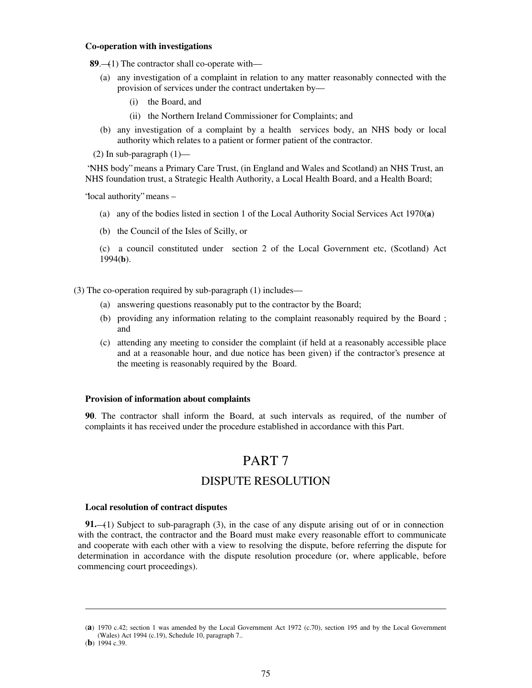### **Co-operation with investigations**

 **89**.—(1) The contractor shall co-operate with—

- (a) any investigation of a complaint in relation to any matter reasonably connected with the provision of services under the contract undertaken by—
	- (i) the Board, and
	- (ii) the Northern Ireland Commissioner for Complaints; and
- (b) any investigation of a complaint by a health services body, an NHS body or local authority which relates to a patient or former patient of the contractor.

(2) In sub-paragraph  $(1)$ —

"NHS body" means a Primary Care Trust, (in England and Wales and Scotland) an NHS Trust, an NHS foundation trust, a Strategic Health Authority, a Local Health Board, and a Health Board;

"local authority" means –

- (a) any of the bodies listed in section 1 of the Local Authority Social Services Act 1970(**a**)
- (b) the Council of the Isles of Scilly, or

(c) a council constituted under section 2 of the Local Government etc, (Scotland) Act 1994(**b**).

(3) The co-operation required by sub-paragraph (1) includes—

- (a) answering questions reasonably put to the contractor by the Board;
- (b) providing any information relating to the complaint reasonably required by the Board ; and
- (c) attending any meeting to consider the complaint (if held at a reasonably accessible place and at a reasonable hour, and due notice has been given) if the contractor's presence at the meeting is reasonably required by the Board.

#### **Provision of information about complaints**

**90**. The contractor shall inform the Board, at such intervals as required, of the number of complaints it has received under the procedure established in accordance with this Part.

# PART 7

## DISPUTE RESOLUTION

### **Local resolution of contract disputes**

**91.**—(1) Subject to sub-paragraph (3), in the case of any dispute arising out of or in connection with the contract, the contractor and the Board must make every reasonable effort to communicate and cooperate with each other with a view to resolving the dispute, before referring the dispute for determination in accordance with the dispute resolution procedure (or, where applicable, before commencing court proceedings).

**.** 

<sup>(</sup>**a**) 1970 c.42; section 1 was amended by the Local Government Act 1972 (c.70), section 195 and by the Local Government (Wales) Act 1994 (c.19), Schedule 10, paragraph 7..

<sup>(</sup>**b**) 1994 c.39.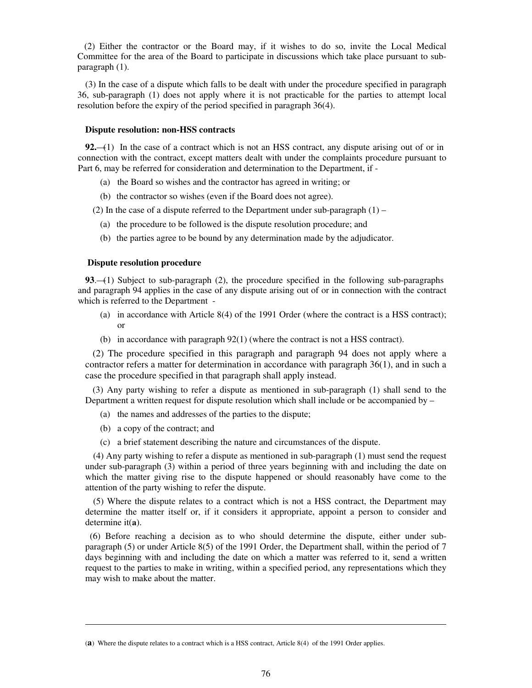(2) Either the contractor or the Board may, if it wishes to do so, invite the Local Medical Committee for the area of the Board to participate in discussions which take place pursuant to subparagraph (1).

(3) In the case of a dispute which falls to be dealt with under the procedure specified in paragraph 36, sub-paragraph (1) does not apply where it is not practicable for the parties to attempt local resolution before the expiry of the period specified in paragraph 36(4).

#### **Dispute resolution: non-HSS contracts**

**92.**—(1) In the case of a contract which is not an HSS contract, any dispute arising out of or in connection with the contract, except matters dealt with under the complaints procedure pursuant to Part 6, may be referred for consideration and determination to the Department, if -

- (a) the Board so wishes and the contractor has agreed in writing; or
- (b) the contractor so wishes (even if the Board does not agree).

(2) In the case of a dispute referred to the Department under sub-paragraph  $(1)$  –

- (a) the procedure to be followed is the dispute resolution procedure; and
- (b) the parties agree to be bound by any determination made by the adjudicator.

#### **Dispute resolution procedure**

**93**.—(1) Subject to sub-paragraph (2), the procedure specified in the following sub-paragraphs and paragraph 94 applies in the case of any dispute arising out of or in connection with the contract which is referred to the Department -

- (a) in accordance with Article 8(4) of the 1991 Order (where the contract is a HSS contract); or
- (b) in accordance with paragraph 92(1) (where the contract is not a HSS contract).

(2) The procedure specified in this paragraph and paragraph 94 does not apply where a contractor refers a matter for determination in accordance with paragraph 36(1), and in such a case the procedure specified in that paragraph shall apply instead.

(3) Any party wishing to refer a dispute as mentioned in sub-paragraph (1) shall send to the Department a written request for dispute resolution which shall include or be accompanied by –

- (a) the names and addresses of the parties to the dispute;
- (b) a copy of the contract; and

**.** 

(c) a brief statement describing the nature and circumstances of the dispute.

(4) Any party wishing to refer a dispute as mentioned in sub-paragraph (1) must send the request under sub-paragraph (3) within a period of three years beginning with and including the date on which the matter giving rise to the dispute happened or should reasonably have come to the attention of the party wishing to refer the dispute.

(5) Where the dispute relates to a contract which is not a HSS contract, the Department may determine the matter itself or, if it considers it appropriate, appoint a person to consider and determine it(**a**).

 (6) Before reaching a decision as to who should determine the dispute, either under subparagraph (5) or under Article 8(5) of the 1991 Order, the Department shall, within the period of 7 days beginning with and including the date on which a matter was referred to it, send a written request to the parties to make in writing, within a specified period, any representations which they may wish to make about the matter.

<sup>(</sup>**a**) Where the dispute relates to a contract which is a HSS contract, Article 8(4) of the 1991 Order applies.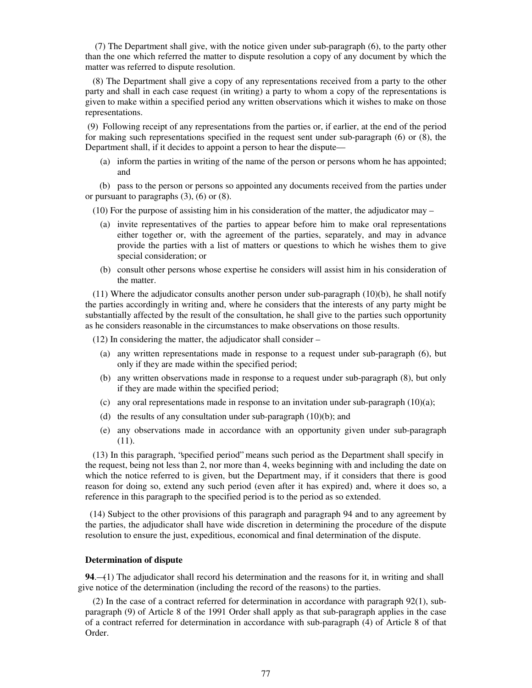(7) The Department shall give, with the notice given under sub-paragraph (6), to the party other than the one which referred the matter to dispute resolution a copy of any document by which the matter was referred to dispute resolution.

(8) The Department shall give a copy of any representations received from a party to the other party and shall in each case request (in writing) a party to whom a copy of the representations is given to make within a specified period any written observations which it wishes to make on those representations.

(9) Following receipt of any representations from the parties or, if earlier, at the end of the period for making such representations specified in the request sent under sub-paragraph (6) or (8), the Department shall, if it decides to appoint a person to hear the dispute—

(a) inform the parties in writing of the name of the person or persons whom he has appointed; and

 (b) pass to the person or persons so appointed any documents received from the parties under or pursuant to paragraphs (3), (6) or (8).

(10) For the purpose of assisting him in his consideration of the matter, the adjudicator may –

- (a) invite representatives of the parties to appear before him to make oral representations either together or, with the agreement of the parties, separately, and may in advance provide the parties with a list of matters or questions to which he wishes them to give special consideration; or
- (b) consult other persons whose expertise he considers will assist him in his consideration of the matter.

 $(11)$  Where the adjudicator consults another person under sub-paragraph  $(10)(b)$ , he shall notify the parties accordingly in writing and, where he considers that the interests of any party might be substantially affected by the result of the consultation, he shall give to the parties such opportunity as he considers reasonable in the circumstances to make observations on those results.

(12) In considering the matter, the adjudicator shall consider –

- (a) any written representations made in response to a request under sub-paragraph (6), but only if they are made within the specified period;
- (b) any written observations made in response to a request under sub-paragraph (8), but only if they are made within the specified period;
- (c) any oral representations made in response to an invitation under sub-paragraph  $(10)(a)$ ;
- (d) the results of any consultation under sub-paragraph  $(10)(b)$ ; and
- (e) any observations made in accordance with an opportunity given under sub-paragraph (11).

(13) In this paragraph, "specified period" means such period as the Department shall specify in the request, being not less than 2, nor more than 4, weeks beginning with and including the date on which the notice referred to is given, but the Department may, if it considers that there is good reason for doing so, extend any such period (even after it has expired) and, where it does so, a reference in this paragraph to the specified period is to the period as so extended.

 (14) Subject to the other provisions of this paragraph and paragraph 94 and to any agreement by the parties, the adjudicator shall have wide discretion in determining the procedure of the dispute resolution to ensure the just, expeditious, economical and final determination of the dispute.

### **Determination of dispute**

**94**.—(1) The adjudicator shall record his determination and the reasons for it, in writing and shall give notice of the determination (including the record of the reasons) to the parties.

(2) In the case of a contract referred for determination in accordance with paragraph 92(1), subparagraph (9) of Article 8 of the 1991 Order shall apply as that sub-paragraph applies in the case of a contract referred for determination in accordance with sub-paragraph (4) of Article 8 of that Order.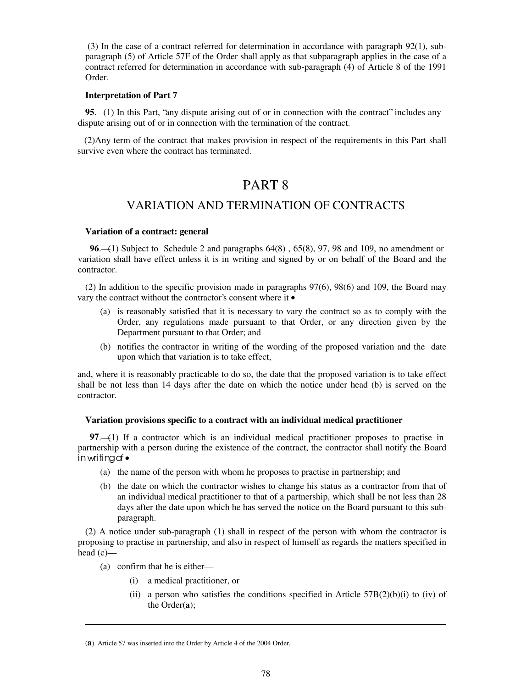(3) In the case of a contract referred for determination in accordance with paragraph 92(1), subparagraph (5) of Article 57F of the Order shall apply as that subparagraph applies in the case of a contract referred for determination in accordance with sub-paragraph (4) of Article 8 of the 1991 Order.

### **Interpretation of Part 7**

**95**.—(1) In this Part, "any dispute arising out of or in connection with the contract" includes any dispute arising out of or in connection with the termination of the contract.

 (2)Any term of the contract that makes provision in respect of the requirements in this Part shall survive even where the contract has terminated.

# PART 8

## VARIATION AND TERMINATION OF CONTRACTS

## **Variation of a contract: general**

 **96**.—(1) Subject to Schedule 2 and paragraphs 64(8) , 65(8), 97, 98 and 109, no amendment or variation shall have effect unless it is in writing and signed by or on behalf of the Board and the contractor.

(2) In addition to the specific provision made in paragraphs 97(6), 98(6) and 109, the Board may vary the contract without the contractor's consent where it  $\bullet$ 

- (a) is reasonably satisfied that it is necessary to vary the contract so as to comply with the Order, any regulations made pursuant to that Order, or any direction given by the Department pursuant to that Order; and
- (b) notifies the contractor in writing of the wording of the proposed variation and the date upon which that variation is to take effect,

and, where it is reasonably practicable to do so, the date that the proposed variation is to take effect shall be not less than 14 days after the date on which the notice under head (b) is served on the contractor.

## **Variation provisions specific to a contract with an individual medical practitioner**

**97.**—(1) If a contractor which is an individual medical practitioner proposes to practise in partnership with a person during the existence of the contract, the contractor shall notify the Board in writing of•

- (a) the name of the person with whom he proposes to practise in partnership; and
- (b) the date on which the contractor wishes to change his status as a contractor from that of an individual medical practitioner to that of a partnership, which shall be not less than 28 days after the date upon which he has served the notice on the Board pursuant to this subparagraph.

(2) A notice under sub-paragraph (1) shall in respect of the person with whom the contractor is proposing to practise in partnership, and also in respect of himself as regards the matters specified in head (c)—

(a) confirm that he is either—

**.** 

- (i) a medical practitioner, or
- (ii) a person who satisfies the conditions specified in Article  $57B(2)(b)(i)$  to (iv) of the Order(**a**);

<sup>(</sup>**a**) Article 57 was inserted into the Order by Article 4 of the 2004 Order.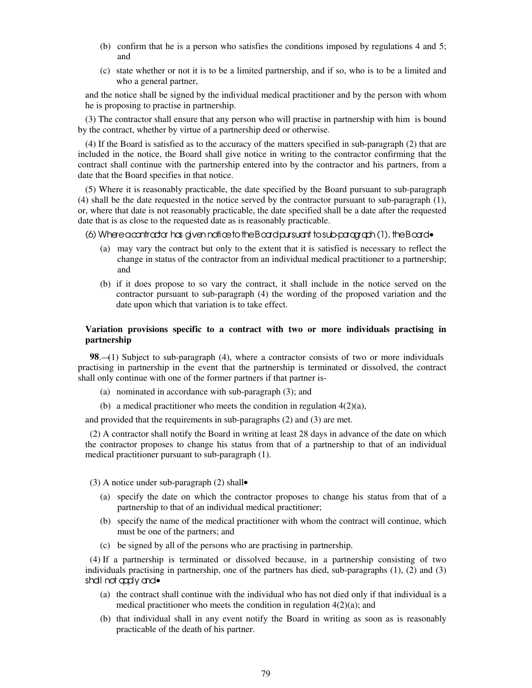- (b) confirm that he is a person who satisfies the conditions imposed by regulations 4 and 5; and
- (c) state whether or not it is to be a limited partnership, and if so, who is to be a limited and who a general partner,

and the notice shall be signed by the individual medical practitioner and by the person with whom he is proposing to practise in partnership.

(3) The contractor shall ensure that any person who will practise in partnership with him is bound by the contract, whether by virtue of a partnership deed or otherwise.

(4) If the Board is satisfied as to the accuracy of the matters specified in sub-paragraph (2) that are included in the notice, the Board shall give notice in writing to the contractor confirming that the contract shall continue with the partnership entered into by the contractor and his partners, from a date that the Board specifies in that notice.

(5) Where it is reasonably practicable, the date specified by the Board pursuant to sub-paragraph (4) shall be the date requested in the notice served by the contractor pursuant to sub-paragraph (1), or, where that date is not reasonably practicable, the date specified shall be a date after the requested date that is as close to the requested date as is reasonably practicable.

(6) Where a contractor has given notice to the Board pursuant to sub-paragraph (1), the Board•

- (a) may vary the contract but only to the extent that it is satisfied is necessary to reflect the change in status of the contractor from an individual medical practitioner to a partnership; and
- (b) if it does propose to so vary the contract, it shall include in the notice served on the contractor pursuant to sub-paragraph (4) the wording of the proposed variation and the date upon which that variation is to take effect.

## **Variation provisions specific to a contract with two or more individuals practising in partnership**

**98.—(1)** Subject to sub-paragraph (4), where a contractor consists of two or more individuals practising in partnership in the event that the partnership is terminated or dissolved, the contract shall only continue with one of the former partners if that partner is-

- (a) nominated in accordance with sub-paragraph (3); and
- (b) a medical practitioner who meets the condition in regulation  $4(2)(a)$ ,

and provided that the requirements in sub-paragraphs (2) and (3) are met.

 (2) A contractor shall notify the Board in writing at least 28 days in advance of the date on which the contractor proposes to change his status from that of a partnership to that of an individual medical practitioner pursuant to sub-paragraph (1).

(3) A notice under sub-paragraph (2) shall•

- (a) specify the date on which the contractor proposes to change his status from that of a partnership to that of an individual medical practitioner;
- (b) specify the name of the medical practitioner with whom the contract will continue, which must be one of the partners; and
- (c) be signed by all of the persons who are practising in partnership.

 (4) If a partnership is terminated or dissolved because, in a partnership consisting of two individuals practising in partnership, one of the partners has died, sub-paragraphs (1), (2) and (3) shall not apply and•

- (a) the contract shall continue with the individual who has not died only if that individual is a medical practitioner who meets the condition in regulation  $4(2)(a)$ ; and
- (b) that individual shall in any event notify the Board in writing as soon as is reasonably practicable of the death of his partner.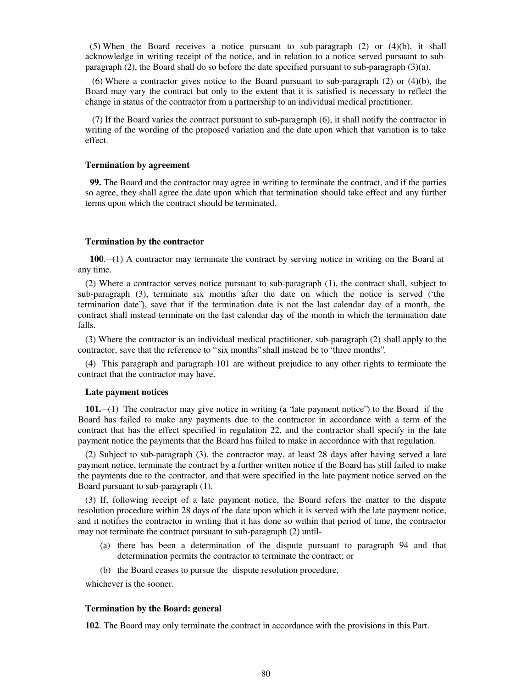(5) When the Board receives a notice pursuant to sub-paragraph (2) or (4)(b), it shall acknowledge in writing receipt of the notice, and in relation to a notice served pursuant to subparagraph (2), the Board shall do so before the date specified pursuant to sub-paragraph (3)(a).

(6) Where a contractor gives notice to the Board pursuant to sub-paragraph  $(2)$  or  $(4)(b)$ , the Board may vary the contract but only to the extent that it is satisfied is necessary to reflect the change in status of the contractor from a partnership to an individual medical practitioner.

 (7) If the Board varies the contract pursuant to sub-paragraph (6), it shall notify the contractor in writing of the wording of the proposed variation and the date upon which that variation is to take effect.

#### **Termination by agreement**

 **99.** The Board and the contractor may agree in writing to terminate the contract, and if the parties so agree, they shall agree the date upon which that termination should take effect and any further terms upon which the contract should be terminated.

#### **Termination by the contractor**

 **100**.—(1) A contractor may terminate the contract by serving notice in writing on the Board at any time.

(2) Where a contractor serves notice pursuant to sub-paragraph (1), the contract shall, subject to sub-paragraph (3), terminate six months after the date on which the notice is served ("the termination date"), save that if the termination date is not the last calendar day of a month, the contract shall instead terminate on the last calendar day of the month in which the termination date falls.

(3) Where the contractor is an individual medical practitioner, sub-paragraph (2) shall apply to the contractor, save that the reference to " six months" shall instead be to "three months".

(4) This paragraph and paragraph 101 are without prejudice to any other rights to terminate the contract that the contractor may have.

#### **Late payment notices**

**101.**—(1) The contractor may give notice in writing (a "late payment notice") to the Board if the Board has failed to make any payments due to the contractor in accordance with a term of the contract that has the effect specified in regulation 22, and the contractor shall specify in the late payment notice the payments that the Board has failed to make in accordance with that regulation.

(2) Subject to sub-paragraph (3), the contractor may, at least 28 days after having served a late payment notice, terminate the contract by a further written notice if the Board has still failed to make the payments due to the contractor, and that were specified in the late payment notice served on the Board pursuant to sub-paragraph (1).

(3) If, following receipt of a late payment notice, the Board refers the matter to the dispute resolution procedure within 28 days of the date upon which it is served with the late payment notice, and it notifies the contractor in writing that it has done so within that period of time, the contractor may not terminate the contract pursuant to sub-paragraph (2) until-

- (a) there has been a determination of the dispute pursuant to paragraph 94 and that determination permits the contractor to terminate the contract; or
- (b) the Board ceases to pursue the dispute resolution procedure,

whichever is the sooner.

#### **Termination by the Board: general**

**102**. The Board may only terminate the contract in accordance with the provisions in this Part.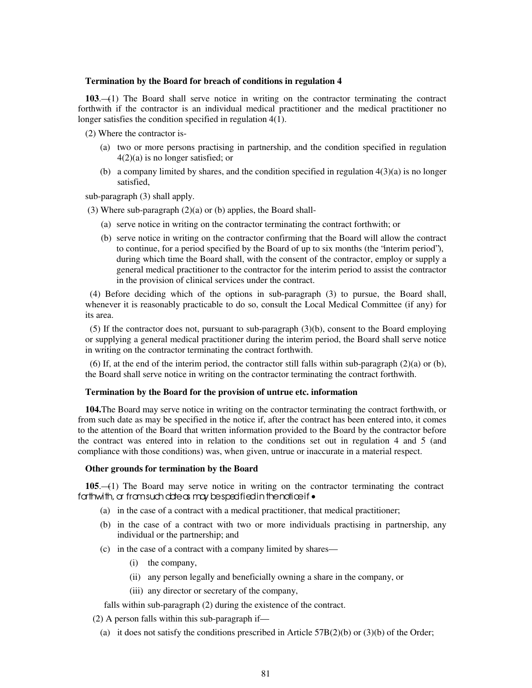### **Termination by the Board for breach of conditions in regulation 4**

**103**.—(1) The Board shall serve notice in writing on the contractor terminating the contract forthwith if the contractor is an individual medical practitioner and the medical practitioner no longer satisfies the condition specified in regulation 4(1).

(2) Where the contractor is-

- (a) two or more persons practising in partnership, and the condition specified in regulation 4(2)(a) is no longer satisfied; or
- (b) a company limited by shares, and the condition specified in regulation  $4(3)(a)$  is no longer satisfied,

sub-paragraph (3) shall apply.

- (3) Where sub-paragraph (2)(a) or (b) applies, the Board shall-
	- (a) serve notice in writing on the contractor terminating the contract forthwith; or
	- (b) serve notice in writing on the contractor confirming that the Board will allow the contract to continue, for a period specified by the Board of up to six months (the "interim period"), during which time the Board shall, with the consent of the contractor, employ or supply a general medical practitioner to the contractor for the interim period to assist the contractor in the provision of clinical services under the contract.

 (4) Before deciding which of the options in sub-paragraph (3) to pursue, the Board shall, whenever it is reasonably practicable to do so, consult the Local Medical Committee (if any) for its area.

 (5) If the contractor does not, pursuant to sub-paragraph (3)(b), consent to the Board employing or supplying a general medical practitioner during the interim period, the Board shall serve notice in writing on the contractor terminating the contract forthwith.

(6) If, at the end of the interim period, the contractor still falls within sub-paragraph  $(2)(a)$  or (b), the Board shall serve notice in writing on the contractor terminating the contract forthwith.

## **Termination by the Board for the provision of untrue etc. information**

**104.**The Board may serve notice in writing on the contractor terminating the contract forthwith, or from such date as may be specified in the notice if, after the contract has been entered into, it comes to the attention of the Board that written information provided to the Board by the contractor before the contract was entered into in relation to the conditions set out in regulation 4 and 5 (and compliance with those conditions) was, when given, untrue or inaccurate in a material respect.

### **Other grounds for termination by the Board**

**105**.—(1) The Board may serve notice in writing on the contractor terminating the contract fathwith, a fram such date as may be specified in the notice if •

- (a) in the case of a contract with a medical practitioner, that medical practitioner;
- (b) in the case of a contract with two or more individuals practising in partnership, any individual or the partnership; and
- (c) in the case of a contract with a company limited by shares—
	- (i) the company,
	- (ii) any person legally and beneficially owning a share in the company, or
	- (iii) any director or secretary of the company,

falls within sub-paragraph (2) during the existence of the contract.

(2) A person falls within this sub-paragraph if—

(a) it does not satisfy the conditions prescribed in Article  $57B(2)(b)$  or  $(3)(b)$  of the Order;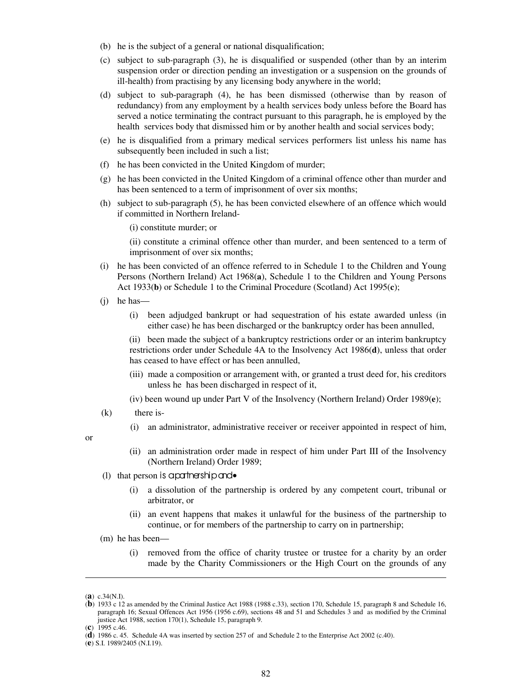- (b) he is the subject of a general or national disqualification;
- (c) subject to sub-paragraph (3), he is disqualified or suspended (other than by an interim suspension order or direction pending an investigation or a suspension on the grounds of ill-health) from practising by any licensing body anywhere in the world;
- (d) subject to sub-paragraph (4), he has been dismissed (otherwise than by reason of redundancy) from any employment by a health services body unless before the Board has served a notice terminating the contract pursuant to this paragraph, he is employed by the health services body that dismissed him or by another health and social services body;
- (e) he is disqualified from a primary medical services performers list unless his name has subsequently been included in such a list;
- (f) he has been convicted in the United Kingdom of murder;
- (g) he has been convicted in the United Kingdom of a criminal offence other than murder and has been sentenced to a term of imprisonment of over six months;
- (h) subject to sub-paragraph (5), he has been convicted elsewhere of an offence which would if committed in Northern Ireland-

(i) constitute murder; or

(ii) constitute a criminal offence other than murder, and been sentenced to a term of imprisonment of over six months;

- (i) he has been convicted of an offence referred to in Schedule 1 to the Children and Young Persons (Northern Ireland) Act 1968(**a**), Schedule 1 to the Children and Young Persons Act 1933(**b**) or Schedule 1 to the Criminal Procedure (Scotland) Act 1995(**c**);
- (j) he has—
	- (i) been adjudged bankrupt or had sequestration of his estate awarded unless (in either case) he has been discharged or the bankruptcy order has been annulled,

 (ii) been made the subject of a bankruptcy restrictions order or an interim bankruptcy restrictions order under Schedule 4A to the Insolvency Act 1986(**d**), unless that order has ceased to have effect or has been annulled,

- (iii) made a composition or arrangement with, or granted a trust deed for, his creditors unless he has been discharged in respect of it,
- (iv) been wound up under Part V of the Insolvency (Northern Ireland) Order 1989(**e**);
- (k) there is-
	- (i) an administrator, administrative receiver or receiver appointed in respect of him,

or

- (ii) an administration order made in respect of him under Part III of the Insolvency (Northern Ireland) Order 1989;
- (1) that person is a partnership and  $\bullet$ 
	- (i) a dissolution of the partnership is ordered by any competent court, tribunal or arbitrator, or
	- (ii) an event happens that makes it unlawful for the business of the partnership to continue, or for members of the partnership to carry on in partnership;
- (m) he has been—
	- (i) removed from the office of charity trustee or trustee for a charity by an order made by the Charity Commissioners or the High Court on the grounds of any

**.** 

<sup>(</sup>**a**) c.34(N.I).

<sup>(</sup>**b**) 1933 c 12 as amended by the Criminal Justice Act 1988 (1988 c.33), section 170, Schedule 15, paragraph 8 and Schedule 16, paragraph 16; Sexual Offences Act 1956 (1956 c.69), sections 48 and 51 and Schedules 3 and as modified by the Criminal justice Act 1988, section 170(1), Schedule 15, paragraph 9.

<sup>(</sup>**c**) 1995 c.46.

<sup>(</sup>**d**) 1986 c. 45. Schedule 4A was inserted by section 257 of and Schedule 2 to the Enterprise Act 2002 (c.40).

<sup>(</sup>**e**) S.I. 1989/2405 (N.I.19).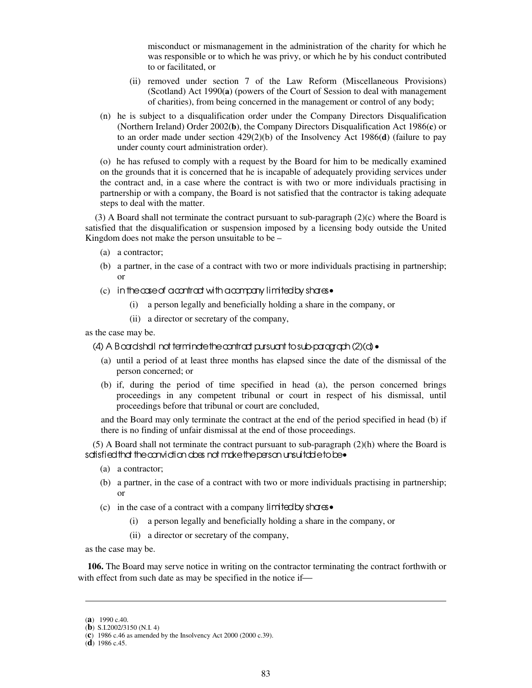misconduct or mismanagement in the administration of the charity for which he was responsible or to which he was privy, or which he by his conduct contributed to or facilitated, or

- (ii) removed under section 7 of the Law Reform (Miscellaneous Provisions) (Scotland) Act 1990(**a**) (powers of the Court of Session to deal with management of charities), from being concerned in the management or control of any body;
- (n) he is subject to a disqualification order under the Company Directors Disqualification (Northern Ireland) Order 2002(**b**), the Company Directors Disqualification Act 1986(**c**) or to an order made under section 429(2)(b) of the Insolvency Act 1986(**d**) (failure to pay under county court administration order).

(o) he has refused to comply with a request by the Board for him to be medically examined on the grounds that it is concerned that he is incapable of adequately providing services under the contract and, in a case where the contract is with two or more individuals practising in partnership or with a company, the Board is not satisfied that the contractor is taking adequate steps to deal with the matter.

 $(3)$  A Board shall not terminate the contract pursuant to sub-paragraph  $(2)(c)$  where the Board is satisfied that the disqualification or suspension imposed by a licensing body outside the United Kingdom does not make the person unsuitable to be –

- (a) a contractor;
- (b) a partner, in the case of a contract with two or more individuals practising in partnership; or
- (c) in the case of a contract with a company limited by shares  $\bullet$ 
	- (i) a person legally and beneficially holding a share in the company, or
	- (ii) a director or secretary of the company,

as the case may be.

## (4) A Board shall not terminate the contract pursuant to sub-paragraph (2)(d)•

- (a) until a period of at least three months has elapsed since the date of the dismissal of the person concerned; or
- (b) if, during the period of time specified in head (a), the person concerned brings proceedings in any competent tribunal or court in respect of his dismissal, until proceedings before that tribunal or court are concluded,

and the Board may only terminate the contract at the end of the period specified in head (b) if there is no finding of unfair dismissal at the end of those proceedings.

(5) A Board shall not terminate the contract pursuant to sub-paragraph (2)(h) where the Board is sdisfied that the canvidian does not make the person unsuitable to be•

- (a) a contractor;
- (b) a partner, in the case of a contract with two or more individuals practising in partnership; or
- (c) in the case of a contract with a company limited by shares•
	- (i) a person legally and beneficially holding a share in the company, or
	- (ii) a director or secretary of the company,

as the case may be.

**106.** The Board may serve notice in writing on the contractor terminating the contract forthwith or with effect from such date as may be specified in the notice if-

**.** 

<sup>(</sup>**a**) 1990 c.40.

<sup>(</sup>**b**) S.I.2002/3150 (N.I. 4)

<sup>(</sup>**c**) 1986 c.46 as amended by the Insolvency Act 2000 (2000 c.39).

<sup>(</sup>**d**) 1986 c.45.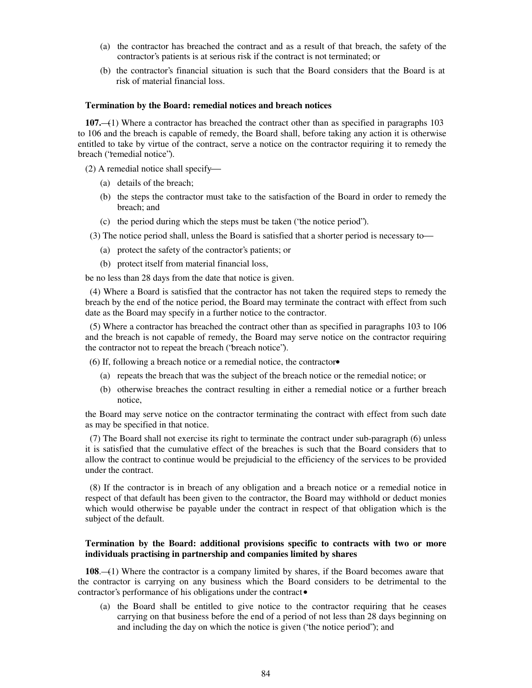- (a) the contractor has breached the contract and as a result of that breach, the safety of the contractor's patients is at serious risk if the contract is not terminated; or
- (b) the contractor's financial situation is such that the Board considers that the Board is at risk of material financial loss.

### **Termination by the Board: remedial notices and breach notices**

**107.**—(1) Where a contractor has breached the contract other than as specified in paragraphs 103 to 106 and the breach is capable of remedy, the Board shall, before taking any action it is otherwise entitled to take by virtue of the contract, serve a notice on the contractor requiring it to remedy the breach ("remedial notice").

- (2) A remedial notice shall specify
	- (a) details of the breach;
	- (b) the steps the contractor must take to the satisfaction of the Board in order to remedy the breach; and
	- (c) the period during which the steps must be taken ("the notice period").
- (3) The notice period shall, unless the Board is satisfied that a shorter period is necessary to
	- (a) protect the safety of the contractor's patients; or
	- (b) protect itself from material financial loss,

be no less than 28 days from the date that notice is given.

 (4) Where a Board is satisfied that the contractor has not taken the required steps to remedy the breach by the end of the notice period, the Board may terminate the contract with effect from such date as the Board may specify in a further notice to the contractor.

 (5) Where a contractor has breached the contract other than as specified in paragraphs 103 to 106 and the breach is not capable of remedy, the Board may serve notice on the contractor requiring the contractor not to repeat the breach ("breach notice").

(6) If, following a breach notice or a remedial notice, the contractor•

- (a) repeats the breach that was the subject of the breach notice or the remedial notice; or
- (b) otherwise breaches the contract resulting in either a remedial notice or a further breach notice,

the Board may serve notice on the contractor terminating the contract with effect from such date as may be specified in that notice.

 (7) The Board shall not exercise its right to terminate the contract under sub-paragraph (6) unless it is satisfied that the cumulative effect of the breaches is such that the Board considers that to allow the contract to continue would be prejudicial to the efficiency of the services to be provided under the contract.

 (8) If the contractor is in breach of any obligation and a breach notice or a remedial notice in respect of that default has been given to the contractor, the Board may withhold or deduct monies which would otherwise be payable under the contract in respect of that obligation which is the subject of the default.

## **Termination by the Board: additional provisions specific to contracts with two or more individuals practising in partnership and companies limited by shares**

**108**.—(1) Where the contractor is a company limited by shares, if the Board becomes aware that the contractor is carrying on any business which the Board considers to be detrimental to the contractor's performance of his obligations under the contract.

(a) the Board shall be entitled to give notice to the contractor requiring that he ceases carrying on that business before the end of a period of not less than 28 days beginning on and including the day on which the notice is given ("the notice period"); and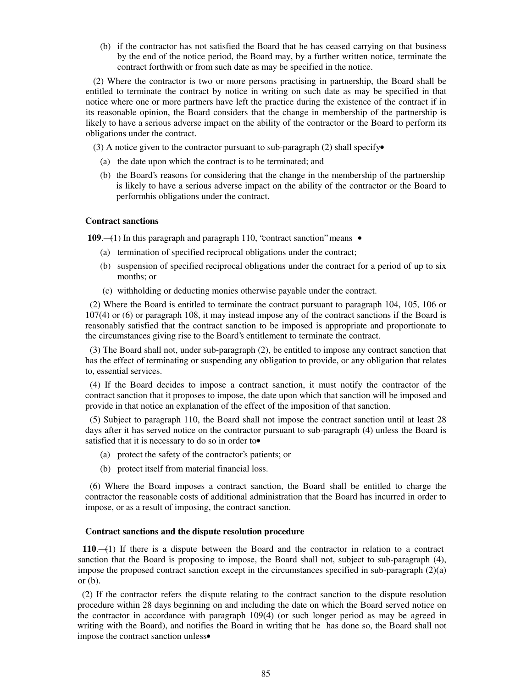(b) if the contractor has not satisfied the Board that he has ceased carrying on that business by the end of the notice period, the Board may, by a further written notice, terminate the contract forthwith or from such date as may be specified in the notice.

(2) Where the contractor is two or more persons practising in partnership, the Board shall be entitled to terminate the contract by notice in writing on such date as may be specified in that notice where one or more partners have left the practice during the existence of the contract if in its reasonable opinion, the Board considers that the change in membership of the partnership is likely to have a serious adverse impact on the ability of the contractor or the Board to perform its obligations under the contract.

(3) A notice given to the contractor pursuant to sub-paragraph (2) shall specify•

- (a) the date upon which the contract is to be terminated; and
- (b) the Board's reasons for considering that the change in the membership of the partnership is likely to have a serious adverse impact on the ability of the contractor or the Board to performhis obligations under the contract.

## **Contract sanctions**

109.—(1) In this paragraph and paragraph 110, "contract sanction" means  $\bullet$ 

- (a) termination of specified reciprocal obligations under the contract;
- (b) suspension of specified reciprocal obligations under the contract for a period of up to six months; or
- (c) withholding or deducting monies otherwise payable under the contract.

 (2) Where the Board is entitled to terminate the contract pursuant to paragraph 104, 105, 106 or 107(4) or (6) or paragraph 108, it may instead impose any of the contract sanctions if the Board is reasonably satisfied that the contract sanction to be imposed is appropriate and proportionate to the circumstances giving rise to the Board's entitlement to terminate the contract.

 (3) The Board shall not, under sub-paragraph (2), be entitled to impose any contract sanction that has the effect of terminating or suspending any obligation to provide, or any obligation that relates to, essential services.

 (4) If the Board decides to impose a contract sanction, it must notify the contractor of the contract sanction that it proposes to impose, the date upon which that sanction will be imposed and provide in that notice an explanation of the effect of the imposition of that sanction.

 (5) Subject to paragraph 110, the Board shall not impose the contract sanction until at least 28 days after it has served notice on the contractor pursuant to sub-paragraph (4) unless the Board is satisfied that it is necessary to do so in order to

- (a) protect the safety of the contractor's patients; or
- (b) protect itself from material financial loss.

 (6) Where the Board imposes a contract sanction, the Board shall be entitled to charge the contractor the reasonable costs of additional administration that the Board has incurred in order to impose, or as a result of imposing, the contract sanction.

### **Contract sanctions and the dispute resolution procedure**

 **110**.—(1) If there is a dispute between the Board and the contractor in relation to a contract sanction that the Board is proposing to impose, the Board shall not, subject to sub-paragraph (4), impose the proposed contract sanction except in the circumstances specified in sub-paragraph  $(2)(a)$ or (b).

 (2) If the contractor refers the dispute relating to the contract sanction to the dispute resolution procedure within 28 days beginning on and including the date on which the Board served notice on the contractor in accordance with paragraph 109(4) (or such longer period as may be agreed in writing with the Board), and notifies the Board in writing that he has done so, the Board shall not impose the contract sanction unless•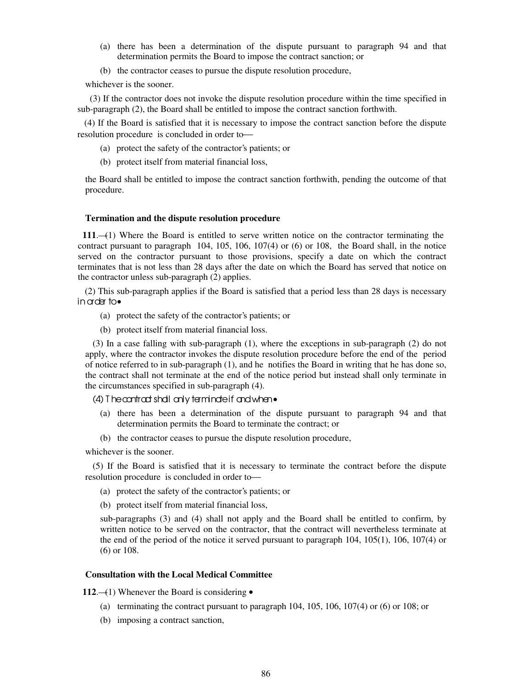- (a) there has been a determination of the dispute pursuant to paragraph 94 and that determination permits the Board to impose the contract sanction; or
- (b) the contractor ceases to pursue the dispute resolution procedure,

whichever is the sooner.

 (3) If the contractor does not invoke the dispute resolution procedure within the time specified in sub-paragraph (2), the Board shall be entitled to impose the contract sanction forthwith.

 (4) If the Board is satisfied that it is necessary to impose the contract sanction before the dispute resolution procedure is concluded in order to

- (a) protect the safety of the contractor's patients; or
- (b) protect itself from material financial loss,

the Board shall be entitled to impose the contract sanction forthwith, pending the outcome of that procedure.

#### **Termination and the dispute resolution procedure**

 **111**.—(1) Where the Board is entitled to serve written notice on the contractor terminating the contract pursuant to paragraph 104, 105, 106, 107(4) or (6) or 108, the Board shall, in the notice served on the contractor pursuant to those provisions, specify a date on which the contract terminates that is not less than 28 days after the date on which the Board has served that notice on the contractor unless sub-paragraph (2) applies.

(2) This sub-paragraph applies if the Board is satisfied that a period less than 28 days is necessary in order to•

- (a) protect the safety of the contractor's patients; or
- (b) protect itself from material financial loss.

(3) In a case falling with sub-paragraph (1), where the exceptions in sub-paragraph (2) do not apply, where the contractor invokes the dispute resolution procedure before the end of the period of notice referred to in sub-paragraph (1), and he notifies the Board in writing that he has done so, the contract shall not terminate at the end of the notice period but instead shall only terminate in the circumstances specified in sub-paragraph (4).

### $(4)$  T he contract shall only terminate if and when  $\bullet$

- (a) there has been a determination of the dispute pursuant to paragraph 94 and that determination permits the Board to terminate the contract; or
- (b) the contractor ceases to pursue the dispute resolution procedure,

whichever is the sooner.

(5) If the Board is satisfied that it is necessary to terminate the contract before the dispute resolution procedure is concluded in order to

- (a) protect the safety of the contractor's patients; or
- (b) protect itself from material financial loss,

sub-paragraphs (3) and (4) shall not apply and the Board shall be entitled to confirm, by written notice to be served on the contractor, that the contract will nevertheless terminate at the end of the period of the notice it served pursuant to paragraph 104, 105(1), 106, 107(4) or (6) or 108.

## **Consultation with the Local Medical Committee**

112.—(1) Whenever the Board is considering  $\bullet$ 

- (a) terminating the contract pursuant to paragraph 104, 105, 106, 107(4) or (6) or 108; or
- (b) imposing a contract sanction,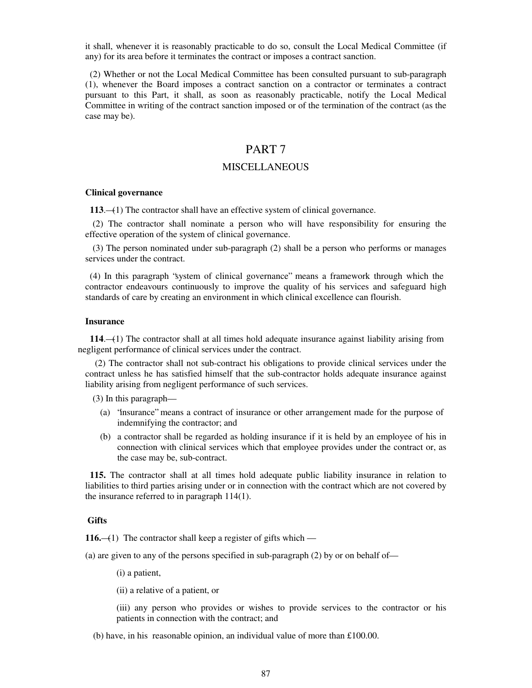it shall, whenever it is reasonably practicable to do so, consult the Local Medical Committee (if any) for its area before it terminates the contract or imposes a contract sanction.

 (2) Whether or not the Local Medical Committee has been consulted pursuant to sub-paragraph (1), whenever the Board imposes a contract sanction on a contractor or terminates a contract pursuant to this Part, it shall, as soon as reasonably practicable, notify the Local Medical Committee in writing of the contract sanction imposed or of the termination of the contract (as the case may be).

## PART 7

## **MISCELLANEOUS**

#### **Clinical governance**

**113**.—(1) The contractor shall have an effective system of clinical governance.

(2) The contractor shall nominate a person who will have responsibility for ensuring the effective operation of the system of clinical governance.

(3) The person nominated under sub-paragraph (2) shall be a person who performs or manages services under the contract.

 (4) In this paragraph "system of clinical governance" means a framework through which the contractor endeavours continuously to improve the quality of his services and safeguard high standards of care by creating an environment in which clinical excellence can flourish.

### **Insurance**

 **114**.—(1) The contractor shall at all times hold adequate insurance against liability arising from negligent performance of clinical services under the contract.

(2) The contractor shall not sub-contract his obligations to provide clinical services under the contract unless he has satisfied himself that the sub-contractor holds adequate insurance against liability arising from negligent performance of such services.

(3) In this paragraph—

- (a) "insurance" means a contract of insurance or other arrangement made for the purpose of indemnifying the contractor; and
- (b) a contractor shall be regarded as holding insurance if it is held by an employee of his in connection with clinical services which that employee provides under the contract or, as the case may be, sub-contract.

 **115.** The contractor shall at all times hold adequate public liability insurance in relation to liabilities to third parties arising under or in connection with the contract which are not covered by the insurance referred to in paragraph 114(1).

## **Gifts**

**116.**—(1) The contractor shall keep a register of gifts which —

(a) are given to any of the persons specified in sub-paragraph (2) by or on behalf of—

(i) a patient,

(ii) a relative of a patient, or

(iii) any person who provides or wishes to provide services to the contractor or his patients in connection with the contract; and

(b) have, in his reasonable opinion, an individual value of more than £100.00.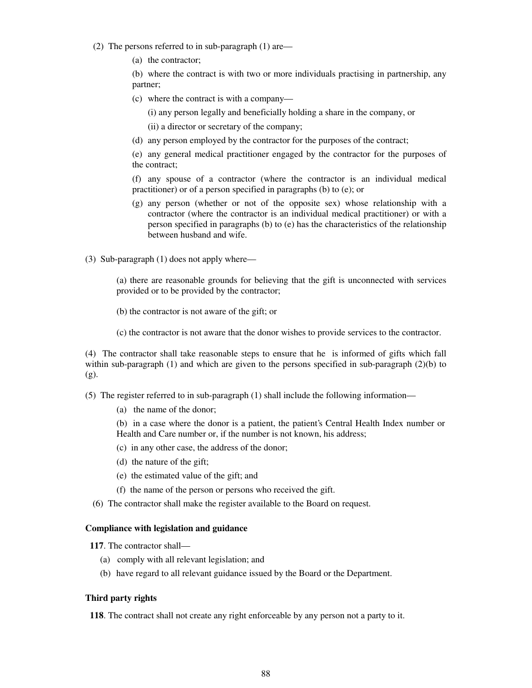- (2) The persons referred to in sub-paragraph (1) are—
	- (a) the contractor;

(b) where the contract is with two or more individuals practising in partnership, any partner;

(c) where the contract is with a company—

(i) any person legally and beneficially holding a share in the company, or

(ii) a director or secretary of the company;

(d) any person employed by the contractor for the purposes of the contract;

(e) any general medical practitioner engaged by the contractor for the purposes of the contract;

(f) any spouse of a contractor (where the contractor is an individual medical practitioner) or of a person specified in paragraphs (b) to (e); or

(g) any person (whether or not of the opposite sex) whose relationship with a contractor (where the contractor is an individual medical practitioner) or with a person specified in paragraphs (b) to (e) has the characteristics of the relationship between husband and wife.

(3) Sub-paragraph (1) does not apply where—

(a) there are reasonable grounds for believing that the gift is unconnected with services provided or to be provided by the contractor;

(b) the contractor is not aware of the gift; or

(c) the contractor is not aware that the donor wishes to provide services to the contractor.

(4) The contractor shall take reasonable steps to ensure that he is informed of gifts which fall within sub-paragraph  $(1)$  and which are given to the persons specified in sub-paragraph  $(2)(b)$  to (g).

(5) The register referred to in sub-paragraph (1) shall include the following information—

(a) the name of the donor;

(b) in a case where the donor is a patient, the patient's Central Health Index number or Health and Care number or, if the number is not known, his address;

- (c) in any other case, the address of the donor;
- (d) the nature of the gift;
- (e) the estimated value of the gift; and
- (f) the name of the person or persons who received the gift.
- (6) The contractor shall make the register available to the Board on request.

### **Compliance with legislation and guidance**

**117**. The contractor shall—

- (a) comply with all relevant legislation; and
- (b) have regard to all relevant guidance issued by the Board or the Department.

#### **Third party rights**

**118**. The contract shall not create any right enforceable by any person not a party to it.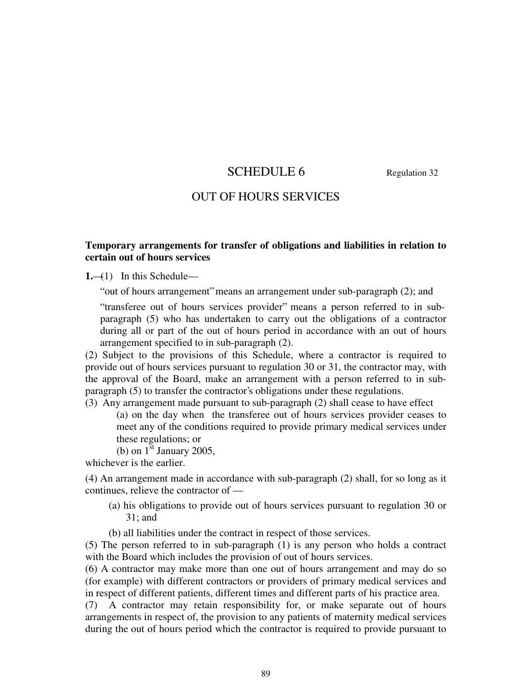# SCHEDULE 6 Regulation 32

## OUT OF HOURS SERVICES

## **Temporary arrangements for transfer of obligations and liabilities in relation to certain out of hours services**

**1.**—(1) In this Schedule—

" out of hours arrangement" means an arrangement under sub-paragraph (2); and

"transferee out of hours services provider" means a person referred to in subparagraph (5) who has undertaken to carry out the obligations of a contractor during all or part of the out of hours period in accordance with an out of hours arrangement specified to in sub-paragraph (2).

(2) Subject to the provisions of this Schedule, where a contractor is required to provide out of hours services pursuant to regulation 30 or 31, the contractor may, with the approval of the Board, make an arrangement with a person referred to in subparagraph (5) to transfer the contractor's obligations under these regulations.

(3) Any arrangement made pursuant to sub-paragraph (2) shall cease to have effect (a) on the day when the transferee out of hours services provider ceases to meet any of the conditions required to provide primary medical services under these regulations; or

(b) on  $1^{\text{st}}$  January 2005,

whichever is the earlier.

(4) An arrangement made in accordance with sub-paragraph (2) shall, for so long as it continues, relieve the contractor of —

- (a) his obligations to provide out of hours services pursuant to regulation 30 or 31; and
- (b) all liabilities under the contract in respect of those services.

(5) The person referred to in sub-paragraph (1) is any person who holds a contract with the Board which includes the provision of out of hours services.

(6) A contractor may make more than one out of hours arrangement and may do so (for example) with different contractors or providers of primary medical services and in respect of different patients, different times and different parts of his practice area.

(7) A contractor may retain responsibility for, or make separate out of hours arrangements in respect of, the provision to any patients of maternity medical services during the out of hours period which the contractor is required to provide pursuant to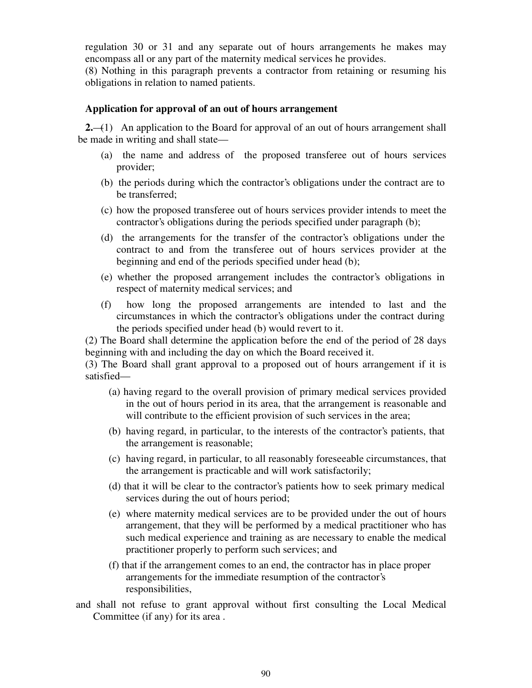regulation 30 or 31 and any separate out of hours arrangements he makes may encompass all or any part of the maternity medical services he provides.

(8) Nothing in this paragraph prevents a contractor from retaining or resuming his obligations in relation to named patients.

## **Application for approval of an out of hours arrangement**

**2.**—(1) An application to the Board for approval of an out of hours arrangement shall be made in writing and shall state—

- (a) the name and address of the proposed transferee out of hours services provider;
- (b) the periods during which the contractor's obligations under the contract are to be transferred;
- (c) how the proposed transferee out of hours services provider intends to meet the contractor's obligations during the periods specified under paragraph (b);
- (d) the arrangements for the transfer of the contractor's obligations under the contract to and from the transferee out of hours services provider at the beginning and end of the periods specified under head (b);
- (e) whether the proposed arrangement includes the contractor's obligations in respect of maternity medical services; and
- (f) how long the proposed arrangements are intended to last and the circumstances in which the contractor's obligations under the contract during the periods specified under head (b) would revert to it.

(2) The Board shall determine the application before the end of the period of 28 days beginning with and including the day on which the Board received it.

(3) The Board shall grant approval to a proposed out of hours arrangement if it is satisfied—

- (a) having regard to the overall provision of primary medical services provided in the out of hours period in its area, that the arrangement is reasonable and will contribute to the efficient provision of such services in the area;
- (b) having regard, in particular, to the interests of the contractor's patients, that the arrangement is reasonable;
- (c) having regard, in particular, to all reasonably foreseeable circumstances, that the arrangement is practicable and will work satisfactorily;
- (d) that it will be clear to the contractor's patients how to seek primary medical services during the out of hours period;
- (e) where maternity medical services are to be provided under the out of hours arrangement, that they will be performed by a medical practitioner who has such medical experience and training as are necessary to enable the medical practitioner properly to perform such services; and
- (f) that if the arrangement comes to an end, the contractor has in place proper arrangements for the immediate resumption of the contractor's responsibilities,
- and shall not refuse to grant approval without first consulting the Local Medical Committee (if any) for its area .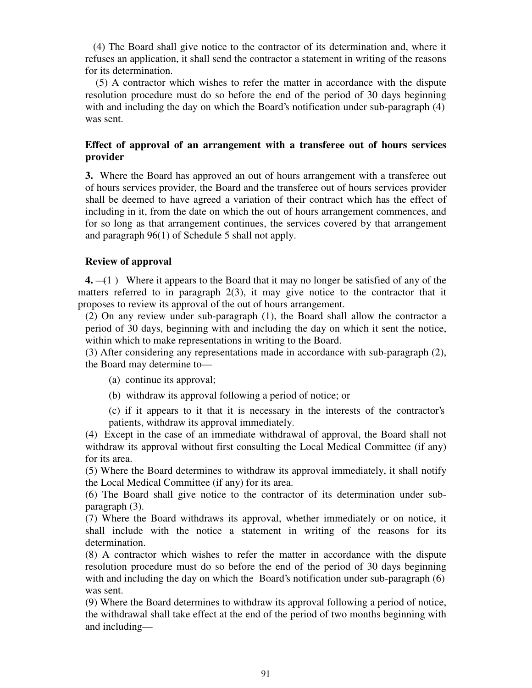(4) The Board shall give notice to the contractor of its determination and, where it refuses an application, it shall send the contractor a statement in writing of the reasons for its determination.

(5) A contractor which wishes to refer the matter in accordance with the dispute resolution procedure must do so before the end of the period of 30 days beginning with and including the day on which the Board's notification under sub-paragraph (4) was sent.

## **Effect of approval of an arrangement with a transferee out of hours services provider**

**3.** Where the Board has approved an out of hours arrangement with a transferee out of hours services provider, the Board and the transferee out of hours services provider shall be deemed to have agreed a variation of their contract which has the effect of including in it, from the date on which the out of hours arrangement commences, and for so long as that arrangement continues, the services covered by that arrangement and paragraph 96(1) of Schedule 5 shall not apply.

## **Review of approval**

**4.** —(1 ) Where it appears to the Board that it may no longer be satisfied of any of the matters referred to in paragraph 2(3), it may give notice to the contractor that it proposes to review its approval of the out of hours arrangement.

(2) On any review under sub-paragraph (1), the Board shall allow the contractor a period of 30 days, beginning with and including the day on which it sent the notice, within which to make representations in writing to the Board.

(3) After considering any representations made in accordance with sub-paragraph (2), the Board may determine to—

(a) continue its approval;

(b) withdraw its approval following a period of notice; or

(c) if it appears to it that it is necessary in the interests of the contractor's patients, withdraw its approval immediately.

(4) Except in the case of an immediate withdrawal of approval, the Board shall not withdraw its approval without first consulting the Local Medical Committee (if any) for its area.

(5) Where the Board determines to withdraw its approval immediately, it shall notify the Local Medical Committee (if any) for its area.

(6) The Board shall give notice to the contractor of its determination under subparagraph (3).

(7) Where the Board withdraws its approval, whether immediately or on notice, it shall include with the notice a statement in writing of the reasons for its determination.

(8) A contractor which wishes to refer the matter in accordance with the dispute resolution procedure must do so before the end of the period of 30 days beginning with and including the day on which the Board's notification under sub-paragraph (6) was sent.

(9) Where the Board determines to withdraw its approval following a period of notice, the withdrawal shall take effect at the end of the period of two months beginning with and including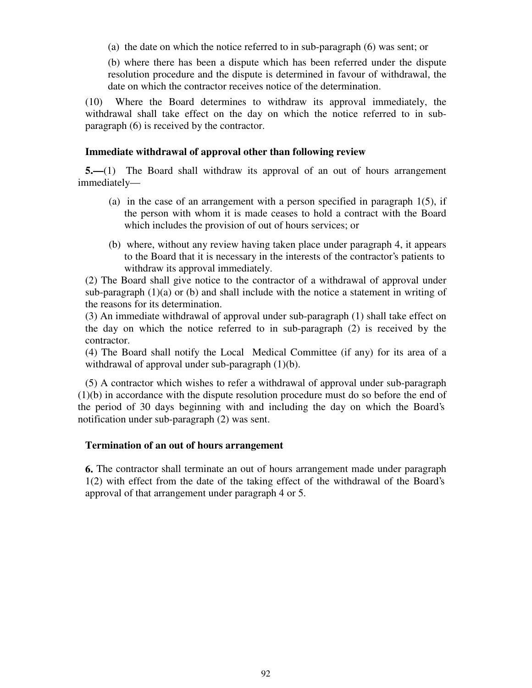(a) the date on which the notice referred to in sub-paragraph (6) was sent; or

(b) where there has been a dispute which has been referred under the dispute resolution procedure and the dispute is determined in favour of withdrawal, the date on which the contractor receives notice of the determination.

(10) Where the Board determines to withdraw its approval immediately, the withdrawal shall take effect on the day on which the notice referred to in subparagraph (6) is received by the contractor.

## **Immediate withdrawal of approval other than following review**

**5.—**(1) The Board shall withdraw its approval of an out of hours arrangement immediately—

- (a) in the case of an arrangement with a person specified in paragraph  $1(5)$ , if the person with whom it is made ceases to hold a contract with the Board which includes the provision of out of hours services; or
- (b) where, without any review having taken place under paragraph 4, it appears to the Board that it is necessary in the interests of the contractor's patients to withdraw its approval immediately.

(2) The Board shall give notice to the contractor of a withdrawal of approval under sub-paragraph  $(1)(a)$  or  $(b)$  and shall include with the notice a statement in writing of the reasons for its determination.

(3) An immediate withdrawal of approval under sub-paragraph (1) shall take effect on the day on which the notice referred to in sub-paragraph (2) is received by the contractor.

(4) The Board shall notify the Local Medical Committee (if any) for its area of a withdrawal of approval under sub-paragraph (1)(b).

(5) A contractor which wishes to refer a withdrawal of approval under sub-paragraph (1)(b) in accordance with the dispute resolution procedure must do so before the end of the period of 30 days beginning with and including the day on which the Board's notification under sub-paragraph (2) was sent.

## **Termination of an out of hours arrangement**

**6.** The contractor shall terminate an out of hours arrangement made under paragraph 1(2) with effect from the date of the taking effect of the withdrawal of the Board's approval of that arrangement under paragraph 4 or 5.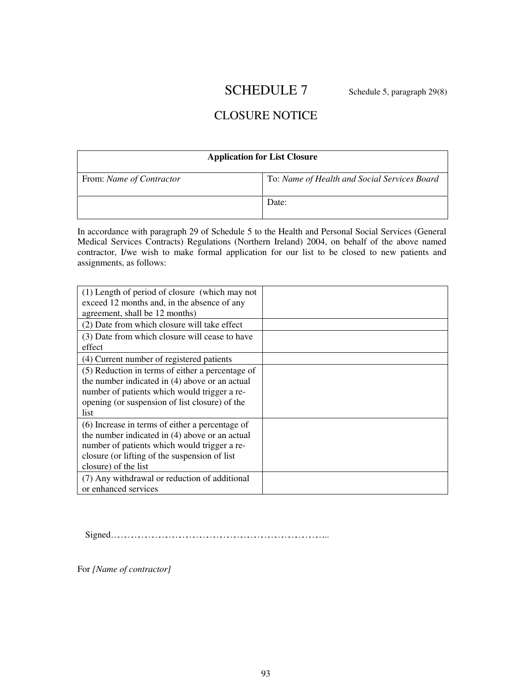# SCHEDULE 7 Schedule 5, paragraph 29(8)

# CLOSURE NOTICE

| <b>Application for List Closure</b> |                                              |
|-------------------------------------|----------------------------------------------|
| From: Name of Contractor            | To: Name of Health and Social Services Board |
|                                     | Date:                                        |

In accordance with paragraph 29 of Schedule 5 to the Health and Personal Social Services (General Medical Services Contracts) Regulations (Northern Ireland) 2004, on behalf of the above named contractor, I/we wish to make formal application for our list to be closed to new patients and assignments, as follows:

| (1) Length of period of closure (which may not<br>exceed 12 months and, in the absence of any<br>agreement, shall be 12 months)                                                                                            |  |
|----------------------------------------------------------------------------------------------------------------------------------------------------------------------------------------------------------------------------|--|
| (2) Date from which closure will take effect                                                                                                                                                                               |  |
| (3) Date from which closure will cease to have<br>effect                                                                                                                                                                   |  |
| (4) Current number of registered patients                                                                                                                                                                                  |  |
| (5) Reduction in terms of either a percentage of<br>the number indicated in (4) above or an actual<br>number of patients which would trigger a re-<br>opening (or suspension of list closure) of the<br>list               |  |
| (6) Increase in terms of either a percentage of<br>the number indicated in (4) above or an actual<br>number of patients which would trigger a re-<br>closure (or lifting of the suspension of list<br>closure) of the list |  |
| (7) Any withdrawal or reduction of additional<br>or enhanced services                                                                                                                                                      |  |

Signed…………………………………………………………………………………...

For *[Name of contractor]*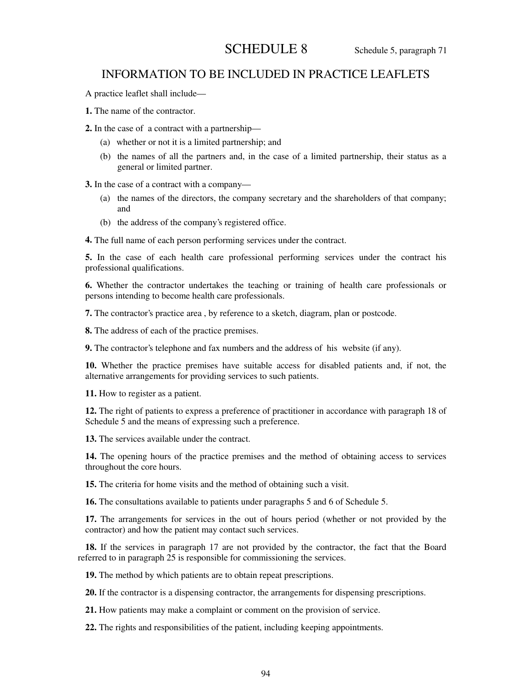# SCHEDULE 8 Schedule 5, paragraph 71

## INFORMATION TO BE INCLUDED IN PRACTICE LEAFLETS

A practice leaflet shall include—

**1.** The name of the contractor.

**2.** In the case of a contract with a partnership—

- (a) whether or not it is a limited partnership; and
- (b) the names of all the partners and, in the case of a limited partnership, their status as a general or limited partner.

**3.** In the case of a contract with a company—

- (a) the names of the directors, the company secretary and the shareholders of that company; and
- (b) the address of the company's registered office.

**4.** The full name of each person performing services under the contract.

**5.** In the case of each health care professional performing services under the contract his professional qualifications.

**6.** Whether the contractor undertakes the teaching or training of health care professionals or persons intending to become health care professionals.

**7.** The contractor's practice area , by reference to a sketch, diagram, plan or postcode.

**8.** The address of each of the practice premises.

**9.** The contractor's telephone and fax numbers and the address of his website (if any).

**10.** Whether the practice premises have suitable access for disabled patients and, if not, the alternative arrangements for providing services to such patients.

**11.** How to register as a patient.

**12.** The right of patients to express a preference of practitioner in accordance with paragraph 18 of Schedule 5 and the means of expressing such a preference.

**13.** The services available under the contract.

**14.** The opening hours of the practice premises and the method of obtaining access to services throughout the core hours.

**15.** The criteria for home visits and the method of obtaining such a visit.

**16.** The consultations available to patients under paragraphs 5 and 6 of Schedule 5.

**17.** The arrangements for services in the out of hours period (whether or not provided by the contractor) and how the patient may contact such services.

**18.** If the services in paragraph 17 are not provided by the contractor, the fact that the Board referred to in paragraph 25 is responsible for commissioning the services.

**19.** The method by which patients are to obtain repeat prescriptions.

**20.** If the contractor is a dispensing contractor, the arrangements for dispensing prescriptions.

**21.** How patients may make a complaint or comment on the provision of service.

**22.** The rights and responsibilities of the patient, including keeping appointments.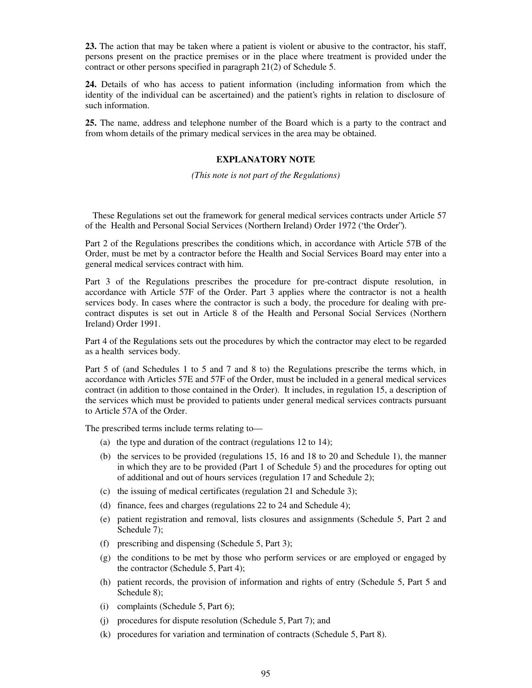**23.** The action that may be taken where a patient is violent or abusive to the contractor, his staff, persons present on the practice premises or in the place where treatment is provided under the contract or other persons specified in paragraph 21(2) of Schedule 5.

**24.** Details of who has access to patient information (including information from which the identity of the individual can be ascertained) and the patient's rights in relation to disclosure of such information.

**25.** The name, address and telephone number of the Board which is a party to the contract and from whom details of the primary medical services in the area may be obtained.

## **EXPLANATORY NOTE**

*(This note is not part of the Regulations)*

These Regulations set out the framework for general medical services contracts under Article 57 of the Health and Personal Social Services (Northern Ireland) Order 1972 ("the Order").

Part 2 of the Regulations prescribes the conditions which, in accordance with Article 57B of the Order, must be met by a contractor before the Health and Social Services Board may enter into a general medical services contract with him.

Part 3 of the Regulations prescribes the procedure for pre-contract dispute resolution, in accordance with Article 57F of the Order. Part 3 applies where the contractor is not a health services body. In cases where the contractor is such a body, the procedure for dealing with precontract disputes is set out in Article 8 of the Health and Personal Social Services (Northern Ireland) Order 1991.

Part 4 of the Regulations sets out the procedures by which the contractor may elect to be regarded as a health services body.

Part 5 of (and Schedules 1 to 5 and 7 and 8 to) the Regulations prescribe the terms which, in accordance with Articles 57E and 57F of the Order, must be included in a general medical services contract (in addition to those contained in the Order). It includes, in regulation 15, a description of the services which must be provided to patients under general medical services contracts pursuant to Article 57A of the Order.

The prescribed terms include terms relating to—

- (a) the type and duration of the contract (regulations 12 to 14);
- (b) the services to be provided (regulations 15, 16 and 18 to 20 and Schedule 1), the manner in which they are to be provided (Part 1 of Schedule 5) and the procedures for opting out of additional and out of hours services (regulation 17 and Schedule 2);
- (c) the issuing of medical certificates (regulation 21 and Schedule 3);
- (d) finance, fees and charges (regulations 22 to 24 and Schedule 4);
- (e) patient registration and removal, lists closures and assignments (Schedule 5, Part 2 and Schedule 7);
- (f) prescribing and dispensing (Schedule 5, Part 3);
- (g) the conditions to be met by those who perform services or are employed or engaged by the contractor (Schedule 5, Part 4);
- (h) patient records, the provision of information and rights of entry (Schedule 5, Part 5 and Schedule 8);
- (i) complaints (Schedule 5, Part 6);
- (j) procedures for dispute resolution (Schedule 5, Part 7); and
- (k) procedures for variation and termination of contracts (Schedule 5, Part 8).